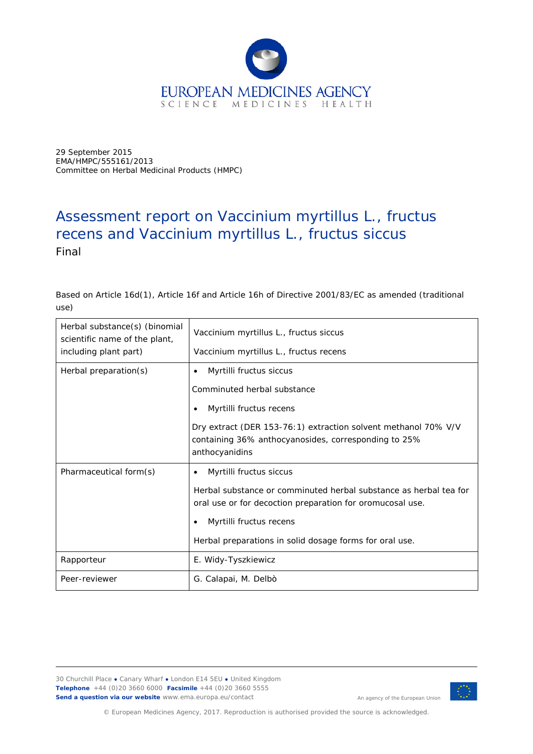

29 September 2015 EMA/HMPC/555161/2013 Committee on Herbal Medicinal Products (HMPC)

# Assessment report on *Vaccinium myrtillus* L., fructus recens and *Vaccinium myrtillus* L., fructus siccus Final

Based on Article 16d(1), Article 16f and Article 16h of Directive 2001/83/EC as amended (traditional use)

| Herbal substance(s) (binomial<br>scientific name of the plant,<br>including plant part) | Vaccinium myrtillus L., fructus siccus<br>Vaccinium myrtillus L., fructus recens                                                                                                                                                                                  |
|-----------------------------------------------------------------------------------------|-------------------------------------------------------------------------------------------------------------------------------------------------------------------------------------------------------------------------------------------------------------------|
| Herbal preparation(s)                                                                   | Myrtilli fructus siccus<br>$\bullet$<br>Comminuted herbal substance<br>Myrtilli fructus recens<br>٠<br>Dry extract (DER 153-76:1) extraction solvent methanol 70% V/V<br>containing 36% anthocyanosides, corresponding to 25%<br>anthocyanidins                   |
| Pharmaceutical form(s)                                                                  | Myrtilli fructus siccus<br>$\bullet$<br>Herbal substance or comminuted herbal substance as herbal tea for<br>oral use or for decoction preparation for oromucosal use.<br>Myrtilli fructus recens<br>٠<br>Herbal preparations in solid dosage forms for oral use. |
| Rapporteur                                                                              | E. Widy-Tyszkiewicz                                                                                                                                                                                                                                               |
| Peer-reviewer                                                                           | G. Calapai, M. Delbò                                                                                                                                                                                                                                              |

30 Churchill Place **●** Canary Wharf **●** London E14 5EU **●** United Kingdom **Telephone** +44 (0)20 3660 6000 **Facsimile** +44 (0)20 3660 5555 **Send a question via our website** www.ema.europa.eu/contact



An agency of the European Union

© European Medicines Agency, 2017. Reproduction is authorised provided the source is acknowledged.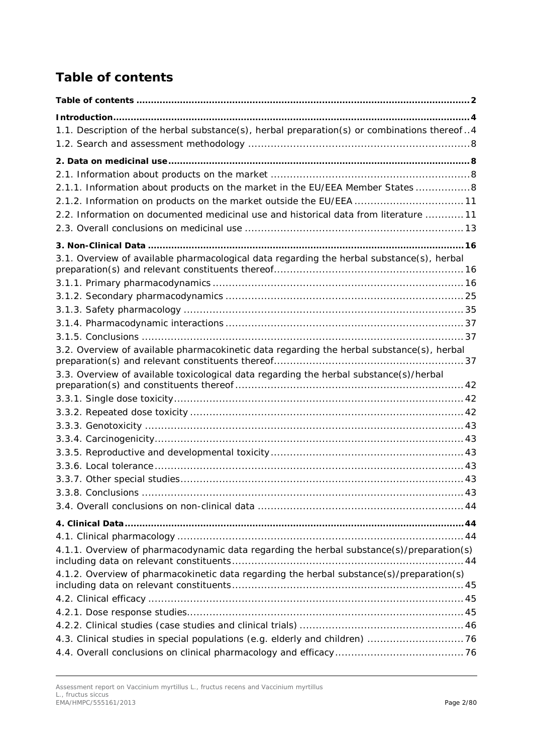# <span id="page-1-0"></span>*Table of contents*

| 1.1. Description of the herbal substance(s), herbal preparation(s) or combinations thereof4 |  |
|---------------------------------------------------------------------------------------------|--|
|                                                                                             |  |
|                                                                                             |  |
| 2.1.1. Information about products on the market in the EU/EEA Member States 8               |  |
| 2.1.2. Information on products on the market outside the EU/EEA  11                         |  |
| 2.2. Information on documented medicinal use and historical data from literature  11        |  |
|                                                                                             |  |
|                                                                                             |  |
| 3.1. Overview of available pharmacological data regarding the herbal substance(s), herbal   |  |
|                                                                                             |  |
|                                                                                             |  |
|                                                                                             |  |
|                                                                                             |  |
|                                                                                             |  |
| 3.2. Overview of available pharmacokinetic data regarding the herbal substance(s), herbal   |  |
|                                                                                             |  |
| 3.3. Overview of available toxicological data regarding the herbal substance(s)/herbal      |  |
|                                                                                             |  |
|                                                                                             |  |
|                                                                                             |  |
|                                                                                             |  |
|                                                                                             |  |
|                                                                                             |  |
|                                                                                             |  |
|                                                                                             |  |
|                                                                                             |  |
|                                                                                             |  |
|                                                                                             |  |
| 4.1.1. Overview of pharmacodynamic data regarding the herbal substance(s)/preparation(s)    |  |
|                                                                                             |  |
| 4.1.2. Overview of pharmacokinetic data regarding the herbal substance(s)/preparation(s)    |  |
|                                                                                             |  |
|                                                                                             |  |
|                                                                                             |  |
| 4.3. Clinical studies in special populations (e.g. elderly and children) 76                 |  |
|                                                                                             |  |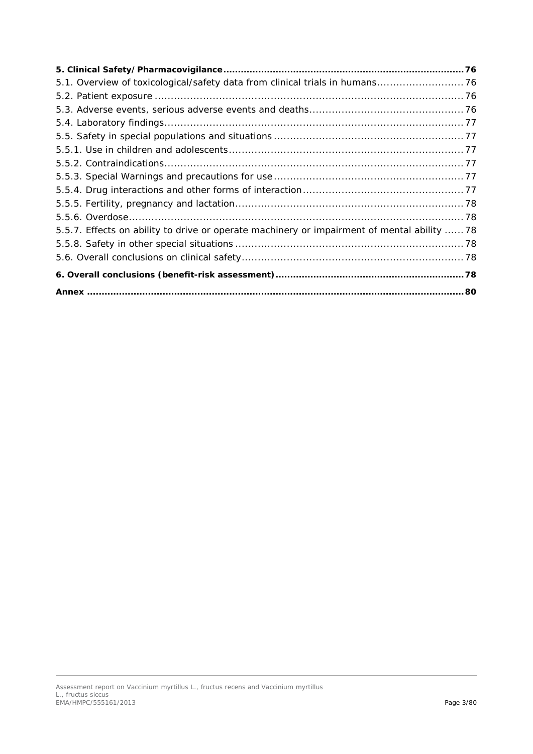| 5.1. Overview of toxicological/safety data from clinical trials in humans 76                |  |
|---------------------------------------------------------------------------------------------|--|
|                                                                                             |  |
|                                                                                             |  |
|                                                                                             |  |
|                                                                                             |  |
|                                                                                             |  |
|                                                                                             |  |
|                                                                                             |  |
|                                                                                             |  |
|                                                                                             |  |
|                                                                                             |  |
| 5.5.7. Effects on ability to drive or operate machinery or impairment of mental ability  78 |  |
|                                                                                             |  |
|                                                                                             |  |
|                                                                                             |  |
|                                                                                             |  |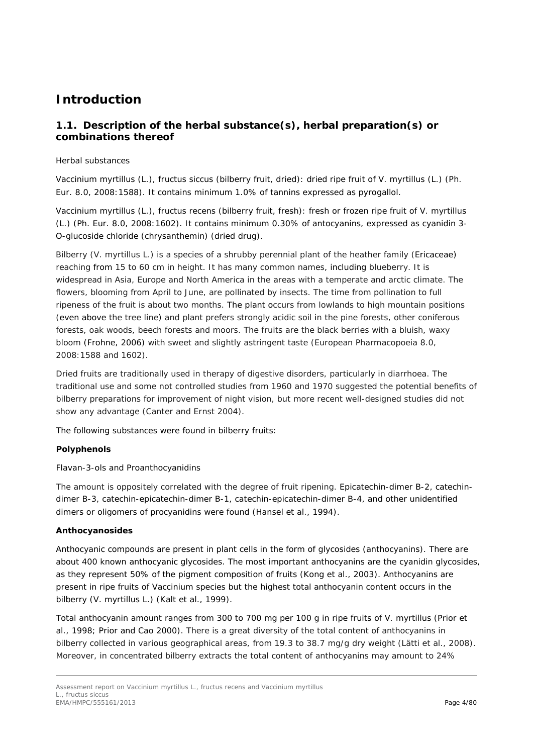# <span id="page-3-0"></span>**Introduction**

# <span id="page-3-1"></span>*1.1. Description of the herbal substance(s), herbal preparation(s) or combinations thereof*

## Herbal substances

*Vaccinium myrtillus* (L.), fructus siccus (bilberry fruit, dried): dried ripe fruit of *V. myrtillus* (L.) (Ph. Eur. 8.0, 2008:1588). It contains minimum 1.0% of tannins expressed as pyrogallol.

*Vaccinium myrtillus* (L.), fructus recens (bilberry fruit, fresh): fresh or frozen ripe fruit of *V. myrtillus* (L.) (Ph. Eur. 8.0, 2008:1602). It contains minimum 0.30% of antocyanins, expressed as cyanidin 3- O-glucoside chloride (chrysanthemin) (dried drug).

Bilberry (*V. myrtillus* L.) is a species of a shrubby perennial plant of the heather family (Ericaceae) reaching from 15 to 60 cm in height. It has many common names, including blueberry. It is widespread in Asia, Europe and North America in the areas with a temperate and arctic climate. The flowers, blooming from April to June, are pollinated by insects. The time from pollination to full ripeness of the fruit is about two months. The plant occurs from lowlands to high mountain positions (even above the tree line) and plant prefers strongly acidic soil in the pine forests, other coniferous forests, oak woods, beech forests and moors. The fruits are the black berries with a bluish, waxy bloom (Frohne, 2006) with sweet and slightly astringent taste (European Pharmacopoeia 8.0, 2008:1588 and 1602).

Dried fruits are traditionally used in therapy of digestive disorders, particularly in diarrhoea. The traditional use and some not controlled studies from 1960 and 1970 suggested the potential benefits of bilberry preparations for improvement of night vision, but more recent well-designed studies did not show any advantage (Canter and Ernst 2004).

The following substances were found in bilberry fruits:

## **Polyphenols**

Flavan-3-ols and Proanthocyanidins

The amount is oppositely correlated with the degree of fruit ripening. Epicatechin-dimer B-2, catechindimer B-3, catechin-epicatechin-dimer B-1, catechin-epicatechin-dimer B-4, and other unidentified dimers or oligomers of procyanidins were found (Hansel *et al*., 1994).

## **Anthocyanosides**

Anthocyanic compounds are present in plant cells in the form of glycosides (anthocyanins). There are about 400 known anthocyanic glycosides. The most important anthocyanins are the cyanidin glycosides, as they represent 50% of the pigment composition of fruits (Kong *et al.*, 2003). Anthocyanins are present in ripe fruits of *Vaccinium* species but the highest total anthocyanin content occurs in the bilberry (*V. myrtillus* L.) (Kalt *et al.,* 1999).

Total anthocyanin amount ranges from 300 to 700 mg per 100 g in ripe fruits of V. *myrtillus* (Prior *et al.,* 1998; Prior and Cao 2000). There is a great diversity of the total content of anthocyanins in bilberry collected in various geographical areas, from 19.3 to 38.7 mg/g dry weight (Lätti *et al.*, 2008). Moreover, in concentrated bilberry extracts the total content of anthocyanins may amount to 24%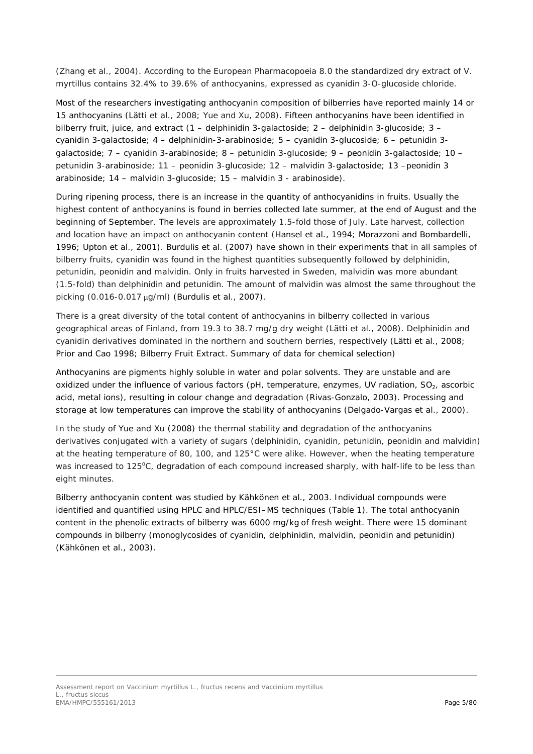(Zhang *et al.,* 2004). According to the European Pharmacopoeia 8.0 the standardized dry extract of *V. myrtillus* contains 32.4% to 39.6% of anthocyanins, expressed as cyanidin 3-*O*-glucoside chloride.

Most of the researchers investigating anthocyanin composition of bilberries have reported mainly 14 or 15 anthocyanins (Lätti *et al.*, 2008; Yue and Xu, 2008). Fifteen anthocyanins have been identified in bilberry fruit, juice, and extract (1 – delphinidin 3-galactoside; 2 – delphinidin 3-glucoside; 3 – cyanidin 3-galactoside; 4 – delphinidin-3-arabinoside; 5 – cyanidin 3-glucoside; 6 – petunidin 3 galactoside; 7 – cyanidin 3-arabinoside; 8 – petunidin 3-glucoside; 9 – peonidin 3-galactoside; 10 – petunidin 3-arabinoside; 11 – peonidin 3-glucoside; 12 – malvidin 3-galactoside; 13 –peonidin 3 arabinoside; 14 – malvidin 3-glucoside; 15 – malvidin 3 - arabinoside).

During ripening process, there is an increase in the quantity of anthocyanidins in fruits. Usually the highest content of anthocyanins is found in berries collected late summer, at the end of August and the beginning of September. The levels are approximately 1.5-fold those of July. Late harvest, collection and location have an impact on anthocyanin content (Hansel *et al*., 1994; Morazzoni and Bombardelli, 1996; Upton *et al.,* 2001). Burdulis *et al.* (2007) have shown in their experiments that in all samples of bilberry fruits, cyanidin was found in the highest quantities subsequently followed by delphinidin, petunidin, peonidin and malvidin. Only in fruits harvested in Sweden, malvidin was more abundant (1.5-fold) than delphinidin and petunidin. The amount of malvidin was almost the same throughout the picking (0.016-0.017 µg/ml) (Burdulis *et al.,* 2007).

There is a great diversity of the total content of anthocyanins in bilberry collected in various geographical areas of Finland, from 19.3 to 38.7 mg/g dry weight (Lätti *et al.*, 2008). Delphinidin and cyanidin derivatives dominated in the northern and southern berries, respectively (Lätti *et al*., 2008; Prior and Cao 1998; Bilberry Fruit Extract. Summary of data for chemical selection)

Anthocyanins are pigments highly soluble in water and polar solvents. They are unstable and are oxidized under the influence of various factors (pH, temperature, enzymes, UV radiation,  $SO<sub>2</sub>$ , ascorbic acid, metal ions), resulting in colour change and degradation (Rivas-Gonzalo, 2003). Processing and storage at low temperatures can improve the stability of anthocyanins (Delgado-Vargas *et al.*, 2000).

In the study of Yue and Xu (2008) the thermal stability and degradation of the anthocyanins derivatives conjugated with a variety of sugars (delphinidin, cyanidin, petunidin, peonidin and malvidin) at the heating temperature of 80, 100, and 125°C were alike. However, when the heating temperature was increased to 125°C, degradation of each compound increased sharply, with half-life to be less than eight minutes.

Bilberry anthocyanin content was studied by Kähkönen *et al.*, 2003. Individual compounds were identified and quantified using HPLC and HPLC/ESI–MS techniques (Table 1). The total anthocyanin content in the phenolic extracts of bilberry was 6000 mg/kg of fresh weight. There were 15 dominant compounds in bilberry (monoglycosides of cyanidin, delphinidin, malvidin, peonidin and petunidin) (Kähkönen *et al.*, 2003).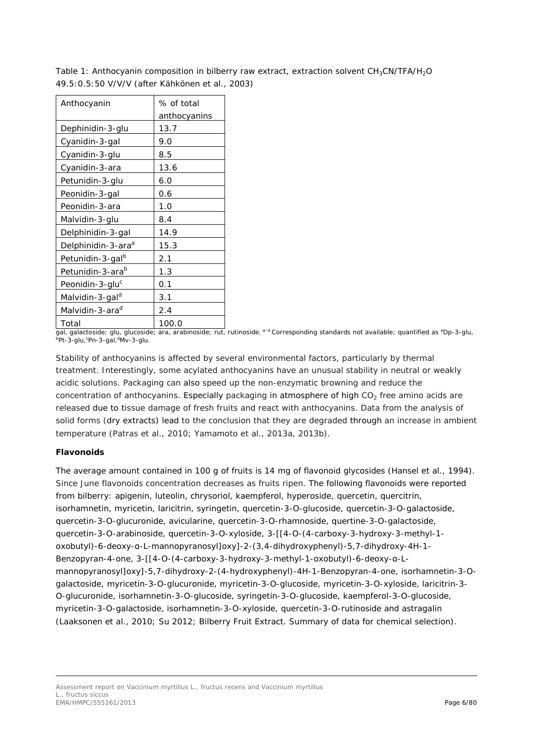| Anthocyanin                    | % of total   |  |
|--------------------------------|--------------|--|
|                                | anthocyanins |  |
| Dephinidin-3-glu               | 13.7         |  |
| Cyanidin-3-gal                 | 9.0          |  |
| Cyanidin-3-glu                 | 8.5          |  |
| Cyanidin-3-ara                 | 13.6         |  |
| Petunidin-3-glu                | 6.0          |  |
| Peonidin-3-gal                 | 0.6          |  |
| Peonidin-3-ara                 | 1.0          |  |
| Malvidin-3-glu                 | 8.4          |  |
| Delphinidin-3-gal              | 14.9         |  |
| Delphinidin-3-ara <sup>a</sup> | 15.3         |  |
| Petunidin-3-gal <sup>b</sup>   | 2.1          |  |
| Petunidin-3-ara <sup>b</sup>   | 1.3          |  |
| Peonidin-3-glu <sup>c</sup>    | 0.1          |  |
| Malvidin-3-gal <sup>d</sup>    | 3.1          |  |
| Malvidin-3-ara <sup>d</sup>    | 2.4          |  |
| Total                          | 100.0        |  |

Table 1: Anthocyanin composition in bilberry raw extract, extraction solvent  $CH<sub>3</sub>CN/TFA/H<sub>2</sub>O$ 49.5:0.5:50 V/V/V (after Kähkönen *et al*., 2003)

gal, galactoside; glu, glucoside; ara, arabinoside; rut, rutinoside. <sup>a–d</sup> Corresponding standards not available; quantified as ªDp-3-glu,<br><sup>b</sup>Pt-3-glu,ʿPn-3-gal,ªMv-3-glu.

Stability of anthocyanins is affected by several environmental factors, particularly by thermal treatment. Interestingly, some acylated anthocyanins have an unusual stability in neutral or weakly acidic solutions. Packaging can also speed up the non-enzymatic browning and reduce the concentration of anthocyanins. Especially packaging in atmosphere of high  $CO<sub>2</sub>$  free amino acids are released due to tissue damage of fresh fruits and react with anthocyanins. Data from the analysis of solid forms (dry extracts) lead to the conclusion that they are degraded through an increase in ambient temperature (Patras *et al.,* 2010; Yamamoto *et al.,* 2013a, 2013b).

## **Flavonoids**

The average amount contained in 100 g of fruits is 14 mg of flavonoid glycosides (Hansel *et al*., 1994). Since June flavonoids concentration decreases as fruits ripen. The following flavonoids were reported from bilberry: apigenin, luteolin, chrysoriol, kaempferol, hyperoside, quercetin, quercitrin, isorhamnetin, myricetin, laricitrin, syringetin, quercetin-3-*O*-glucoside, quercetin-3-*O*-galactoside, quercetin-3-*O*-glucuronide, avicularine, quercetin-3-*O*-rhamnoside, quertine-3-*O*-galactoside, quercetin-3-*O*-arabinoside, quercetin-3-*O*-xyloside, 3-[[4-*O*-(4-carboxy-3-hydroxy-3-methyl-1 oxobutyl)-6-deoxy-α-L-mannopyranosyl]oxy]-2-(3,4-dihydroxyphenyl)-5,7-dihydroxy-4H-1- Benzopyran-4-one, 3-[[4-*O*-(4-carboxy-3-hydroxy-3-methyl-1-oxobutyl)-6-deoxy-α-Lmannopyranosyl]oxy]-5,7-dihydroxy-2-(4-hydroxyphenyl)-4H-1-Benzopyran-4-one, isorhamnetin-3-*O*galactoside, myricetin-3-*O*-glucuronide, myricetin-3-*O*-glucoside, myricetin-3-*O*-xyloside, laricitrin-3- *O*-glucuronide, isorhamnetin-3-*O*-glucoside, syringetin-3-*O*-glucoside, kaempferol-3-*O*-glucoside, myricetin-3-*O*-galactoside, isorhamnetin-3-*O*-xyloside, quercetin-3-*O*-rutinoside and astragalin (Laaksonen *et al*., 2010; Su 2012; Bilberry Fruit Extract. Summary of data for chemical selection).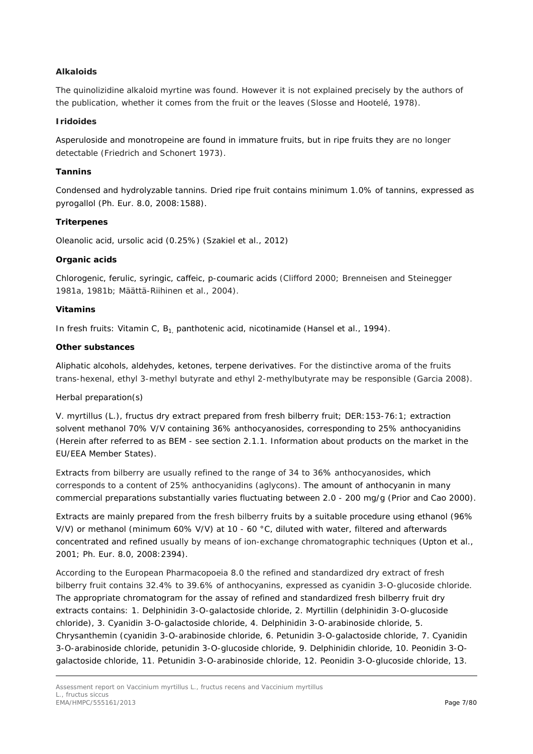## **Alkaloids**

The quinolizidine alkaloid myrtine was found. However it is not explained precisely by the authors of the publication, whether it comes from the fruit or the leaves (Slosse and Hootelé, 1978).

## **Iridoides**

Asperuloside and monotropeine are found in immature fruits, but in ripe fruits they are no longer detectable (Friedrich and Schonert 1973).

## **Tannins**

Condensed and hydrolyzable tannins. Dried ripe fruit contains minimum 1.0% of tannins, expressed as pyrogallol (Ph. Eur. 8.0, 2008:1588).

## **Triterpenes**

Oleanolic acid, ursolic acid (0.25%) (Szakiel et al., 2012)

## **Organic acids**

Chlorogenic, ferulic, syringic, caffeic, p-coumaric acids (Clifford 2000; Brenneisen and Steinegger 1981a, 1981b; Määttä-Riihinen *et al*., 2004).

## **Vitamins**

In fresh fruits: Vitamin C, B<sub>1</sub> panthotenic acid, nicotinamide (Hansel *et al.*, 1994).

## **Other substances**

Aliphatic alcohols, aldehydes, ketones, terpene derivatives. For the distinctive aroma of the fruits *trans*-hexenal, ethyl 3-methyl butyrate and ethyl 2-methylbutyrate may be responsible (Garcia 2008).

## Herbal preparation(s)

*V. myrtillus* (L.), fructus dry extract prepared from fresh bilberry fruit; DER:153-76:1; extraction solvent methanol 70% V/V containing 36% anthocyanosides, corresponding to 25% anthocyanidins (Herein after referred to as BEM - see section 2.1.1. Information about products on the market in the EU/EEA Member States).

Extracts from bilberry are usually refined to the range of 34 to 36% anthocyanosides, which corresponds to a content of 25% anthocyanidins (aglycons). The amount of anthocyanin in many commercial preparations substantially varies fluctuating between 2.0 - 200 mg/g (Prior and Cao 2000).

Extracts are mainly prepared from the fresh bilberry fruits by a suitable procedure using ethanol (96% V/V) or methanol (minimum 60% V/V) at 10 - 60 °C, diluted with water, filtered and afterwards concentrated and refined usually by means of ion-exchange chromatographic techniques (Upton *et al.,* 2001; Ph. Eur. 8.0, 2008:2394).

According to the European Pharmacopoeia 8.0 the refined and standardized dry extract of fresh bilberry fruit contains 32.4% to 39.6% of anthocyanins, expressed as cyanidin 3-*O*-glucoside chloride. The appropriate chromatogram for the assay of refined and standardized fresh bilberry fruit dry extracts contains: 1. Delphinidin 3-*O*-galactoside chloride, 2. Myrtillin (delphinidin 3-*O*-glucoside chloride), 3. Cyanidin 3-*O*-galactoside chloride, 4. Delphinidin 3-*O*-arabinoside chloride, 5. Chrysanthemin (cyanidin 3-*O*-arabinoside chloride, 6. Petunidin 3-*O*-galactoside chloride, 7. Cyanidin 3-*O*-arabinoside chloride, petunidin 3-*O*-glucoside chloride, 9. Delphinidin chloride, 10. Peonidin 3-*O*galactoside chloride, 11. Petunidin 3-*O*-arabinoside chloride, 12. Peonidin 3-*O*-glucoside chloride, 13.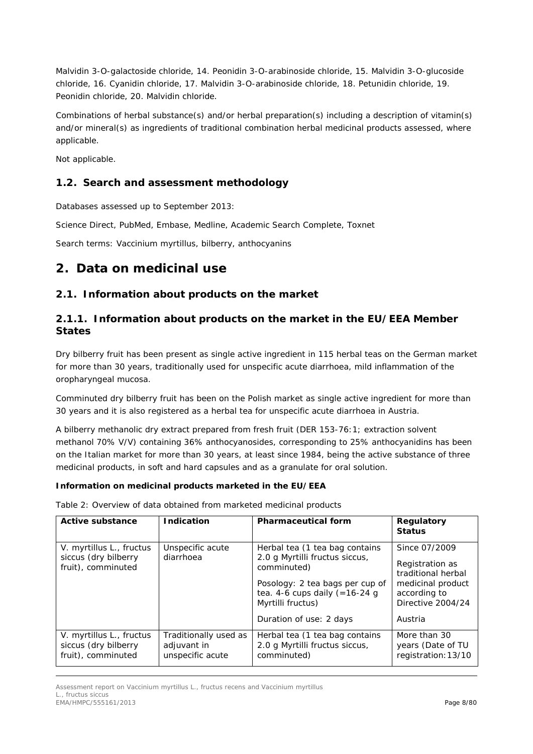Malvidin 3-*O*-galactoside chloride, 14. Peonidin 3-*O*-arabinoside chloride, 15. Malvidin 3-*O*-glucoside chloride, 16. Cyanidin chloride, 17. Malvidin 3-*O*-arabinoside chloride, 18. Petunidin chloride, 19. Peonidin chloride, 20. Malvidin chloride.

Combinations of herbal substance(s) and/or herbal preparation(s) including a description of vitamin(s) and/or mineral(s) as ingredients of traditional combination herbal medicinal products assessed, where applicable.

Not applicable.

# <span id="page-7-0"></span>*1.2. Search and assessment methodology*

Databases assessed up to September 2013:

Science Direct, PubMed, Embase, Medline, Academic Search Complete, Toxnet

Search terms: *Vaccinium myrtillus*, bilberry, anthocyanins

# <span id="page-7-1"></span>**2. Data on medicinal use**

## <span id="page-7-2"></span>*2.1. Information about products on the market*

# <span id="page-7-3"></span>**2.1.1. Information about products on the market in the EU/EEA Member States**

Dry bilberry fruit has been present as single active ingredient in 115 herbal teas on the German market for more than 30 years, traditionally used for unspecific acute diarrhoea, mild inflammation of the oropharyngeal mucosa.

Comminuted dry bilberry fruit has been on the Polish market as single active ingredient for more than 30 years and it is also registered as a herbal tea for unspecific acute diarrhoea in Austria.

*A bilberry methanolic dry extract prepared from fresh fruit (DER 153-76:1; extraction solvent methanol 70% V/V) containing 36% anthocyanosides, corresponding to 25% anthocyanidins has been on the Italian market for more than 30 years, at least since 1984, being the active substance of three medicinal products, in soft and hard capsules and as a granulate for oral solution.*

## **Information on medicinal products marketed in the EU/EEA**

Table 2: Overview of data obtained from marketed medicinal products

| Active substance                                                       | <b>Indication</b>                                        | <b>Pharmaceutical form</b>                                                                                                                                                                             | <b>Regulatory</b><br><b>Status</b>                                                                                          |
|------------------------------------------------------------------------|----------------------------------------------------------|--------------------------------------------------------------------------------------------------------------------------------------------------------------------------------------------------------|-----------------------------------------------------------------------------------------------------------------------------|
| V. myrtillus L., fructus<br>siccus (dry bilberry<br>fruit), comminuted | Unspecific acute<br>diarrhoea                            | Herbal tea (1 tea bag contains<br>2.0 g Myrtilli fructus siccus,<br>comminuted)<br>Posology: 2 tea bags per cup of<br>tea. 4-6 cups daily $(=16-24)$ g<br>Myrtilli fructus)<br>Duration of use: 2 days | Since 07/2009<br>Registration as<br>traditional herbal<br>medicinal product<br>according to<br>Directive 2004/24<br>Austria |
| V. myrtillus L., fructus<br>siccus (dry bilberry<br>fruit), comminuted | Traditionally used as<br>adjuvant in<br>unspecific acute | Herbal tea (1 tea bag contains<br>2.0 g Myrtilli fructus siccus,<br>comminuted)                                                                                                                        | More than 30<br>years (Date of TU<br>registration: 13/10                                                                    |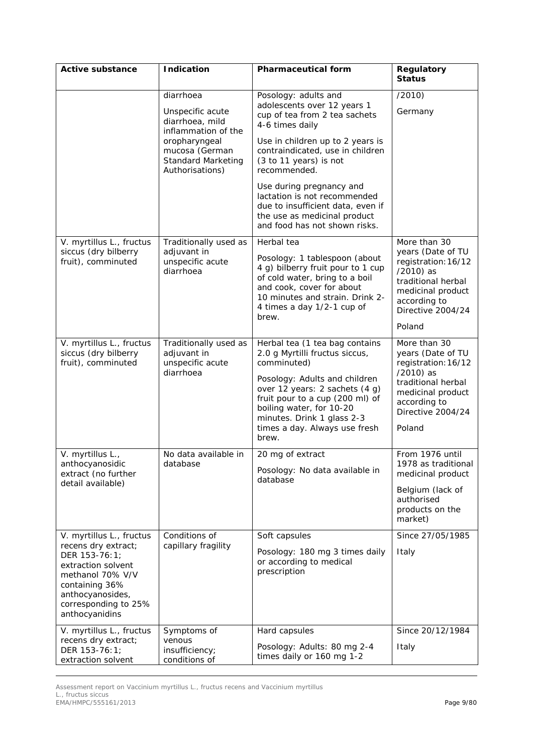| <b>Active substance</b>                                                                                                                                                                    | <b>Indication</b>                                                                                                                                          | <b>Pharmaceutical form</b>                                                                                                                                                                                                                                                                                                                                                                  | Regulatory<br><b>Status</b>                                                                                                                                     |
|--------------------------------------------------------------------------------------------------------------------------------------------------------------------------------------------|------------------------------------------------------------------------------------------------------------------------------------------------------------|---------------------------------------------------------------------------------------------------------------------------------------------------------------------------------------------------------------------------------------------------------------------------------------------------------------------------------------------------------------------------------------------|-----------------------------------------------------------------------------------------------------------------------------------------------------------------|
|                                                                                                                                                                                            | diarrhoea<br>Unspecific acute<br>diarrhoea, mild<br>inflammation of the<br>oropharyngeal<br>mucosa (German<br><b>Standard Marketing</b><br>Authorisations) | Posology: adults and<br>adolescents over 12 years 1<br>cup of tea from 2 tea sachets<br>4-6 times daily<br>Use in children up to 2 years is<br>contraindicated, use in children<br>(3 to 11 years) is not<br>recommended.<br>Use during pregnancy and<br>lactation is not recommended<br>due to insufficient data, even if<br>the use as medicinal product<br>and food has not shown risks. | (2010)<br>Germany                                                                                                                                               |
| V. myrtillus L., fructus<br>siccus (dry bilberry<br>fruit), comminuted                                                                                                                     | Traditionally used as<br>adjuvant in<br>unspecific acute<br>diarrhoea                                                                                      | Herbal tea<br>Posology: 1 tablespoon (about<br>4 g) bilberry fruit pour to 1 cup<br>of cold water, bring to a boil<br>and cook, cover for about<br>10 minutes and strain. Drink 2-<br>4 times a day 1/2-1 cup of<br>brew.                                                                                                                                                                   | More than 30<br>years (Date of TU<br>registration: 16/12<br>/2010) as<br>traditional herbal<br>medicinal product<br>according to<br>Directive 2004/24<br>Poland |
| V. myrtillus L., fructus<br>siccus (dry bilberry<br>fruit), comminuted                                                                                                                     | Traditionally used as<br>adjuvant in<br>unspecific acute<br>diarrhoea                                                                                      | Herbal tea (1 tea bag contains<br>2.0 g Myrtilli fructus siccus,<br>comminuted)<br>Posology: Adults and children<br>over 12 years: 2 sachets (4 g)<br>fruit pour to a cup (200 ml) of<br>boiling water, for 10-20<br>minutes. Drink 1 glass 2-3<br>times a day. Always use fresh<br>brew.                                                                                                   | More than 30<br>years (Date of TU<br>registration: 16/12<br>/2010) as<br>traditional herbal<br>medicinal product<br>according to<br>Directive 2004/24<br>Poland |
| V. myrtillus L.,<br>anthocyanosidic<br>extract (no further<br>detail available)                                                                                                            | No data available in<br>database                                                                                                                           | 20 mg of extract<br>Posology: No data available in<br>database                                                                                                                                                                                                                                                                                                                              | From 1976 until<br>1978 as traditional<br>medicinal product<br>Belgium (lack of<br>authorised<br>products on the<br>market)                                     |
| V. myrtillus L., fructus<br>recens dry extract;<br>DER 153-76:1;<br>extraction solvent<br>methanol 70% V/V<br>containing 36%<br>anthocyanosides,<br>corresponding to 25%<br>anthocyanidins | Conditions of<br>capillary fragility                                                                                                                       | Soft capsules<br>Posology: 180 mg 3 times daily<br>or according to medical<br>prescription                                                                                                                                                                                                                                                                                                  | Since 27/05/1985<br>Italy                                                                                                                                       |
| V. myrtillus L., fructus<br>recens dry extract;<br>DER 153-76:1;<br>extraction solvent                                                                                                     | Symptoms of<br>venous<br>insufficiency;<br>conditions of                                                                                                   | Hard capsules<br>Posology: Adults: 80 mg 2-4<br>times daily or 160 mg 1-2                                                                                                                                                                                                                                                                                                                   | Since 20/12/1984<br>Italy                                                                                                                                       |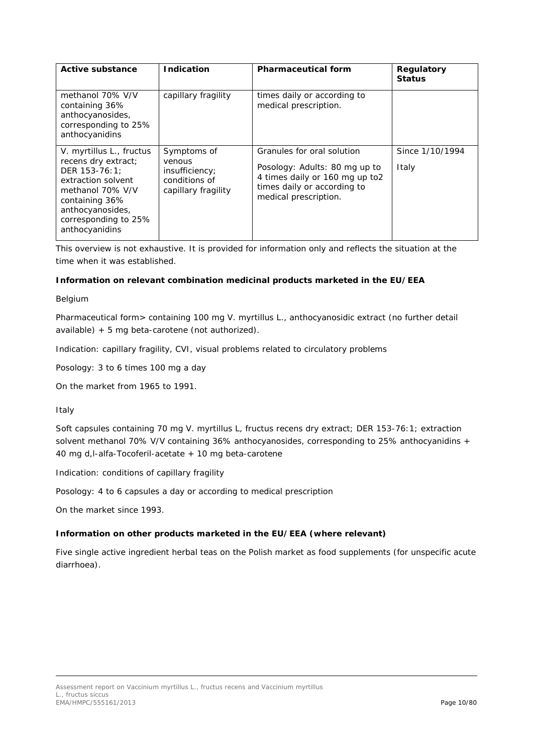| Active substance                                                                                                                                                                           | <b>Indication</b>                                                               | <b>Pharmaceutical form</b>                                                                                                                            | Regulatory<br><b>Status</b> |
|--------------------------------------------------------------------------------------------------------------------------------------------------------------------------------------------|---------------------------------------------------------------------------------|-------------------------------------------------------------------------------------------------------------------------------------------------------|-----------------------------|
| methanol 70% V/V<br>containing 36%<br>anthocyanosides,<br>corresponding to 25%<br>anthocyanidins                                                                                           | capillary fragility                                                             | times daily or according to<br>medical prescription.                                                                                                  |                             |
| V. myrtillus L., fructus<br>recens dry extract;<br>DER 153-76:1:<br>extraction solvent<br>methanol 70% V/V<br>containing 36%<br>anthocyanosides,<br>corresponding to 25%<br>anthocyanidins | Symptoms of<br>venous<br>insufficiency;<br>conditions of<br>capillary fragility | Granules for oral solution<br>Posology: Adults: 80 mg up to<br>4 times daily or 160 mg up to2<br>times daily or according to<br>medical prescription. | Since 1/10/1994<br>Italy    |

This overview is not exhaustive. It is provided for information only and reflects the situation at the time when it was established.

## **Information on relevant combination medicinal products marketed in the EU/EEA**

Belgium

Pharmaceutical form> containing 100 mg *V. myrtillus* L., anthocyanosidic extract (no further detail available) + 5 mg beta-carotene (not authorized).

Indication: capillary fragility, CVI, visual problems related to circulatory problems

Posology: 3 to 6 times 100 mg a day

On the market from 1965 to 1991.

## Italy

Soft capsules containing 70 mg *V. myrtillus* L, fructus recens dry extract; DER 153-76:1; extraction solvent methanol 70% V/V containing 36% anthocyanosides, corresponding to 25% anthocyanidins + 40 mg d,l-alfa-Tocoferil-acetate + 10 mg beta-carotene

Indication: conditions of capillary fragility

Posology: 4 to 6 capsules a day or according to medical prescription

On the market since 1993.

## **Information on other products marketed in the EU/EEA (where relevant)**

Five single active ingredient herbal teas on the Polish market as food supplements (for unspecific acute diarrhoea).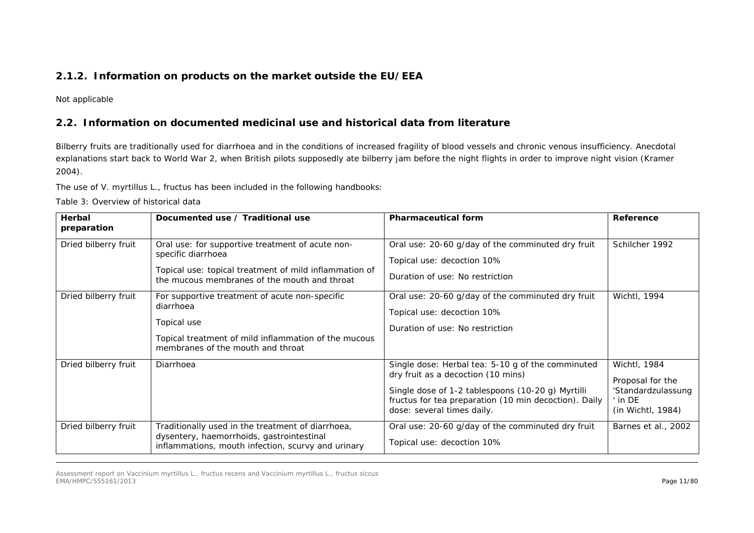# **2.1.2. Information on products on the market outside the EU/EEA**

Not applicable

# *2.2. Information on documented medicinal use and historical data from literature*

Bilberry fruits are traditionally used for diarrhoea and in the conditions of increased fragility of blood vessels and chronic venous insufficiency. Anecdotal explanations start back to World War 2, when British pilots supposedly ate bilberry jam before the night flights in order to improve night vision (Kramer 2004).

The use of *V. myrtillus* L., fructus has been included in the following handbooks:

Table 3: Overview of historical data

<span id="page-10-1"></span><span id="page-10-0"></span>

| <b>Herbal</b><br>preparation | Documented use / Traditional use                                                                                                                                                 | <b>Pharmaceutical form</b>                                                                                                                                                                                                          | Reference                                                                              |
|------------------------------|----------------------------------------------------------------------------------------------------------------------------------------------------------------------------------|-------------------------------------------------------------------------------------------------------------------------------------------------------------------------------------------------------------------------------------|----------------------------------------------------------------------------------------|
| Dried bilberry fruit         | Oral use: for supportive treatment of acute non-<br>specific diarrhoea<br>Topical use: topical treatment of mild inflammation of<br>the mucous membranes of the mouth and throat | Oral use: 20-60 g/day of the comminuted dry fruit<br>Topical use: decoction 10%<br>Duration of use: No restriction                                                                                                                  | Schilcher 1992                                                                         |
| Dried bilberry fruit         | For supportive treatment of acute non-specific<br>diarrhoea<br>Topical use<br>Topical treatment of mild inflammation of the mucous<br>membranes of the mouth and throat          | Oral use: 20-60 g/day of the comminuted dry fruit<br>Topical use: decoction 10%<br>Duration of use: No restriction                                                                                                                  | Wichtl, 1994                                                                           |
| Dried bilberry fruit         | Diarrhoea                                                                                                                                                                        | Single dose: Herbal tea: 5-10 g of the comminuted<br>dry fruit as a decoction (10 mins)<br>Single dose of 1-2 tablespoons (10-20 g) Myrtilli<br>fructus for tea preparation (10 min decoction). Daily<br>dose: several times daily. | Wichtl, 1984<br>Proposal for the<br>'Standardzulassung<br>' in DE<br>(in Wichtl, 1984) |
| Dried bilberry fruit         | Traditionally used in the treatment of diarrhoea,<br>dysentery, haemorrhoids, gastrointestinal<br>inflammations, mouth infection, scurvy and urinary                             | Oral use: 20-60 g/day of the comminuted dry fruit<br>Topical use: decoction 10%                                                                                                                                                     | Barnes et al., 2002                                                                    |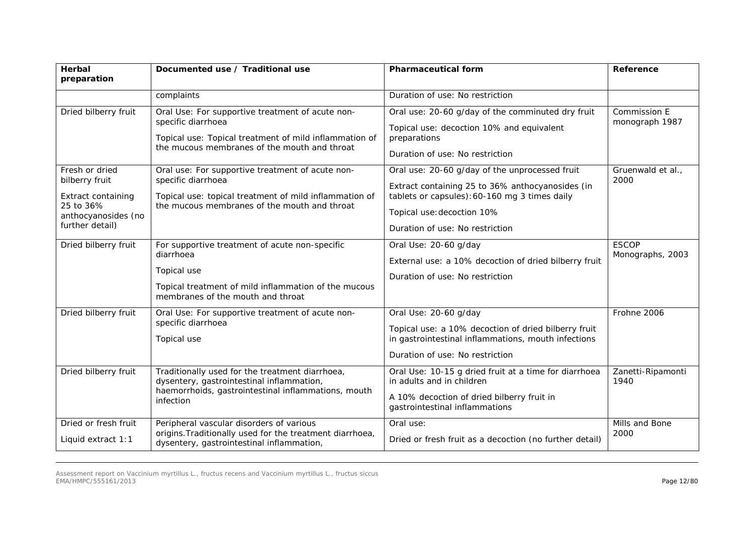| Herbal                                                                                                        | Documented use / Traditional use                                                                                                                                                 | <b>Pharmaceutical form</b>                                                                                                                                                                                           | Reference                        |
|---------------------------------------------------------------------------------------------------------------|----------------------------------------------------------------------------------------------------------------------------------------------------------------------------------|----------------------------------------------------------------------------------------------------------------------------------------------------------------------------------------------------------------------|----------------------------------|
| preparation                                                                                                   |                                                                                                                                                                                  |                                                                                                                                                                                                                      |                                  |
|                                                                                                               | complaints                                                                                                                                                                       | Duration of use: No restriction                                                                                                                                                                                      |                                  |
| Dried bilberry fruit                                                                                          | Oral Use: For supportive treatment of acute non-<br>specific diarrhoea<br>Topical use: Topical treatment of mild inflammation of<br>the mucous membranes of the mouth and throat | Oral use: 20-60 g/day of the comminuted dry fruit<br>Topical use: decoction 10% and equivalent<br>preparations<br>Duration of use: No restriction                                                                    | Commission E<br>monograph 1987   |
| Fresh or dried<br>bilberry fruit<br>Extract containing<br>25 to 36%<br>anthocyanosides (no<br>further detail) | Oral use: For supportive treatment of acute non-<br>specific diarrhoea<br>Topical use: topical treatment of mild inflammation of<br>the mucous membranes of the mouth and throat | Oral use: 20-60 g/day of the unprocessed fruit<br>Extract containing 25 to 36% anthocyanosides (in<br>tablets or capsules): 60-160 mg 3 times daily<br>Topical use: decoction 10%<br>Duration of use: No restriction | Gruenwald et al.,<br>2000        |
| Dried bilberry fruit                                                                                          | For supportive treatment of acute non-specific<br>diarrhoea<br>Topical use<br>Topical treatment of mild inflammation of the mucous<br>membranes of the mouth and throat          | Oral Use: 20-60 g/day<br>External use: a 10% decoction of dried bilberry fruit<br>Duration of use: No restriction                                                                                                    | <b>ESCOP</b><br>Monographs, 2003 |
| Dried bilberry fruit                                                                                          | Oral Use: For supportive treatment of acute non-<br>specific diarrhoea<br>Topical use                                                                                            | Oral Use: 20-60 g/day<br>Topical use: a 10% decoction of dried bilberry fruit<br>in gastrointestinal inflammations, mouth infections<br>Duration of use: No restriction                                              | Frohne 2006                      |
| Dried bilberry fruit                                                                                          | Traditionally used for the treatment diarrhoea,<br>dysentery, gastrointestinal inflammation,<br>haemorrhoids, gastrointestinal inflammations, mouth<br>infection                 | Oral Use: 10-15 g dried fruit at a time for diarrhoea<br>in adults and in children<br>A 10% decoction of dried bilberry fruit in<br>gastrointestinal inflammations                                                   | Zanetti-Ripamonti<br>1940        |
| Dried or fresh fruit<br>Liquid extract $1:1$                                                                  | Peripheral vascular disorders of various<br>origins. Traditionally used for the treatment diarrhoea,<br>dysentery, gastrointestinal inflammation,                                | Oral use:<br>Dried or fresh fruit as a decoction (no further detail)                                                                                                                                                 | Mills and Bone<br>2000           |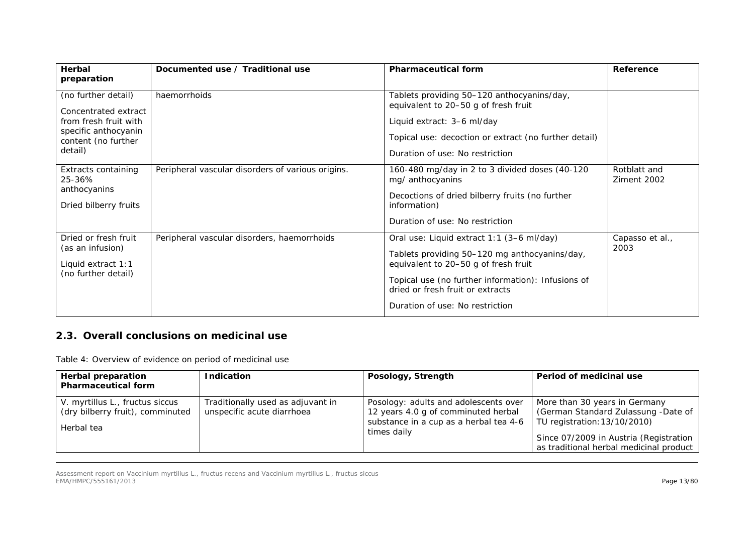| Herbal<br>preparation                                                                                                          | Documented use / Traditional use                  | <b>Pharmaceutical form</b>                                                                                                                                                                                                                                      | Reference                   |
|--------------------------------------------------------------------------------------------------------------------------------|---------------------------------------------------|-----------------------------------------------------------------------------------------------------------------------------------------------------------------------------------------------------------------------------------------------------------------|-----------------------------|
| (no further detail)<br>Concentrated extract<br>from fresh fruit with<br>specific anthocyanin<br>content (no further<br>detail) | haemorrhoids                                      | Tablets providing 50-120 anthocyanins/day,<br>equivalent to 20-50 g of fresh fruit<br>Liquid extract: 3-6 ml/day<br>Topical use: decoction or extract (no further detail)<br>Duration of use: No restriction                                                    |                             |
| Extracts containing<br>25-36%<br>anthocyanins<br>Dried bilberry fruits                                                         | Peripheral vascular disorders of various origins. | 160-480 mg/day in 2 to 3 divided doses (40-120<br>mg/ anthocyanins<br>Decoctions of dried bilberry fruits (no further<br>information)<br>Duration of use: No restriction                                                                                        | Rotblatt and<br>Ziment 2002 |
| Dried or fresh fruit<br>(as an infusion)<br>Liquid extract 1:1<br>(no further detail)                                          | Peripheral vascular disorders, haemorrhoids       | Oral use: Liquid extract 1:1 (3–6 ml/day)<br>Tablets providing 50-120 mg anthocyanins/day,<br>equivalent to 20-50 g of fresh fruit<br>Topical use (no further information): Infusions of<br>dried or fresh fruit or extracts<br>Duration of use: No restriction | Capasso et al.,<br>2003     |

# *2.3. Overall conclusions on medicinal use*

Table 4: Overview of evidence on period of medicinal use

<span id="page-12-0"></span>

| <b>Herbal preparation</b><br><b>Pharmaceutical form</b>                           | <b>Indication</b>                                               | Posology, Strength                                                                                                                    | Period of medicinal use                                                                                                                                                                   |
|-----------------------------------------------------------------------------------|-----------------------------------------------------------------|---------------------------------------------------------------------------------------------------------------------------------------|-------------------------------------------------------------------------------------------------------------------------------------------------------------------------------------------|
| V. myrtillus L., fructus siccus<br>(dry bilberry fruit), comminuted<br>Herbal tea | Traditionally used as adjuvant in<br>unspecific acute diarrhoea | Posology: adults and adolescents over<br>12 years 4.0 g of comminuted herbal<br>substance in a cup as a herbal tea 4-6<br>times daily | More than 30 years in Germany<br>(German Standard Zulassung -Date of<br>TU registration: 13/10/2010)<br>Since 07/2009 in Austria (Registration<br>as traditional herbal medicinal product |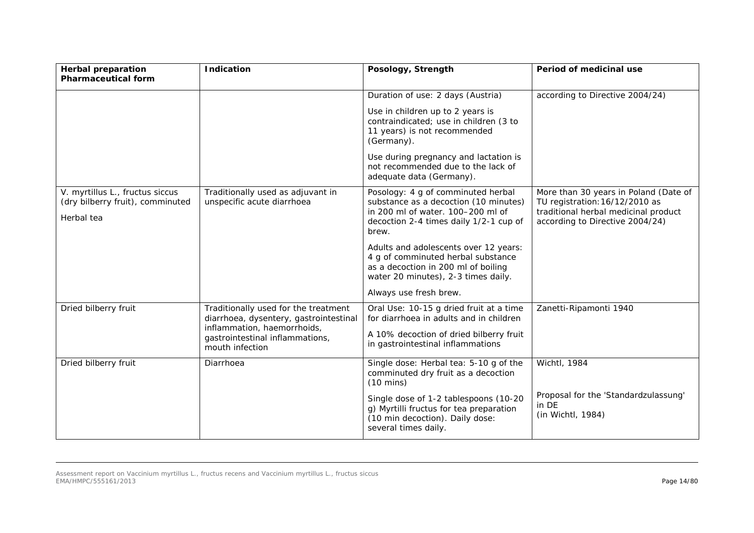| <b>Herbal preparation</b><br><b>Pharmaceutical form</b>             | <b>Indication</b>                                                                 | Posology, Strength                                                                                                                                        | Period of medicinal use                                                                                         |
|---------------------------------------------------------------------|-----------------------------------------------------------------------------------|-----------------------------------------------------------------------------------------------------------------------------------------------------------|-----------------------------------------------------------------------------------------------------------------|
|                                                                     |                                                                                   | Duration of use: 2 days (Austria)                                                                                                                         | according to Directive 2004/24)                                                                                 |
|                                                                     |                                                                                   | Use in children up to 2 years is<br>contraindicated; use in children (3 to<br>11 years) is not recommended<br>(Germany).                                  |                                                                                                                 |
|                                                                     |                                                                                   | Use during pregnancy and lactation is<br>not recommended due to the lack of<br>adequate data (Germany).                                                   |                                                                                                                 |
| V. myrtillus L., fructus siccus<br>(dry bilberry fruit), comminuted | Traditionally used as adjuvant in<br>unspecific acute diarrhoea                   | Posology: 4 g of comminuted herbal<br>substance as a decoction (10 minutes)<br>in 200 ml of water. 100-200 ml of                                          | More than 30 years in Poland (Date of<br>TU registration: 16/12/2010 as<br>traditional herbal medicinal product |
| Herbal tea                                                          |                                                                                   | decoction 2-4 times daily 1/2-1 cup of<br>brew.                                                                                                           | according to Directive 2004/24)                                                                                 |
|                                                                     |                                                                                   | Adults and adolescents over 12 years:<br>4 g of comminuted herbal substance<br>as a decoction in 200 ml of boiling<br>water 20 minutes), 2-3 times daily. |                                                                                                                 |
|                                                                     |                                                                                   | Always use fresh brew.                                                                                                                                    |                                                                                                                 |
| Dried bilberry fruit                                                | Traditionally used for the treatment<br>diarrhoea, dysentery, gastrointestinal    | Oral Use: 10-15 g dried fruit at a time<br>for diarrhoea in adults and in children                                                                        | Zanetti-Ripamonti 1940                                                                                          |
|                                                                     | inflammation, haemorrhoids,<br>gastrointestinal inflammations,<br>mouth infection | A 10% decoction of dried bilberry fruit<br>in gastrointestinal inflammations                                                                              |                                                                                                                 |
| Dried bilberry fruit                                                | Diarrhoea                                                                         | Single dose: Herbal tea: 5-10 g of the<br>comminuted dry fruit as a decoction<br>$(10 \text{ mins})$                                                      | Wichtl, 1984                                                                                                    |
|                                                                     |                                                                                   | Single dose of 1-2 tablespoons (10-20<br>g) Myrtilli fructus for tea preparation<br>(10 min decoction). Daily dose:<br>several times daily.               | Proposal for the 'Standardzulassung'<br>in DE<br>(in Wichtl, 1984)                                              |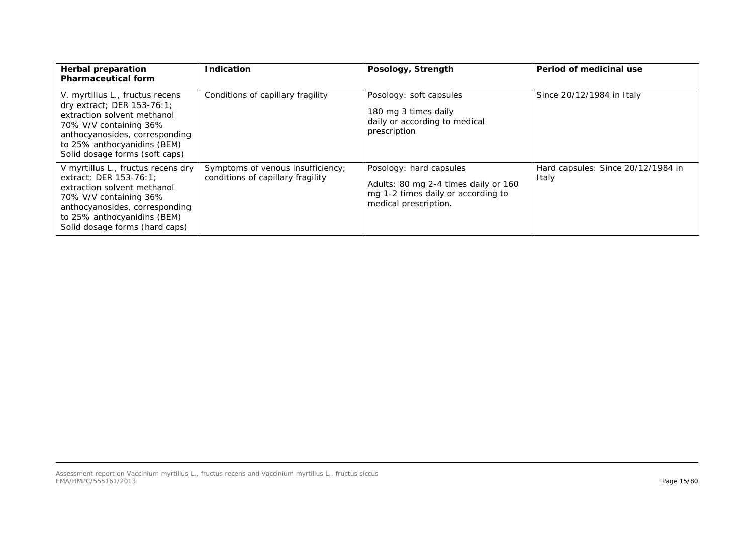| <b>Herbal preparation</b><br><b>Pharmaceutical form</b>                                                                                                                                                                   | <b>Indication</b>                                                      | Posology, Strength                                                                                                             | Period of medicinal use                     |
|---------------------------------------------------------------------------------------------------------------------------------------------------------------------------------------------------------------------------|------------------------------------------------------------------------|--------------------------------------------------------------------------------------------------------------------------------|---------------------------------------------|
| V. myrtillus L., fructus recens<br>dry extract; DER 153-76:1;<br>extraction solvent methanol<br>70% V/V containing 36%<br>anthocyanosides, corresponding<br>to 25% anthocyanidins (BEM)<br>Solid dosage forms (soft caps) | Conditions of capillary fragility                                      | Posology: soft capsules<br>180 mg 3 times daily<br>daily or according to medical<br>prescription                               | Since 20/12/1984 in Italy                   |
| V myrtillus L., fructus recens dry<br>extract; DER 153-76:1;<br>extraction solvent methanol<br>70% V/V containing 36%<br>anthocyanosides, corresponding<br>to 25% anthocyanidins (BEM)<br>Solid dosage forms (hard caps)  | Symptoms of venous insufficiency;<br>conditions of capillary fragility | Posology: hard capsules<br>Adults: 80 mg 2-4 times daily or 160<br>mg 1-2 times daily or according to<br>medical prescription. | Hard capsules: Since 20/12/1984 in<br>Italy |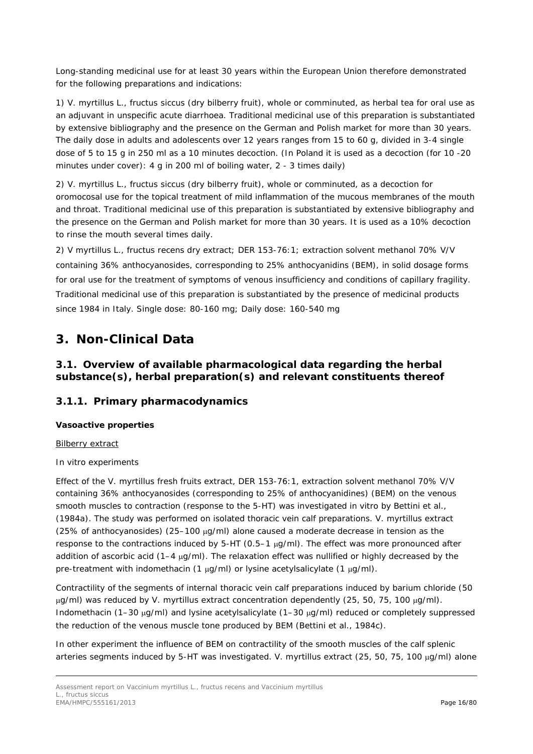Long-standing medicinal use for at least 30 years within the European Union therefore demonstrated for the following preparations and indications:

1) *V. myrtillus* L., fructus siccus (dry bilberry fruit), whole or comminuted, as herbal tea for oral use as an adjuvant in unspecific acute diarrhoea. Traditional medicinal use of this preparation is substantiated by extensive bibliography and the presence on the German and Polish market for more than 30 years. The daily dose in adults and adolescents over 12 years ranges from 15 to 60 g, divided in 3-4 single dose of 5 to 15 g in 250 ml as a 10 minutes decoction. (In Poland it is used as a decoction (for 10 -20 minutes under cover): 4 g in 200 ml of boiling water, 2 - 3 times daily)

2) *V. myrtillus* L., fructus siccus (dry bilberry fruit), whole or comminuted, as a decoction for oromocosal use for the topical treatment of mild inflammation of the mucous membranes of the mouth and throat. Traditional medicinal use of this preparation is substantiated by extensive bibliography and the presence on the German and Polish market for more than 30 years. It is used as a 10% decoction to rinse the mouth several times daily.

2) *V myrtillus* L., fructus recens dry extract; DER 153-76:1; extraction solvent methanol 70% V/V containing 36% anthocyanosides, corresponding to 25% anthocyanidins (BEM), in solid dosage forms for oral use for the treatment of symptoms of venous insufficiency and conditions of capillary fragility. Traditional medicinal use of this preparation is substantiated by the presence of medicinal products since 1984 in Italy. Single dose: 80-160 mg; Daily dose: 160-540 mg

# <span id="page-15-0"></span>**3. Non-Clinical Data**

# <span id="page-15-1"></span>*3.1. Overview of available pharmacological data regarding the herbal substance(s), herbal preparation(s) and relevant constituents thereof*

## <span id="page-15-2"></span>**3.1.1. Primary pharmacodynamics**

## **Vasoactive properties**

## Bilberry extract

## *In vitro experiments*

Effect of the *V. myrtillus* fresh fruits extract, DER 153-76:1, extraction solvent methanol 70% V/V containing 36% anthocyanosides (corresponding to 25% of anthocyanidines) (BEM) on the venous smooth muscles to contraction (response to the 5-HT) was investigated *in vitro* by Bettini *et al.,* (1984a). The study was performed on isolated thoracic vein calf preparations. *V. myrtillus* extract (25% of anthocyanosides) (25-100  $\mu$ g/ml) alone caused a moderate decrease in tension as the response to the contractions induced by 5-HT ( $0.5-1 \mu g/ml$ ). The effect was more pronounced after addition of ascorbic acid (1-4 µg/ml). The relaxation effect was nullified or highly decreased by the pre-treatment with indomethacin (1 µg/ml) or lysine acetylsalicylate (1 µg/ml).

Contractility of the segments of internal thoracic vein calf preparations induced by barium chloride (50 µg/ml) was reduced by *V. myrtillus* extract concentration dependently (25, 50, 75, 100 µg/ml). Indomethacin (1–30 µg/ml) and lysine acetylsalicylate (1–30 µg/ml) reduced or completely suppressed the reduction of the venous muscle tone produced by BEM (Bettini *et al*., 1984c).

In other experiment the influence of BEM on contractility of the smooth muscles of the calf splenic arteries segments induced by 5-HT was investigated. *V. myrtillus* extract (25, 50, 75, 100 µg/ml) alone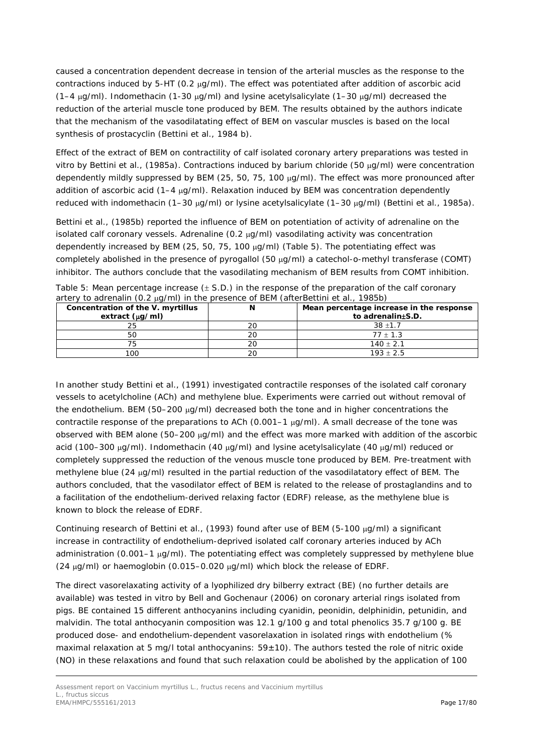caused a concentration dependent decrease in tension of the arterial muscles as the response to the contractions induced by 5-HT (0.2 µg/ml). The effect was potentiated after addition of ascorbic acid  $(1-4 \mu g/ml)$ . Indomethacin  $(1-30 \mu g/ml)$  and lysine acetylsalicylate  $(1-30 \mu g/ml)$  decreased the reduction of the arterial muscle tone produced by BEM. The results obtained by the authors indicate that the mechanism of the vasodilatating effect of BEM on vascular muscles is based on the local synthesis of prostacyclin (Bettini *et al.,* 1984 b).

Effect of the extract of BEM on contractility of calf isolated coronary artery preparations was tested *in vitro* by Bettini *et al.,* (1985a). Contractions induced by barium chloride (50 µg/ml) were concentration dependently mildly suppressed by BEM (25, 50, 75, 100 µg/ml). The effect was more pronounced after addition of ascorbic acid (1-4 µg/ml). Relaxation induced by BEM was concentration dependently reduced with indomethacin (1–30 µg/ml) or lysine acetylsalicylate (1–30 µg/ml) (Bettini *et al.,* 1985a).

Bettini *et al.*, (1985b) reported the influence of BEM on potentiation of activity of adrenaline on the isolated calf coronary vessels. Adrenaline (0.2 µg/ml) vasodilating activity was concentration dependently increased by BEM (25, 50, 75, 100 µg/ml) (Table 5). The potentiating effect was completely abolished in the presence of pyrogallol (50 µg/ml) a catechol-o-methyl transferase (COMT) inhibitor. The authors conclude that the vasodilating mechanism of BEM results from COMT inhibition.

|  |  |  |                                                                                          | Table 5: Mean percentage increase $(\pm$ S.D.) in the response of the preparation of the calf coronary |
|--|--|--|------------------------------------------------------------------------------------------|--------------------------------------------------------------------------------------------------------|
|  |  |  | artery to adrenalin (0.2 $\mu$ g/ml) in the presence of BEM (afterBettini et al., 1985b) |                                                                                                        |

| Concentration of the V. myrtillus<br>extract $(\mu q/m)$ |    | Mean percentage increase in the response<br>to adrenalin±S.D. |
|----------------------------------------------------------|----|---------------------------------------------------------------|
|                                                          | 20 | $38 + 1.7$                                                    |
|                                                          | 20 | $77 + 1.3$                                                    |
|                                                          | 20 | $140 \pm 2.1$                                                 |
| 100                                                      | 20 | $193 + 2.5$                                                   |

In another study Bettini *et al.,* (1991) investigated contractile responses of the isolated calf coronary vessels to acetylcholine (ACh) and methylene blue. Experiments were carried out without removal of the endothelium. BEM (50–200 µg/ml) decreased both the tone and in higher concentrations the contractile response of the preparations to ACh (0.001–1 µg/ml). A small decrease of the tone was observed with BEM alone (50–200 µg/ml) and the effect was more marked with addition of the ascorbic acid (100–300 µg/ml). Indomethacin (40 µg/ml) and lysine acetylsalicylate (40 µg/ml) reduced or completely suppressed the reduction of the venous muscle tone produced by BEM. Pre-treatment with methylene blue  $(24 \mu q/ml)$  resulted in the partial reduction of the vasodilatatory effect of BEM. The authors concluded, that the vasodilator effect of BEM is related to the release of prostaglandins and to a facilitation of the endothelium-derived relaxing factor (EDRF) release, as the methylene blue is known to block the release of EDRF.

Continuing research of Bettini *et al.,* (1993) found after use of BEM (5-100 µg/ml) a significant increase in contractility of endothelium-deprived isolated calf coronary arteries induced by ACh administration (0.001–1 µg/ml). The potentiating effect was completely suppressed by methylene blue (24 µg/ml) or haemoglobin (0.015–0.020 µg/ml) which block the release of EDRF.

The direct vasorelaxating activity of a lyophilized dry bilberry extract (BE) (no further details are available) was tested *in vitro* by Bell and Gochenaur (2006) on coronary arterial rings isolated from pigs. BE contained 15 different anthocyanins including cyanidin, peonidin, delphinidin, petunidin, and malvidin. The total anthocyanin composition was 12.1 g/100 g and total phenolics 35.7 g/100 g. BE produced dose- and endothelium-dependent vasorelaxation in isolated rings with endothelium (% maximal relaxation at 5 mg/l total anthocyanins:  $59\pm10$ ). The authors tested the role of nitric oxide (NO) in these relaxations and found that such relaxation could be abolished by the application of 100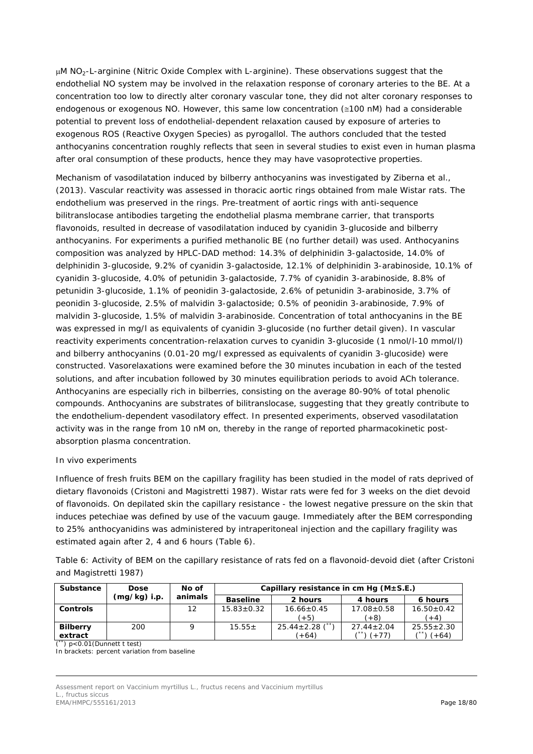µM NO2-L-arginine (*Nitric Oxide Complex* with *L-arginine*). These observations suggest that the endothelial NO system may be involved in the relaxation response of coronary arteries to the BE. At a concentration too low to directly alter coronary vascular tone, they did not alter coronary responses to endogenous or exogenous NO. However, this same low concentration (≅100 nM) had a considerable potential to prevent loss of endothelial-dependent relaxation caused by exposure of arteries to exogenous ROS (*Reactive Oxygen Species*) as pyrogallol. The authors concluded that the tested anthocyanins concentration roughly reflects that seen in several studies to exist even in human plasma after oral consumption of these products, hence they may have vasoprotective properties.

Mechanism of vasodilatation induced by bilberry anthocyanins was investigated by Ziberna *et al.,* (2013). Vascular reactivity was assessed in thoracic aortic rings obtained from male Wistar rats. The endothelium was preserved in the rings. Pre-treatment of aortic rings with anti-sequence bilitranslocase antibodies targeting the endothelial plasma membrane carrier, that transports flavonoids, resulted in decrease of vasodilatation induced by cyanidin 3-glucoside and bilberry anthocyanins. For experiments a purified methanolic BE (no further detail) was used. Anthocyanins composition was analyzed by HPLC-DAD method: 14.3% of delphinidin 3-galactoside, 14.0% of delphinidin 3-glucoside, 9.2% of cyanidin 3-galactoside, 12.1% of delphinidin 3-arabinoside, 10.1% of cyanidin 3-glucoside, 4.0% of petunidin 3-galactoside, 7.7% of cyanidin 3-arabinoside, 8.8% of petunidin 3-glucoside, 1.1% of peonidin 3-galactoside, 2.6% of petunidin 3-arabinoside, 3.7% of peonidin 3-glucoside, 2.5% of malvidin 3-galactoside; 0.5% of peonidin 3-arabinoside, 7.9% of malvidin 3-glucoside, 1.5% of malvidin 3-arabinoside. Concentration of total anthocyanins in the BE was expressed in mg/l as equivalents of cyanidin 3-glucoside (no further detail given). In vascular reactivity experiments concentration-relaxation curves to cyanidin 3-glucoside (1 nmol/l-10 mmol/l) and bilberry anthocyanins (0.01-20 mg/l expressed as equivalents of cyanidin 3-glucoside) were constructed. Vasorelaxations were examined before the 30 minutes incubation in each of the tested solutions, and after incubation followed by 30 minutes equilibration periods to avoid ACh tolerance. Anthocyanins are especially rich in bilberries, consisting on the average 80-90% of total phenolic compounds. Anthocyanins are substrates of bilitranslocase, suggesting that they greatly contribute to the endothelium-dependent vasodilatory effect. In presented experiments, observed vasodilatation activity was in the range from 10 nM on, thereby in the range of reported pharmacokinetic postabsorption plasma concentration.

## *In vivo experiments*

Influence of fresh fruits BEM on the capillary fragility has been studied in the model of rats deprived of dietary flavonoids (Cristoni and Magistretti 1987). Wistar rats were fed for 3 weeks on the diet devoid of flavonoids. On depilated skin the capillary resistance - the lowest negative pressure on the skin that induces petechiae was defined by use of the vacuum gauge. Immediately after the BEM corresponding to 25% anthocyanidins was administered by intraperitoneal injection and the capillary fragility was estimated again after 2, 4 and 6 hours (Table 6).

Table 6: Activity of BEM on the capillary resistance of rats fed on a flavonoid-devoid diet (after Cristoni and Magistretti 1987)

| Substance       | <b>Dose</b>    | No of   | Capillary resistance in cm Hq $(M \pm S.E.)$ |                       |                  |                  |  |
|-----------------|----------------|---------|----------------------------------------------|-----------------------|------------------|------------------|--|
|                 | $(mg/kg)$ i.p. | animals | <b>Baseline</b>                              | 2 hours               | 4 hours          | 6 hours          |  |
| <b>Controls</b> |                | 12      | $15.83 \pm 0.32$                             | $16.66 \pm 0.45$      | $17.08 \pm 0.58$ | $16.50 \pm 0.42$ |  |
|                 |                |         |                                              | $(+5)$                | $(+8)$           | $(+4)$           |  |
| <b>Bilberry</b> | 200            |         | $15.55+$                                     | $25.44 \pm 2.28$ (**) | $27.44 \pm 2.04$ | $25.55 \pm 2.30$ |  |
| extract<br>ノボボヽ |                |         |                                              | $(+64)$               | $(+77)$          | $(+64)$          |  |

(\*\*) p<0.01(Dunnett t test)

In brackets: percent variation from baseline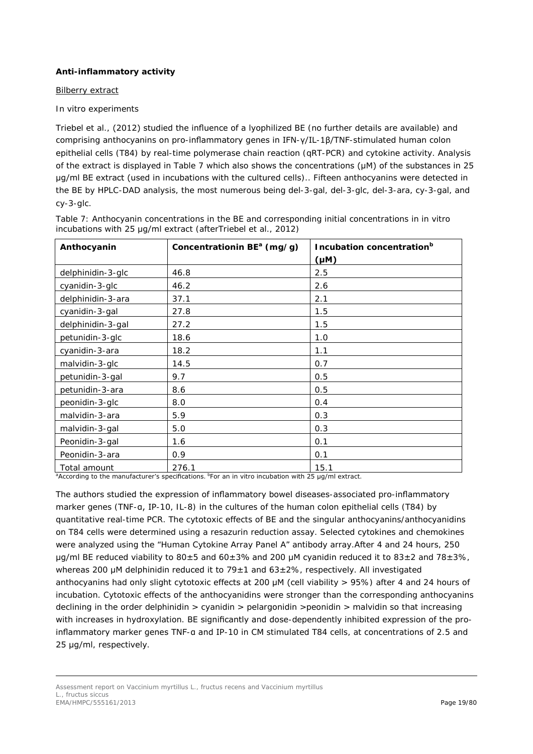## **Anti-inflammatory activity**

## Bilberry extract

## *In vitro experiments*

Triebel *et al.,* (2012) studied the influence of a lyophilized BE (no further details are available) and comprising anthocyanins on pro-inflammatory genes in IFN-γ/IL-1β/TNF-stimulated human colon epithelial cells (T84) by real-time polymerase chain reaction (qRT-PCR) and cytokine activity. Analysis of the extract is displayed in Table 7 which also shows the concentrations (μM) of the substances in 25 μg/ml BE extract (used in incubations with the cultured cells).. Fifteen anthocyanins were detected in the BE by HPLC-DAD analysis, the most numerous being del-3-gal, del-3-glc, del-3-ara, cy-3-gal, and cy-3-glc.

| Anthocyanin       | Concentrationin BE <sup>a</sup> (mg/g) | Incubation concentration <sup>b</sup><br>$(\mu M)$ |
|-------------------|----------------------------------------|----------------------------------------------------|
| delphinidin-3-glc | 46.8                                   | 2.5                                                |
| cyanidin-3-glc    | 46.2                                   | 2.6                                                |
| delphinidin-3-ara | 37.1                                   | 2.1                                                |
| cyanidin-3-gal    | 27.8                                   | 1.5                                                |
| delphinidin-3-gal | 27.2                                   | 1.5                                                |
| petunidin-3-glc   | 18.6                                   | 1.0                                                |
| cyanidin-3-ara    | 18.2                                   | 1.1                                                |
| malvidin-3-glc    | 14.5                                   | 0.7                                                |
| petunidin-3-gal   | 9.7                                    | 0.5                                                |
| petunidin-3-ara   | 8.6                                    | 0.5                                                |
| peonidin-3-glc    | 8.0                                    | 0.4                                                |
| malvidin-3-ara    | 5.9                                    | 0.3                                                |
| malvidin-3-gal    | 5.0                                    | 0.3                                                |
| Peonidin-3-gal    | 1.6                                    | 0.1                                                |
| Peonidin-3-ara    | 0.9                                    | 0.1                                                |
| Total amount      | 276.1                                  | 15.1                                               |

Table 7: Anthocyanin concentrations in the BE and corresponding initial concentrations in *in vitro* incubations with 25 μg/ml extract (afterTriebel *et al.,* 2012)

<sup>a</sup>According to the manufacturer's specifications. <sup>b</sup>For an *in vitro* incubation with 25 μg/ml extract.

The authors studied the expression of inflammatory bowel diseases-associated pro-inflammatory marker genes (TNF-α, IP-10, IL-8) in the cultures of the human colon epithelial cells (T84) by quantitative real-time PCR. The cytotoxic effects of BE and the singular anthocyanins/anthocyanidins on T84 cells were determined using a resazurin reduction assay. Selected cytokines and chemokines were analyzed using the "Human Cytokine Array Panel A" antibody array.After 4 and 24 hours, 250 μg/ml BE reduced viability to  $80±5$  and  $60±3%$  and 200 μM cyanidin reduced it to  $83±2$  and  $78±3%$ , whereas 200 µM delphinidin reduced it to  $79\pm1$  and  $63\pm2\%$ , respectively. All investigated anthocyanins had only slight cytotoxic effects at 200 μM (cell viability > 95%) after 4 and 24 hours of incubation. Cytotoxic effects of the anthocyanidins were stronger than the corresponding anthocyanins declining in the order delphinidin > cyanidin > pelargonidin >peonidin > malvidin so that increasing with increases in hydroxylation. BE significantly and dose-dependently inhibited expression of the proinflammatory marker genes TNF-α and IP-10 in CM stimulated T84 cells, at concentrations of 2.5 and 25 μg/ml, respectively.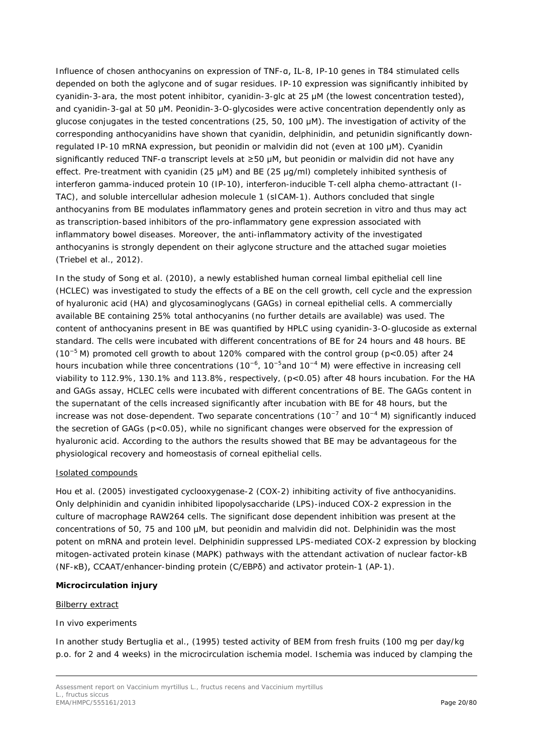Influence of chosen anthocyanins on expression of TNF-α, IL-8, IP-10 genes in T84 stimulated cells depended on both the aglycone and of sugar residues. IP-10 expression was significantly inhibited by cyanidin-3-ara, the most potent inhibitor, cyanidin-3-glc at 25 μM (the lowest concentration tested), and cyanidin-3-gal at 50 μM. Peonidin-3-*O*-glycosides were active concentration dependently only as glucose conjugates in the tested concentrations (25, 50, 100 μM). The investigation of activity of the corresponding anthocyanidins have shown that cyanidin, delphinidin, and petunidin significantly downregulated IP-10 mRNA expression, but peonidin or malvidin did not (even at 100 μM). Cyanidin significantly reduced TNF-α transcript levels at ≥50 μM, but peonidin or malvidin did not have any effect. Pre-treatment with cyanidin (25 μM) and BE (25 μg/ml) completely inhibited synthesis of interferon gamma-induced protein 10 (IP-10), interferon-inducible T-cell alpha chemo-attractant (I-TAC), and soluble intercellular adhesion molecule 1 (sICAM-1). Authors concluded that single anthocyanins from BE modulates inflammatory genes and protein secretion *in vitro* and thus may act as transcription-based inhibitors of the pro-inflammatory gene expression associated with inflammatory bowel diseases. Moreover, the anti-inflammatory activity of the investigated anthocyanins is strongly dependent on their aglycone structure and the attached sugar moieties (Triebel *et al.,* 2012).

In the study of Song *et al.* (2010), a newly established human corneal limbal epithelial cell line (HCLEC) was investigated to study the effects of a BE on the cell growth, cell cycle and the expression of hyaluronic acid (HA) and glycosaminoglycans (GAGs) in corneal epithelial cells. A commercially available BE containing 25% total anthocyanins (no further details are available) was used. The content of anthocyanins present in BE was quantified by HPLC using cyanidin-3-*O*-glucoside as external standard. The cells were incubated with different concentrations of BE for 24 hours and 48 hours. BE (10<sup>-5</sup> M) promoted cell growth to about 120% compared with the control group (p<0.05) after 24 hours incubation while three concentrations (10<sup>-6</sup>, 10<sup>-5</sup>and 10<sup>-4</sup> M) were effective in increasing cell viability to 112.9%, 130.1% and 113.8%, respectively, (p<0.05) after 48 hours incubation. For the HA and GAGs assay, HCLEC cells were incubated with different concentrations of BE. The GAGs content in the supernatant of the cells increased significantly after incubation with BE for 48 hours, but the increase was not dose-dependent. Two separate concentrations (10<sup>−</sup><sup>7</sup> and 10<sup>−</sup><sup>4</sup> M) significantly induced the secretion of GAGs (p<0.05), while no significant changes were observed for the expression of hyaluronic acid. According to the authors the results showed that BE may be advantageous for the physiological recovery and homeostasis of corneal epithelial cells.

## Isolated compounds

Hou *et al.* (2005) investigated cyclooxygenase-2 (COX-2) inhibiting activity of five anthocyanidins. Only delphinidin and cyanidin inhibited lipopolysaccharide (LPS)-induced COX-2 expression in the culture of macrophage RAW264 cells. The significant dose dependent inhibition was present at the concentrations of 50, 75 and 100 µM, but peonidin and malvidin did not. Delphinidin was the most potent on mRNA and protein level. Delphinidin suppressed LPS-mediated COX-2 expression by blocking mitogen-activated protein kinase (MAPK) pathways with the attendant activation of nuclear factor-kB (NF-κB), CCAAT/enhancer-binding protein (C/EBPδ) and activator protein-1 (AP-1).

## **Microcirculation injury**

## Bilberry extract

## *In vivo experiments*

In another study Bertuglia *et al.,* (1995) tested activity of BEM from fresh fruits (100 mg per day/kg p.o. for 2 and 4 weeks) in the microcirculation ischemia model. Ischemia was induced by clamping the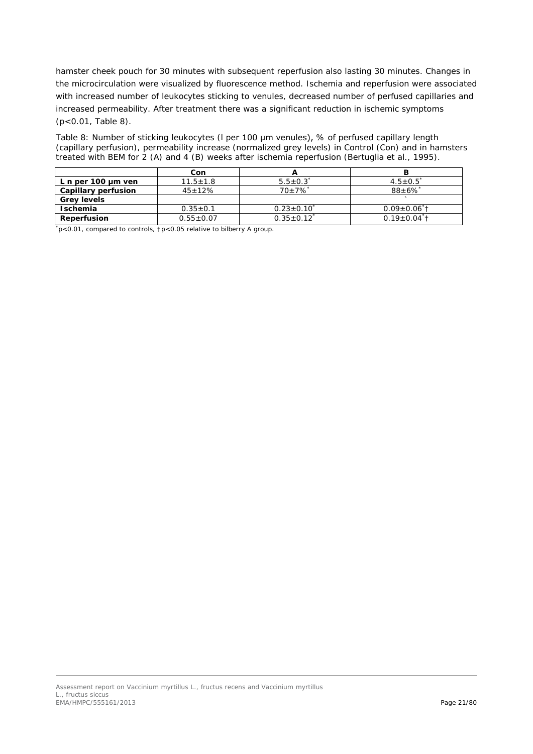hamster cheek pouch for 30 minutes with subsequent reperfusion also lasting 30 minutes. Changes in the microcirculation were visualized by fluorescence method. Ischemia and reperfusion were associated with increased number of leukocytes sticking to venules, decreased number of perfused capillaries and increased permeability. After treatment there was a significant reduction in ischemic symptoms (p<0.01, Table 8).

Table 8: Number of sticking leukocytes (l per 100 μm venules), % of perfused capillary length (capillary perfusion), permeability increase (normalized grey levels) in Control (Con) and in hamsters treated with BEM for 2 (A) and 4 (B) weeks after ischemia reperfusion (Bertuglia *et al*., 1995).

|                         | Con            |                       |                                |
|-------------------------|----------------|-----------------------|--------------------------------|
| L n per 100 $\mu$ m ven | $11.5 \pm 1.8$ | $5.5 \pm 0.3$         | $4.5 + 0.5$                    |
| Capillary perfusion     | $45 \pm 12\%$  | $70+7\%$ <sup>*</sup> | $88+6\%$                       |
| <b>Grey levels</b>      |                |                       |                                |
| <b>Ischemia</b>         | $0.35 \pm 0.1$ | $0.23 \pm 0.10$       | $0.09 \pm 0.06$ <sup>*</sup> t |
| <b>Reperfusion</b>      | $0.55 + 0.07$  | $0.35 \pm 0.12$       | $0.19+0.04$ <sup>*</sup> t     |

\* p<0.01, compared to controls, †p<0.05 relative to bilberry A group.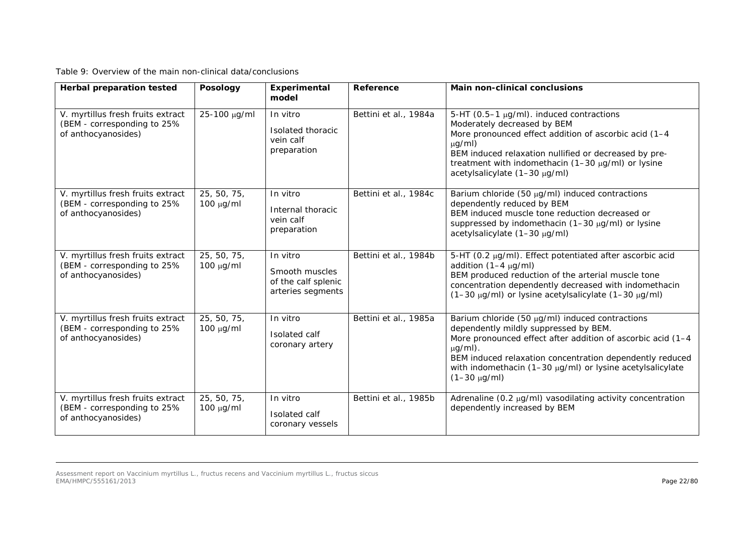Table 9: Overview of the main non-clinical data/conclusions

| <b>Herbal preparation tested</b>                                                        | <b>Posology</b>               | Experimental<br>model                                                  | Reference             | <b>Main non-clinical conclusions</b>                                                                                                                                                                                                                                                                                  |
|-----------------------------------------------------------------------------------------|-------------------------------|------------------------------------------------------------------------|-----------------------|-----------------------------------------------------------------------------------------------------------------------------------------------------------------------------------------------------------------------------------------------------------------------------------------------------------------------|
| V. myrtillus fresh fruits extract<br>(BEM - corresponding to 25%<br>of anthocyanosides) | 25-100 µg/ml                  | In vitro<br>Isolated thoracic<br>vein calf<br>preparation              | Bettini et al., 1984a | 5-HT (0.5-1 µg/ml). induced contractions<br>Moderately decreased by BEM<br>More pronounced effect addition of ascorbic acid (1-4<br>$\mu$ g/ml)<br>BEM induced relaxation nullified or decreased by pre-<br>treatment with indomethacin (1-30 µg/ml) or lysine<br>acetylsalicylate (1-30 µg/ml)                       |
| V. myrtillus fresh fruits extract<br>(BEM - corresponding to 25%<br>of anthocyanosides) | 25, 50, 75,<br>$100 \mu g/ml$ | In vitro<br>Internal thoracic<br>vein calf<br>preparation              | Bettini et al., 1984c | Barium chloride (50 µg/ml) induced contractions<br>dependently reduced by BEM<br>BEM induced muscle tone reduction decreased or<br>suppressed by indomethacin (1-30 µg/ml) or lysine<br>acetylsalicylate (1-30 µg/ml)                                                                                                 |
| V. myrtillus fresh fruits extract<br>(BEM - corresponding to 25%<br>of anthocyanosides) | 25, 50, 75,<br>$100 \mu g/ml$ | In vitro<br>Smooth muscles<br>of the calf splenic<br>arteries segments | Bettini et al., 1984b | 5-HT (0.2 μg/ml). Effect potentiated after ascorbic acid<br>addition $(1-4 \mu g/ml)$<br>BEM produced reduction of the arterial muscle tone<br>concentration dependently decreased with indomethacin<br>(1-30 µg/ml) or lysine acetylsalicylate (1-30 µg/ml)                                                          |
| V. myrtillus fresh fruits extract<br>(BEM - corresponding to 25%<br>of anthocyanosides) | 25, 50, 75,<br>$100 \mu g/ml$ | In vitro<br>Isolated calf<br>coronary artery                           | Bettini et al., 1985a | Barium chloride (50 µg/ml) induced contractions<br>dependently mildly suppressed by BEM.<br>More pronounced effect after addition of ascorbic acid (1-4<br>$\mu$ g/ml).<br>BEM induced relaxation concentration dependently reduced<br>with indomethacin (1-30 µg/ml) or lysine acetylsalicylate<br>$(1-30 \mu g/ml)$ |
| V. myrtillus fresh fruits extract<br>(BEM - corresponding to 25%<br>of anthocyanosides) | 25, 50, 75,<br>$100 \mu g/ml$ | In vitro<br>Isolated calf<br>coronary vessels                          | Bettini et al., 1985b | Adrenaline (0.2 µg/ml) vasodilating activity concentration<br>dependently increased by BEM                                                                                                                                                                                                                            |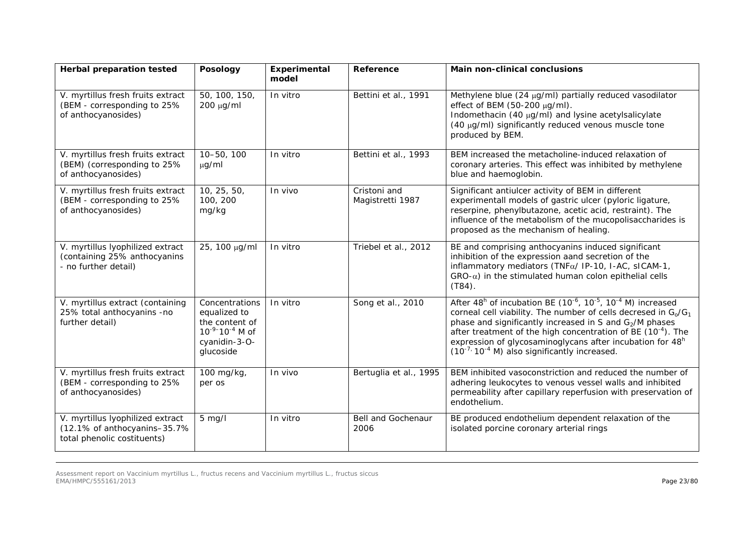| <b>Herbal preparation tested</b>                                                                | <b>Posology</b>                                                                                                    | Experimental<br>model | Reference                        | <b>Main non-clinical conclusions</b>                                                                                                                                                                                                                                                                                                                                                                                                              |
|-------------------------------------------------------------------------------------------------|--------------------------------------------------------------------------------------------------------------------|-----------------------|----------------------------------|---------------------------------------------------------------------------------------------------------------------------------------------------------------------------------------------------------------------------------------------------------------------------------------------------------------------------------------------------------------------------------------------------------------------------------------------------|
| V. myrtillus fresh fruits extract<br>(BEM - corresponding to 25%<br>of anthocyanosides)         | 50, 100, 150,<br>200 μg/ml                                                                                         | In vitro              | Bettini et al., 1991             | Methylene blue (24 µg/ml) partially reduced vasodilator<br>effect of BEM (50-200 µg/ml).<br>Indomethacin (40 µg/ml) and lysine acetylsalicylate<br>(40 μg/ml) significantly reduced venous muscle tone<br>produced by BEM.                                                                                                                                                                                                                        |
| V. myrtillus fresh fruits extract<br>(BEM) (corresponding to 25%<br>of anthocyanosides)         | 10-50, 100<br>$\mu$ g/ml                                                                                           | In vitro              | Bettini et al., 1993             | BEM increased the metacholine-induced relaxation of<br>coronary arteries. This effect was inhibited by methylene<br>blue and haemoglobin.                                                                                                                                                                                                                                                                                                         |
| V. myrtillus fresh fruits extract<br>(BEM - corresponding to 25%<br>of anthocyanosides)         | 10, 25, 50,<br>100, 200<br>mg/kg                                                                                   | In vivo               | Cristoni and<br>Magistretti 1987 | Significant antiulcer activity of BEM in different<br>experimentall models of gastric ulcer (pyloric ligature,<br>reserpine, phenylbutazone, acetic acid, restraint). The<br>influence of the metabolism of the mucopolisaccharides is<br>proposed as the mechanism of healing.                                                                                                                                                                   |
| V. myrtillus lyophilized extract<br>(containing 25% anthocyanins<br>- no further detail)        | 25, 100 µg/ml                                                                                                      | In vitro              | Triebel et al., 2012             | BE and comprising anthocyanins induced significant<br>inhibition of the expression aand secretion of the<br>inflammatory mediators (TNFa/ IP-10, I-AC, sICAM-1,<br>$GRO-\alpha$ ) in the stimulated human colon epithelial cells<br>$(T84)$ .                                                                                                                                                                                                     |
| V. myrtillus extract (containing<br>25% total anthocyanins -no<br>further detail)               | Concentrations<br>equalized to<br>the content of<br>$10^{-9}$ -10 <sup>-4</sup> M of<br>cyanidin-3-O-<br>glucoside | In vitro              | Song et al., 2010                | After $48^h$ of incubation BE ( $10^{-6}$ , $10^{-5}$ , $10^{-4}$ M) increased<br>corneal cell viability. The number of cells decresed in $G_0/G_1$<br>phase and significantly increased in S and G <sub>2</sub> /M phases<br>after treatment of the high concentration of BE (10 <sup>-4</sup> ). The<br>expression of glycosaminoglycans after incubation for 48 <sup>h</sup><br>$(10^{-7}$ , 10 <sup>-4</sup> M) also significantly increased. |
| V. myrtillus fresh fruits extract<br>(BEM - corresponding to 25%<br>of anthocyanosides)         | 100 mg/kg,<br>per os                                                                                               | In vivo               | Bertuglia et al., 1995           | BEM inhibited vasoconstriction and reduced the number of<br>adhering leukocytes to venous vessel walls and inhibited<br>permeability after capillary reperfusion with preservation of<br>endothelium.                                                                                                                                                                                                                                             |
| V. myrtillus lyophilized extract<br>(12.1% of anthocyanins-35.7%<br>total phenolic costituents) | $5$ mg/l                                                                                                           | In vitro              | Bell and Gochenaur<br>2006       | BE produced endothelium dependent relaxation of the<br>isolated porcine coronary arterial rings                                                                                                                                                                                                                                                                                                                                                   |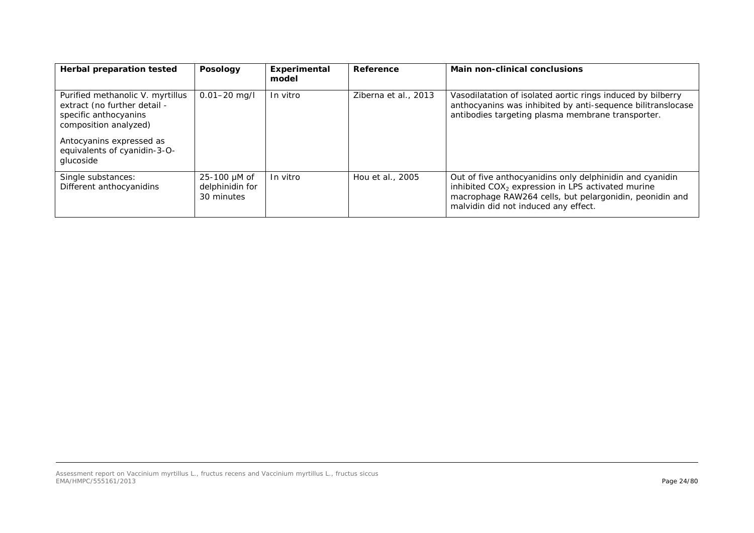| Herbal preparation tested                                                                                                                                                                   | <b>Posology</b>                                      | Experimental<br>model | Reference            | <b>Main non-clinical conclusions</b>                                                                                                                                                                               |
|---------------------------------------------------------------------------------------------------------------------------------------------------------------------------------------------|------------------------------------------------------|-----------------------|----------------------|--------------------------------------------------------------------------------------------------------------------------------------------------------------------------------------------------------------------|
| Purified methanolic V. myrtillus<br>extract (no further detail -<br>specific anthocyanins<br>composition analyzed)<br>Antocyanins expressed as<br>equivalents of cyanidin-3-O-<br>glucoside | $0.01 - 20$ mg/l                                     | In vitro              | Ziberna et al., 2013 | Vasodilatation of isolated aortic rings induced by bilberry<br>anthocyanins was inhibited by anti-sequence bilitranslocase<br>antibodies targeting plasma membrane transporter.                                    |
| Single substances:<br>Different anthocyanidins                                                                                                                                              | $25 - 100 \mu M$ of<br>delphinidin for<br>30 minutes | In vitro              | Hou et al., 2005     | Out of five anthocyanidins only delphinidin and cyanidin<br>inhibited $COX2$ expression in LPS activated murine<br>macrophage RAW264 cells, but pelargonidin, peonidin and<br>malvidin did not induced any effect. |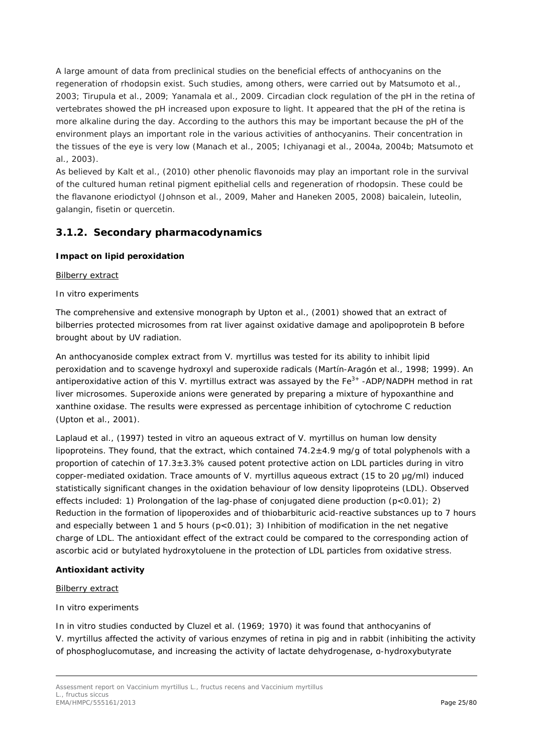A large amount of data from preclinical studies on the beneficial effects of anthocyanins on the regeneration of rhodopsin exist. Such studies, among others, were carried out by Matsumoto *et al.,* 2003; Tirupula *et al.,* 2009; Yanamala *et al.,* 2009. Circadian clock regulation of the pH in the retina of vertebrates showed the pH increased upon exposure to light. It appeared that the pH of the retina is more alkaline during the day. According to the authors this may be important because the pH of the environment plays an important role in the various activities of anthocyanins. Their concentration in the tissues of the eye is very low (Manach *et al.*, 2005; Ichiyanagi *et al.,* 2004a, 2004b; Matsumoto *et al.,* 2003).

As believed by Kalt *et al.,* (2010) other phenolic flavonoids may play an important role in the survival of the cultured human retinal pigment epithelial cells and regeneration of rhodopsin. These could be the flavanone eriodictyol (Johnson *et al.,* 2009, Maher and Haneken 2005, 2008) baicalein, luteolin, galangin, fisetin or quercetin.

# <span id="page-24-0"></span>**3.1.2. Secondary pharmacodynamics**

## **Impact on lipid peroxidation**

## Bilberry extract

## *In vitro experiments*

The comprehensive and extensive monograph by Upton *et al.,* (2001) showed that an extract of bilberries protected microsomes from rat liver against oxidative damage and apolipoprotein B before brought about by UV radiation.

An anthocyanoside complex extract from *V. myrtillus* was tested for its ability to inhibit lipid peroxidation and to scavenge hydroxyl and superoxide radicals (Martín-Aragón *et al.,* 1998; 1999). An antiperoxidative action of this *V. myrtillus* extract was assayed by the Fe<sup>3+</sup> -ADP/NADPH method in rat liver microsomes. Superoxide anions were generated by preparing a mixture of hypoxanthine and xanthine oxidase. The results were expressed as percentage inhibition of cytochrome C reduction (Upton *et al.,* 2001).

Laplaud *et al.,* (1997) tested *in vitro* an aqueous extract of *V. myrtillus* on human low density lipoproteins. They found, that the extract, which contained  $74.2\pm4.9$  mg/g of total polyphenols with a proportion of catechin of 17.3±3.3% caused potent protective action on LDL particles during *in vitro* copper-mediated oxidation. Trace amounts of *V. myrtillus* aqueous extract (15 to 20 μg/ml) induced statistically significant changes in the oxidation behaviour of low density lipoproteins (LDL). Observed effects included: 1) Prolongation of the lag-phase of conjugated diene production  $(p<0.01)$ ; 2) Reduction in the formation of lipoperoxides and of thiobarbituric acid-reactive substances up to 7 hours and especially between 1 and 5 hours  $(p<0.01)$ ; 3) Inhibition of modification in the net negative charge of LDL. The antioxidant effect of the extract could be compared to the corresponding action of ascorbic acid or butylated hydroxytoluene in the protection of LDL particles from oxidative stress.

## **Antioxidant activity**

## Bilberry extract

## *In vitro experiments*

In *in vitro* studies conducted by Cluzel *et al.* (1969; 1970) it was found that anthocyanins of *V. myrtillus* affected the activity of various enzymes of retina in pig and in rabbit (inhibiting the activity of phosphoglucomutase, and increasing the activity of lactate dehydrogenase, α-hydroxybutyrate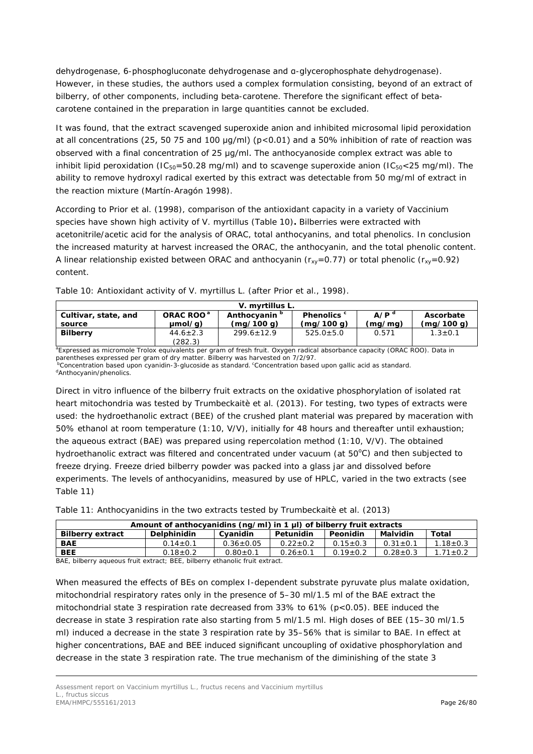dehydrogenase, 6-phosphogluconate dehydrogenase and α-glycerophosphate dehydrogenase). However, in these studies, the authors used a complex formulation consisting, beyond of an extract of bilberry, of other components, including beta-carotene. Therefore the significant effect of betacarotene contained in the preparation in large quantities cannot be excluded.

It was found, that the extract scavenged superoxide anion and inhibited microsomal lipid peroxidation at all concentrations (25, 50 75 and 100 μg/ml) (p<0.01) and a 50% inhibition of rate of reaction was observed with a final concentration of 25 μg/ml. The anthocyanoside complex extract was able to inhibit lipid peroxidation ( $IC_{50}=50.28$  mg/ml) and to scavenge superoxide anion ( $IC_{50} < 25$  mg/ml). The ability to remove hydroxyl radical exerted by this extract was detectable from 50 mg/ml of extract in the reaction mixture (Martín-Aragón 1998).

According to Prior *et al.* (1998), comparison of the antioxidant capacity in a variety of *Vaccinium* species have shown high activity of *V. myrtillus* (Table 10)**.** Bilberries were extracted with acetonitrile/acetic acid for the analysis of ORAC, total anthocyanins, and total phenolics. In conclusion the increased maturity at harvest increased the ORAC, the anthocyanin, and the total phenolic content. A linear relationship existed between ORAC and anthocyanin ( $r_{xy}=0.77$ ) or total phenolic ( $r_{xy}=0.92$ ) content.

| V. myrtillus L.                                                                                                           |                |                  |               |         |               |  |  |
|---------------------------------------------------------------------------------------------------------------------------|----------------|------------------|---------------|---------|---------------|--|--|
| A/P <sup>d</sup><br>ORAC ROO <sup>a</sup><br>Phenolics c<br>Anthocyanin <sup>b</sup><br>Ascorbate<br>Cultivar, state, and |                |                  |               |         |               |  |  |
| source                                                                                                                    | $umol/a$ )     | (ma/100 a)       | (mg/100 g)    | (mq/mq) | (mq/100 q)    |  |  |
| <b>Bilberry</b>                                                                                                           | $44.6 \pm 2.3$ | $299.6 \pm 12.9$ | $525.0 + 5.0$ | 0.571   | $1.3 \pm 0.1$ |  |  |
|                                                                                                                           | (282.3)        |                  |               |         |               |  |  |

Table 10: Antioxidant activity of *V. myrtillus* L. (after Prior *et al*., 1998).

<sup>a</sup>Expressed as micromole Trolox equivalents per gram of fresh fruit. Oxygen radical absorbance capacity (ORAC ROO). Data in

parentheses expressed per gram of dry matter. Bilberry was harvested on 7/2/97.<br><sup>b</sup>Concentration based upon cyanidin-3-glucoside as standard. <sup>c</sup>Concentration based upon gallic acid as standard. <sup>d</sup>Anthocyanin/phenolics.

Direct *in vitro* influence of the bilberry fruit extracts on the oxidative phosphorylation of isolated rat heart mitochondria was tested by Trumbeckaitè *et al.* (2013). For testing, two types of extracts were used: the hydroethanolic extract (BEE) of the crushed plant material was prepared by maceration with 50% ethanol at room temperature (1:10, V/V), initially for 48 hours and thereafter until exhaustion; the aqueous extract (BAE) was prepared using repercolation method (1:10, V/V). The obtained hydroethanolic extract was filtered and concentrated under vacuum (at 50°C) and then subjected to freeze drying. Freeze dried bilberry powder was packed into a glass jar and dissolved before experiments. The levels of anthocyanidins, measured by use of HPLC, varied in the two extracts (see Table 11)

| Table 11: Anthocyanidins in the two extracts tested by Trumbeckaite et al. (2013) |  |  |
|-----------------------------------------------------------------------------------|--|--|
|                                                                                   |  |  |

| Amount of anthocyanidins ( $\eta q/\text{ml}$ ) in 1 µl) of bilberry fruit extracts |                    |                 |              |                |                |                |  |
|-------------------------------------------------------------------------------------|--------------------|-----------------|--------------|----------------|----------------|----------------|--|
| <b>Bilberry extract</b>                                                             | <b>Delphinidin</b> | Cvanidin        | Petunidin    | Peonidin       | Malvidin       | Total          |  |
| <b>BAE</b>                                                                          | $0.14 \pm 0.1$     | $0.36 \pm 0.05$ | $0.22 + 0.2$ | $0.15 \pm 0.3$ | $0.31 \pm 0.1$ | $1.18 + 0.3$   |  |
| <b>BEE</b>                                                                          | $0.18 + 0.2$       | $0.80 + 0.1$    | $0.26 + 0.1$ | $0.19 \pm 0.2$ | $0.28 + 0.3$   | $1.71 \pm 0.2$ |  |

BAE, bilberry aqueous fruit extract; BEE, bilberry ethanolic fruit extract.

When measured the effects of BEs on complex I-dependent substrate pyruvate plus malate oxidation, mitochondrial respiratory rates only in the presence of 5–30 ml/1.5 ml of the BAE extract the mitochondrial state 3 respiration rate decreased from 33% to 61% (p<0.05). BEE induced the decrease in state 3 respiration rate also starting from 5 ml/1.5 ml. High doses of BEE (15–30 ml/1.5 ml) induced a decrease in the state 3 respiration rate by 35–56% that is similar to BAE. In effect at higher concentrations, BAE and BEE induced significant uncoupling of oxidative phosphorylation and decrease in the state 3 respiration rate. The true mechanism of the diminishing of the state 3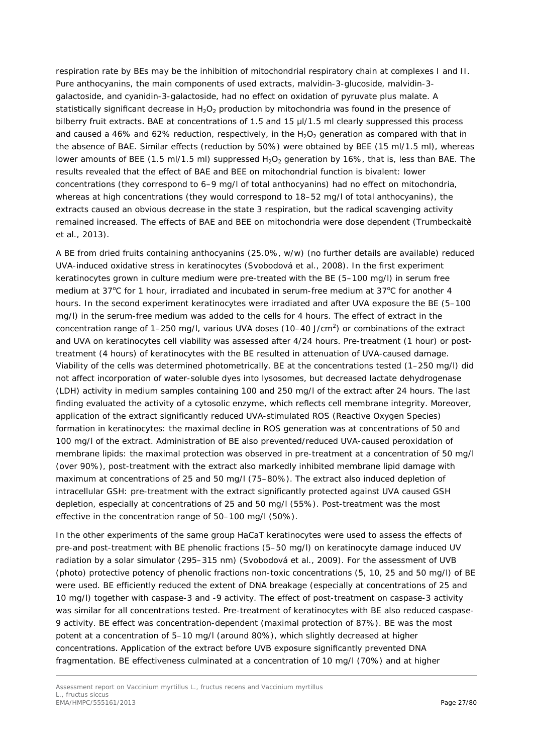respiration rate by BEs may be the inhibition of mitochondrial respiratory chain at complexes I and II. Pure anthocyanins, the main components of used extracts, malvidin-3-glucoside, malvidin-3 galactoside, and cyanidin-3-galactoside, had no effect on oxidation of pyruvate plus malate. A statistically significant decrease in  $H_2O_2$  production by mitochondria was found in the presence of bilberry fruit extracts. BAE at concentrations of 1.5 and 15  $\mu$ I/1.5 ml clearly suppressed this process and caused a 46% and 62% reduction, respectively, in the  $H_2O_2$  generation as compared with that in the absence of BAE. Similar effects (reduction by 50%) were obtained by BEE (15 ml/1.5 ml), whereas lower amounts of BEE (1.5 ml/1.5 ml) suppressed  $H_2O_2$  generation by 16%, that is, less than BAE. The results revealed that the effect of BAE and BEE on mitochondrial function is bivalent: lower concentrations (they correspond to 6–9 mg/l of total anthocyanins) had no effect on mitochondria, whereas at high concentrations (they would correspond to 18–52 mg/l of total anthocyanins), the extracts caused an obvious decrease in the state 3 respiration, but the radical scavenging activity remained increased. The effects of BAE and BEE on mitochondria were dose dependent (Trumbeckaitè *et al.,* 2013).

A BE from dried fruits containing anthocyanins (25.0%, w/w) (no further details are available) reduced UVA-induced oxidative stress in keratinocytes (Svobodová *et al.,* 2008). In the first experiment keratinocytes grown in culture medium were pre-treated with the BE (5–100 mg/l) in serum free medium at 37°C for 1 hour, irradiated and incubated in serum-free medium at 37°C for another 4 hours. In the second experiment keratinocytes were irradiated and after UVA exposure the BE (5–100 mg/l) in the serum-free medium was added to the cells for 4 hours. The effect of extract in the concentration range of 1–250 mg/l, various UVA doses (10–40 J/cm<sup>2</sup>) or combinations of the extract and UVA on keratinocytes cell viability was assessed after 4/24 hours. Pre-treatment (1 hour) or posttreatment (4 hours) of keratinocytes with the BE resulted in attenuation of UVA-caused damage. Viability of the cells was determined photometrically. BE at the concentrations tested (1–250 mg/l) did not affect incorporation of water-soluble dyes into lysosomes, but decreased lactate dehydrogenase (LDH) activity in medium samples containing 100 and 250 mg/l of the extract after 24 hours. The last finding evaluated the activity of a cytosolic enzyme, which reflects cell membrane integrity. Moreover, application of the extract significantly reduced UVA-stimulated ROS (*Reactive Oxygen Species*) formation in keratinocytes: the maximal decline in ROS generation was at concentrations of 50 and 100 mg/l of the extract. Administration of BE also prevented/reduced UVA-caused peroxidation of membrane lipids: the maximal protection was observed in pre-treatment at a concentration of 50 mg/l (over 90%), post-treatment with the extract also markedly inhibited membrane lipid damage with maximum at concentrations of 25 and 50 mg/l (75–80%). The extract also induced depletion of intracellular GSH: pre-treatment with the extract significantly protected against UVA caused GSH depletion, especially at concentrations of 25 and 50 mg/l (55%). Post-treatment was the most effective in the concentration range of 50–100 mg/l (50%).

In the other experiments of the same group HaCaT keratinocytes were used to assess the effects of pre-and post-treatment with BE phenolic fractions (5–50 mg/l) on keratinocyte damage induced UV radiation by a solar simulator (295–315 nm) (Svobodová *et al.,* 2009). For the assessment of UVB (photo) protective potency of phenolic fractions non-toxic concentrations (5, 10, 25 and 50 mg/l) of BE were used. BE efficiently reduced the extent of DNA breakage (especially at concentrations of 25 and 10 mg/l) together with caspase-3 and -9 activity. The effect of post-treatment on caspase-3 activity was similar for all concentrations tested. Pre-treatment of keratinocytes with BE also reduced caspase-9 activity. BE effect was concentration-dependent (maximal protection of 87%). BE was the most potent at a concentration of 5–10 mg/l (around 80%), which slightly decreased at higher concentrations. Application of the extract before UVB exposure significantly prevented DNA fragmentation. BE effectiveness culminated at a concentration of 10 mg/l (70%) and at higher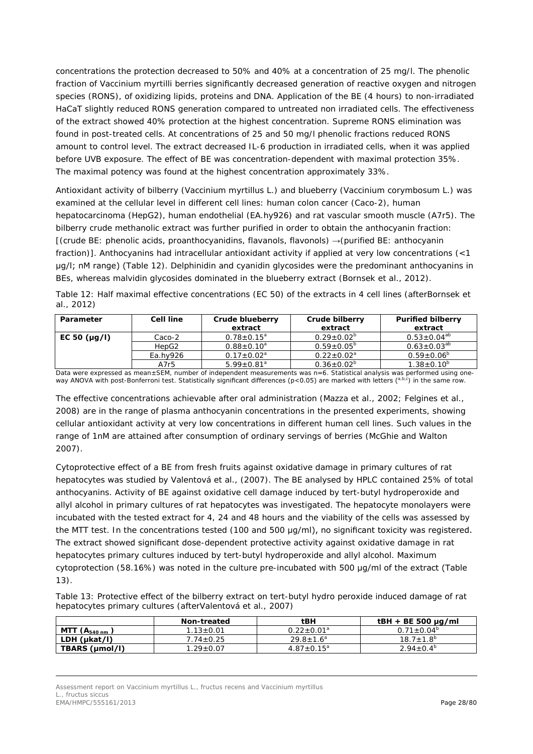concentrations the protection decreased to 50% and 40% at a concentration of 25 mg/l. The phenolic fraction of *Vaccinium myrtilli* berries significantly decreased generation of reactive oxygen and nitrogen species (RONS), of oxidizing lipids, proteins and DNA. Application of the BE (4 hours) to non-irradiated HaCaT slightly reduced RONS generation compared to untreated non irradiated cells. The effectiveness of the extract showed 40% protection at the highest concentration. Supreme RONS elimination was found in post-treated cells. At concentrations of 25 and 50 mg/l phenolic fractions reduced RONS amount to control level. The extract decreased IL-6 production in irradiated cells, when it was applied before UVB exposure. The effect of BE was concentration-dependent with maximal protection 35%. The maximal potency was found at the highest concentration approximately 33%.

Antioxidant activity of bilberry (*Vaccinium myrtillus* L.) and blueberry (*Vaccinium corymbosum* L.) was examined at the cellular level in different cell lines: human colon cancer (Caco-2), human hepatocarcinoma (HepG2), human endothelial (EA.hy926) and rat vascular smooth muscle (A7r5). The bilberry crude methanolic extract was further purified in order to obtain the anthocyanin fraction: [(crude BE: phenolic acids, proanthocyanidins, flavanols, flavonols) →(purified BE: anthocyanin fraction)]. Anthocyanins had intracellular antioxidant activity if applied at very low concentrations (<1 μg/l; nM range) (Table 12). Delphinidin and cyanidin glycosides were the predominant anthocyanins in BEs, whereas malvidin glycosides dominated in the blueberry extract (Bornsek *et al.,* 2012).

Table 12: Half maximal effective concentrations (EC 50) of the extracts in 4 cell lines (afterBornsek *et al.,* 2012)

| Parameter         | <b>Cell line</b> | Crude blueberry<br>extract   | Crude bilberry<br>extract | <b>Purified bilberry</b><br>extract |
|-------------------|------------------|------------------------------|---------------------------|-------------------------------------|
| EC 50 $(\mu g/l)$ | Caco-2           | $0.78 \pm 0.15^a$            | $0.29 \pm 0.02^{\circ}$   | $0.53 \pm 0.04^{ab}$                |
|                   | HepG2            | $0.88 + 0.10^a$              | $0.59 + 0.05^b$           | $0.63 \pm 0.03^{ab}$                |
|                   | Ea.hv926         | $0.17 \pm 0.02^a$            | $0.22 + 0.02^a$           | $0.59 + 0.06^{\circ}$               |
|                   | A7r5             | $5.99 \pm 0.81$ <sup>a</sup> | $0.36 \pm 0.02^b$         | $1.38 \pm 0.10^b$                   |

Data were expressed as mean±SEM, number of independent measurements was n=6. Statistical analysis was performed using one-<br>way ANOVA with post-Bonferroni test. Statistically significant differences (p<0.05) are marked with

The effective concentrations achievable after oral administration (Mazza *et al.*, 2002; Felgines *et al.*, 2008) are in the range of plasma anthocyanin concentrations in the presented experiments, showing cellular antioxidant activity at very low concentrations in different human cell lines. Such values in the range of 1nM are attained after consumption of ordinary servings of berries (McGhie and Walton 2007).

Cytoprotective effect of a BE from fresh fruits against oxidative damage in primary cultures of rat hepatocytes was studied by Valentová *et al.,* (2007). The BE analysed by HPLC contained 25% of total anthocyanins. Activity of BE against oxidative cell damage induced by tert-butyl hydroperoxide and allyl alcohol in primary cultures of rat hepatocytes was investigated. The hepatocyte monolayers were incubated with the tested extract for 4, 24 and 48 hours and the viability of the cells was assessed by the MTT test. In the concentrations tested (100 and 500 μg/ml), no significant toxicity was registered. The extract showed significant dose-dependent protective activity against oxidative damage in rat hepatocytes primary cultures induced by tert-butyl hydroperoxide and allyl alcohol. Maximum cytoprotection (58.16%) was noted in the culture pre-incubated with 500 μg/ml of the extract (Table 13).

Table 13: Protective effect of the bilberry extract on tert-butyl hydro peroxide induced damage of rat hepatocytes primary cultures (afterValentová *et al.,* 2007)

|                          | Non-treated     | $t$ BH            | $tBH + BE 500 \mu g/ml$ |
|--------------------------|-----------------|-------------------|-------------------------|
| MTT<br>$(A_{540 \, nm})$ | $1.13 \pm 0.01$ | $0.22 \pm 0.01^a$ | $0.71 \pm 0.04^b$       |
| LDH (µkat/l)             | $7.74 \pm 0.25$ | $29.8 \pm 1.6^a$  | $18.7 \pm 1.8^{\circ}$  |
| TBARS (µmol/l)           | $1.29 \pm 0.07$ | $4.87 \pm 0.15^a$ | $2.94 \pm 0.4^{\circ}$  |

*Assessment report on Vaccinium myrtillus L., fructus recens and Vaccinium myrtillus* L., fructus siccus EMA/HMPC/555161/2013 Page 28/80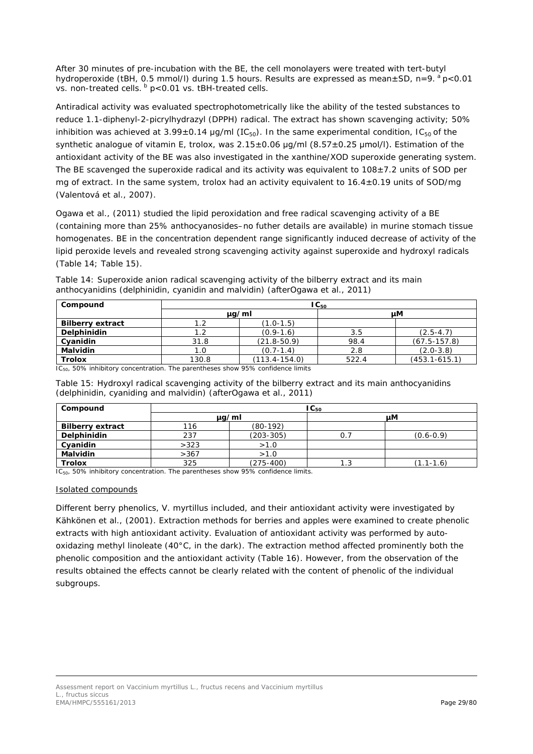After 30 minutes of pre-incubation with the BE, the cell monolayers were treated with tert-butyl hydroperoxide (tBH, 0.5 mmol/l) during 1.5 hours. Results are expressed as mean $\pm$ SD, n=9.  $^{\circ}$  p<0.01 vs. non-treated cells.  $\frac{b}{c}$  p<0.01 vs. tBH-treated cells.

Antiradical activity was evaluated spectrophotometrically like the ability of the tested substances to reduce 1.1-diphenyl-2-picrylhydrazyl (DPPH) radical. The extract has shown scavenging activity; 50% inhibition was achieved at 3.99±0.14 µg/ml (IC<sub>50</sub>). In the same experimental condition, IC<sub>50</sub> of the synthetic analogue of vitamin E, trolox, was 2.15±0.06 μg/ml (8.57±0.25 μmol/l). Estimation of the antioxidant activity of the BE was also investigated in the xanthine/XOD superoxide generating system. The BE scavenged the superoxide radical and its activity was equivalent to  $108 \pm 7.2$  units of SOD per mg of extract. In the same system, trolox had an activity equivalent to 16.4±0.19 units of SOD/mg (Valentová *et al*., 2007).

Ogawa *et al.,* (2011) studied the lipid peroxidation and free radical scavenging activity of a BE (containing more than 25% anthocyanosides–no futher details are available) in murine stomach tissue homogenates. BE in the concentration dependent range significantly induced decrease of activity of the lipid peroxide levels and revealed strong scavenging activity against superoxide and hydroxyl radicals (Table 14; Table 15).

| Compound                |            |                   | $IC_{50}$ |                   |
|-------------------------|------------|-------------------|-----------|-------------------|
|                         | $\mu q/ml$ |                   |           | uМ                |
| <b>Bilberry extract</b> |            | $(1.0-1.5)$       |           |                   |
| Delphinidin             | 1.2        | $(0.9-1.6)$       | 3.5       | $(2.5 - 4.7)$     |
| Cyanidin                | 31.8       | $(21.8 - 50.9)$   | 98.4      | $(67.5 - 157.8)$  |
| <b>Malvidin</b>         | 1.0        | $(0.7 - 1.4)$     | 2.8       | $(2.0-3.8)$       |
| <b>Trolox</b>           | 130.8      | $(113.4 - 154.0)$ | 522.4     | $(453.1 - 615.1)$ |

Table 14: Superoxide anion radical scavenging activity of the bilberry extract and its main anthocyanidins (delphinidin, cyanidin and malvidin) (afterOgawa *et al.,* 2011)

IC<sub>50</sub>, 50% inhibitory concentration. The parentheses show 95% confidence limits

| Table 15: Hydroxyl radical scavenging activity of the bilberry extract and its main anthocyanidins |  |  |  |  |  |
|----------------------------------------------------------------------------------------------------|--|--|--|--|--|
| (delphinidin, cyaniding and malvidin) (afterOgawa et al., 2011)                                    |  |  |  |  |  |

| Compound                | $\mathsf{IC}_{50}$ |               |     |               |  |  |
|-------------------------|--------------------|---------------|-----|---------------|--|--|
|                         | $\mu$ g/ml         |               |     | uМ            |  |  |
| <b>Bilberry extract</b> | 116                | $(80-192)$    |     |               |  |  |
| Delphinidin             | 237                | $(203 - 305)$ |     | $(0.6 - 0.9)$ |  |  |
| Cyanidin                | >323               | >1.0          |     |               |  |  |
| <b>Malvidin</b>         | >367               | >1.0          |     |               |  |  |
| <b>Trolox</b>           | 325                | $(275-400)$   | 1.3 | $(1.1 - 1.6)$ |  |  |

IC<sub>50</sub>, 50% inhibitory concentration. The parentheses show 95% confidence limits.

## Isolated compounds

Different berry phenolics, *V. myrtillus* included, and their antioxidant activity were investigated by Kähkönen *et al.,* (2001). Extraction methods for berries and apples were examined to create phenolic extracts with high antioxidant activity. Evaluation of antioxidant activity was performed by autooxidazing methyl linoleate (40°C, in the dark). The extraction method affected prominently both the phenolic composition and the antioxidant activity (Table 16). However, from the observation of the results obtained the effects cannot be clearly related with the content of phenolic of the individual subgroups.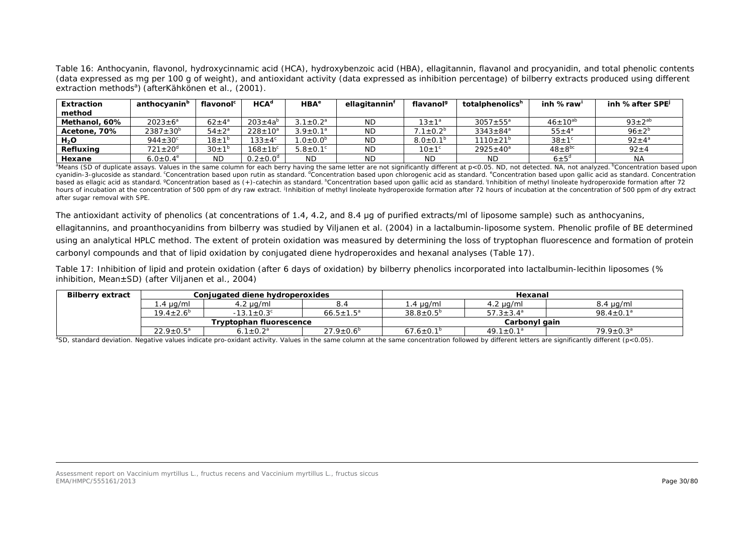Table 16: Anthocyanin, flavonol, hydroxycinnamic acid (HCA), hydroxybenzoic acid (HBA), ellagitannin, flavanol and procyanidin, and total phenolic contents (data expressed as mg per 100 g of weight), and antioxidant activity (data expressed as inhibition percentage) of bilberry extracts produced using different extraction methods<sup>a</sup>) (afterKähkönen *et al.,* (2001).

| <b>Extraction</b> | anthocyanin <sup>b</sup> | flavonol <sup>c</sup> | HCA <sup>d</sup>           | HBA <sup>e</sup> | ellagitannin | flavanol <sup>9</sup>   | totalphenolics <sup>h</sup> | inh %raw           | inh %after SPE     |
|-------------------|--------------------------|-----------------------|----------------------------|------------------|--------------|-------------------------|-----------------------------|--------------------|--------------------|
| method            |                          |                       |                            |                  |              |                         |                             |                    |                    |
| Methanol, 60%     | $2023 \pm 6^a$           | $62 \pm 4^{\circ}$    | $203 \pm 4a^{6}$           | $3.1 \pm 0.2^a$  | <b>ND</b>    | $13 \pm 1^3$            | $3057 \pm 55^{\circ}$       | $46 \pm 10^{ab}$   | $93 \pm 2^{ab}$    |
| Acetone, 70%      | $2387 \pm 30^{6}$        | $54 \pm 2^{\circ}$    | $228 \pm 10^a$             | $3.9 \pm 0.1^a$  | <b>ND</b>    | $7.1 \pm 0.2^b$         | $3343 \pm 84^a$             | $55 \pm 4^{\circ}$ | $96 \pm 2^{b}$     |
| $H_2O$            | $944 \pm 30^\circ$       | $18 \pm 1^{\circ}$    | $133 \pm 4^\circ$          | $1.0 \pm 0.0^b$  | <b>ND</b>    | $8.0 \pm 0.1^b$         | $1110 \pm 21^{b}$           | $38 \pm 1^{\circ}$ | $92 \pm 4^{\circ}$ |
| Refluxina         | $721 \pm 20^{\circ}$     | $30 \pm 1^{\circ}$    | $168 \pm 10$ <sup>c</sup>  | $5.8 \pm 0.1$ °  | <b>ND</b>    | $10 \pm 1$ <sup>c</sup> | $2925 \pm 40^a$             | $48 \pm 8^{bc}$    | $92 + 4$           |
| Hexane            | $6.0 \pm 0.4^e$          | <b>ND</b>             | $0.2 \pm 0.0$ <sup>d</sup> | ND               | <b>ND</b>    | <b>ND</b>               | <b>ND</b>                   | $6 \pm 5^{\circ}$  | <b>NA</b>          |

<sup>&</sup>lt;sup>a</sup>Means (SD of duplicate assays. Values in the same column for each berry having the same letter are not significantly different at p<0.05. ND, not detected. NA, not analyzed. <sup>b</sup>Concentration based upon cyanidin-3-glucoside as standard. <sup>c</sup>Concentration based upon rutin as standard. <sup>d</sup>Concentration based upon chlorogenic acid as standard. <sup>e</sup>Concentration based upon gallic acid as standard. Concentration based as ellagic acid as standard. <sup>g</sup>Concentration based as (+)-catechin as standard. <sup>h</sup>Concentration based upon gallic acid as standard. <sup>I</sup>nhibition of methyl linoleate hydroperoxide formation after 72 hours of incubation at the concentration of 500 ppm of dry raw extract. Inhibition of methyl linoleate hydroperoxide formation after 72 hours of incubation at the concentration of 500 ppm of dry extract after sugar removal with SPE.

The antioxidant activity of phenolics (at concentrations of 1.4, 4.2, and 8.4 μg of purified extracts/ml of liposome sample) such as anthocyanins, ellagitannins, and proanthocyanidins from bilberry was studied by Viljanen *et al.* (2004) in a lactalbumin-liposome system. Phenolic profile of BE determined using an analytical HPLC method. The extent of protein oxidation was measured by determining the loss of tryptophan fluorescence and formation of protein carbonyl compounds and that of lipid oxidation by conjugated diene hydroperoxides and hexanal analyses (Table 17).

Table 17: Inhibition of lipid and protein oxidation (after 6 days of oxidation) by bilberry phenolics incorporated into lactalbumin-lecithin liposomes (% inhibition, Mean±SD) (after Viljanen *et al.*, 2004)

| <b>Bilberry extract</b> | Conjugated diene hydroperoxides |                              |                        | Hexanal                |                        |                        |  |
|-------------------------|---------------------------------|------------------------------|------------------------|------------------------|------------------------|------------------------|--|
|                         | $1.4 \mu$ g/ml                  | 4.2 µg/ml                    | 8.4                    | $\pm$ .4 µg/ml         | $4.2 \mu g/ml$         | $8.4 \mu g/ml$         |  |
|                         | $19.4 \pm 2.6^b$                | $-13.1 \pm 0.3$ <sup>c</sup> | $66.5 \pm 1.5^a$       | $38.8 \pm 0.5^{\circ}$ | $57.3 \pm 3.4^{\circ}$ | $98.4 \pm 0.1^a$       |  |
|                         | Tryptophan fluorescence         |                              |                        |                        | Carbonyl gain          |                        |  |
|                         | $22.9 \pm 0.5^a$                | $0.1 \pm 0.2^a$              | $27.9 \pm 0.6^{\circ}$ | $67.6 \pm 0.1^{\circ}$ | $49.1 \pm 0.1^a$       | $79.9 \pm 0.3^{\circ}$ |  |

<sup>a</sup>SD, standard deviation. Negative values indicate pro-oxidant activity. Values in the same column at the same concentration followed by different letters are significantly different (p<0.05).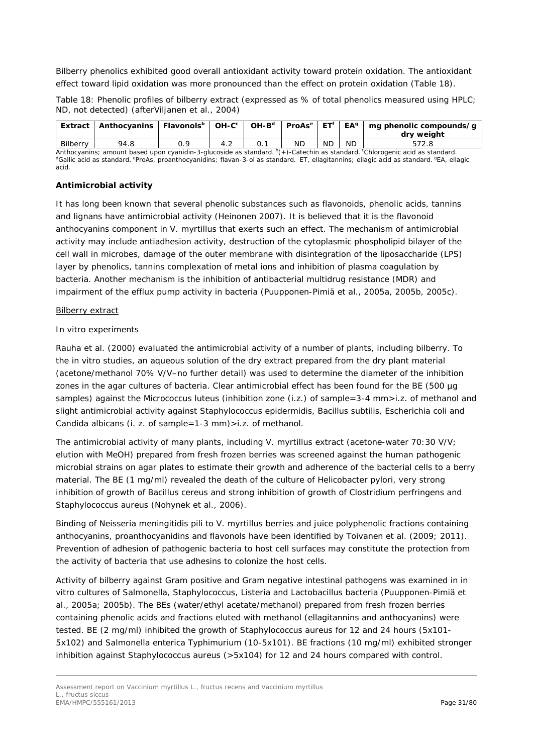Bilberry phenolics exhibited good overall antioxidant activity toward protein oxidation. The antioxidant effect toward lipid oxidation was more pronounced than the effect on protein oxidation (Table 18).

Table 18: Phenolic profiles of bilberry extract (expressed as % of total phenolics measured using HPLC; ND, not detected) (afterViljanen *et al.,* 2004)

| Extract  | Anthocyanins   Flavonols <sup>b</sup>   OH-C <sup>c</sup> |  | $OH-Bd$ | └ ProAs <sup>e</sup> │ ET <sup>f</sup> |           | $EA^g$    | mg phenolic compounds/g<br>dry weight                                                                                                         |
|----------|-----------------------------------------------------------|--|---------|----------------------------------------|-----------|-----------|-----------------------------------------------------------------------------------------------------------------------------------------------|
| Bilberry | 94.8                                                      |  |         | <b>ND</b>                              | <b>ND</b> | <b>ND</b> | 572.8                                                                                                                                         |
|          |                                                           |  |         |                                        |           |           | Anthonyonic spiel those income systems 2 divorcide as standard <sup>0</sup> and catachings standard <sup>0</sup> Chlorogenic seid as standard |

Anthocyanins; amount based upon cyanidin-3-glucoside as standard. <sup>b</sup>(+)-Catechin as standard. <sup>c</sup>Chlorogenic acid as standard.<br><sup>d</sup>Gallic acid as standard. <sup>e</sup>ProAs, proanthocyanidins; flavan-3-ol as standard. ET, ellagit (+)-Catechin as standard. <sup>c</sup>Chlorogenic acid as standard. acid.

## **Antimicrobial activity**

It has long been known that several phenolic substances such as flavonoids, phenolic acids, tannins and lignans have antimicrobial activity (Heinonen 2007). It is believed that it is the flavonoid anthocyanins component in *V. myrtillus* that exerts such an effect. The mechanism of antimicrobial activity may include antiadhesion activity, destruction of the cytoplasmic phospholipid bilayer of the cell wall in microbes, damage of the outer membrane with disintegration of the liposaccharide (LPS) layer by phenolics, tannins complexation of metal ions and inhibition of plasma coagulation by bacteria. Another mechanism is the inhibition of antibacterial multidrug resistance (MDR) and impairment of the efflux pump activity in bacteria (Puupponen-Pimiä *et al.,* 2005a, 2005b, 2005c).

## Bilberry extract

## *In vitro experiments*

Rauha *et al.* (2000) evaluated the antimicrobial activity of a number of plants, including bilberry. To the *in vitro* studies, an aqueous solution of the dry extract prepared from the dry plant material (acetone/methanol 70% V/V–no further detail) was used to determine the diameter of the inhibition zones in the agar cultures of bacteria. Clear antimicrobial effect has been found for the BE (500 µg samples) against the *Micrococcus luteus* (inhibition zone (i.z.) of sample=3-4 mm>i.z. of methanol and slight antimicrobial activity against *Staphylococcus epidermidis*, *Bacillus subtilis*, *Escherichia coli* and *Candida albicans* (i. z. of sample=1-3 mm)>i.z. of methanol.

The antimicrobial activity of many plants, including *V. myrtillus* extract (acetone-water 70:30 V/V; elution with MeOH) prepared from fresh frozen berries was screened against the human pathogenic microbial strains on agar plates to estimate their growth and adherence of the bacterial cells to a berry material. The BE (1 mg/ml) revealed the death of the culture of *Helicobacter pylori*, very strong inhibition of growth of *Bacillus cereus* and strong inhibition of growth of *Clostridium perfringens* and *Staphylococcus aureus* (Nohynek *et al.,* 2006).

Binding of *Neisseria meningitidis* pili to *V. myrtillus* berries and juice polyphenolic fractions containing anthocyanins, proanthocyanidins and flavonols have been identified by Toivanen *et al.* (2009; 2011). Prevention of adhesion of pathogenic bacteria to host cell surfaces may constitute the protection from the activity of bacteria that use adhesins to colonize the host cells.

Activity of bilberry against Gram positive and Gram negative intestinal pathogens was examined in *in vitro* cultures of *Salmonella*, *Staphylococcus*, *Listeria* and *Lactobacillus* bacteria (Puupponen-Pimiä *et al.,* 2005a; 2005b). The BEs (water/ethyl acetate/methanol) prepared from fresh frozen berries containing phenolic acids and fractions eluted with methanol (ellagitannins and anthocyanins) were tested. BE (2 mg/ml) inhibited the growth of *Staphylococcus aureus* for 12 and 24 hours (5x101- 5x102) and *Salmonella enterica Typhimurium* (10-5x101). BE fractions (10 mg/ml) exhibited stronger inhibition against *Staphylococcus aureus* (>5x104) for 12 and 24 hours compared with control.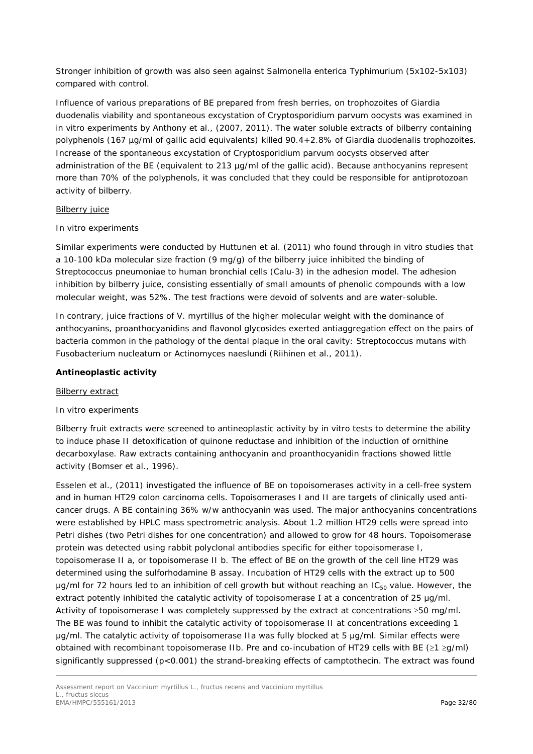Stronger inhibition of growth was also seen against *Salmonella enterica Typhimurium* (5x102-5x103) compared with control.

Influence of various preparations of BE prepared from fresh berries, on trophozoites of *Giardia duodenalis* viability and spontaneous excystation of *Cryptosporidium parvum oocysts* was examined in *in vitro* experiments by Anthony *et al.,* (2007, 2011). The water soluble extracts of bilberry containing polyphenols (167 µg/ml of gallic acid equivalents) killed 90.4+2.8% of *Giardia duodenalis trophozoites*. Increase of the spontaneous excystation of *Cryptosporidium parvum oocysts* observed after administration of the BE (equivalent to 213 µg/ml of the gallic acid). Because anthocyanins represent more than 70% of the polyphenols, it was concluded that they could be responsible for antiprotozoan activity of bilberry.

#### **Bilberry juice**

## *In vitro experiments*

Similar experiments were conducted by Huttunen *et al.* (2011) who found through *in vitro* studies that a 10-100 kDa molecular size fraction (9 mg/g) of the bilberry juice inhibited the binding of *Streptococcus pneumoniae* to human bronchial cells (Calu-3) in the adhesion model. The adhesion inhibition by bilberry juice, consisting essentially of small amounts of phenolic compounds with a low molecular weight, was 52%. The test fractions were devoid of solvents and are water-soluble.

In contrary, juice fractions of *V. myrtillus* of the higher molecular weight with the dominance of anthocyanins, proanthocyanidins and flavonol glycosides exerted antiaggregation effect on the pairs of bacteria common in the pathology of the dental plaque in the oral cavity: *Streptococcus mutans* with *Fusobacterium nucleatum* or *Actinomyces naeslundi* (Riihinen *et al.,* 2011).

#### **Antineoplastic activity**

#### Bilberry extract

## *In vitro experiments*

Bilberry fruit extracts were screened to antineoplastic activity by *in vitro* tests to determine the ability to induce phase II detoxification of quinone reductase and inhibition of the induction of ornithine decarboxylase. Raw extracts containing anthocyanin and proanthocyanidin fractions showed little activity (Bomser *et al.,* 1996).

Esselen *et al.,* (2011) investigated the influence of BE on topoisomerases activity in a cell-free system and in human HT29 colon carcinoma cells. Topoisomerases I and II are targets of clinically used anticancer drugs. A BE containing 36% w/w anthocyanin was used. The major anthocyanins concentrations were established by HPLC mass spectrometric analysis. About 1.2 million HT29 cells were spread into Petri dishes (two Petri dishes for one concentration) and allowed to grow for 48 hours. Topoisomerase protein was detected using rabbit polyclonal antibodies specific for either topoisomerase I, topoisomerase II a, or topoisomerase II b. The effect of BE on the growth of the cell line HT29 was determined using the sulforhodamine B assay. Incubation of HT29 cells with the extract up to 500 μg/ml for 72 hours led to an inhibition of cell growth but without reaching an IC<sub>50</sub> value. However, the extract potently inhibited the catalytic activity of topoisomerase I at a concentration of 25 μg/ml. Activity of topoisomerase I was completely suppressed by the extract at concentrations ≥50 mg/ml. The BE was found to inhibit the catalytic activity of topoisomerase II at concentrations exceeding 1 μg/ml. The catalytic activity of topoisomerase IIa was fully blocked at 5 μg/ml. Similar effects were obtained with recombinant topoisomerase IIb. Pre and co-incubation of HT29 cells with BE (≥1 ≥g/ml) significantly suppressed ( $p<0.001$ ) the strand-breaking effects of camptothecin. The extract was found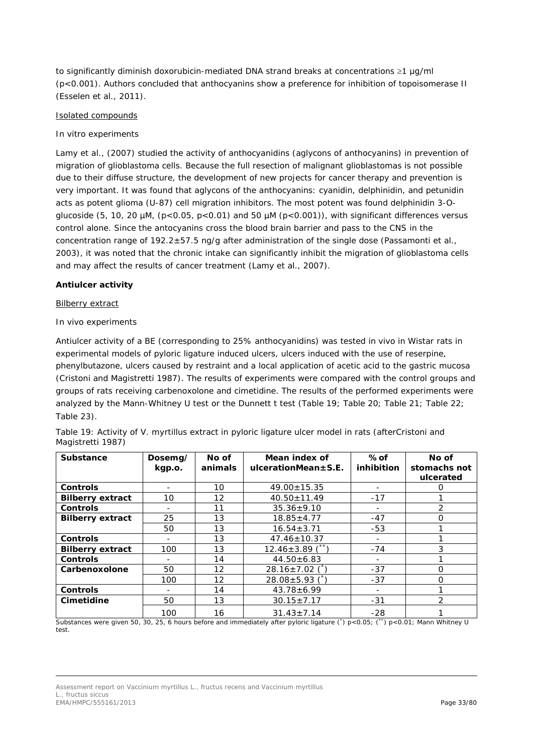to significantly diminish doxorubicin-mediated DNA strand breaks at concentrations ≥1 μg/ml (p<0.001). Authors concluded that anthocyanins show a preference for inhibition of topoisomerase II (Esselen *et al.,* 2011).

## Isolated compounds

## *In vitro experiments*

Lamy *et al.,* (2007) studied the activity of anthocyanidins (aglycons of anthocyanins) in prevention of migration of glioblastoma cells. Because the full resection of malignant glioblastomas is not possible due to their diffuse structure, the development of new projects for cancer therapy and prevention is very important. It was found that aglycons of the anthocyanins: cyanidin, delphinidin, and petunidin acts as potent glioma (U-87) cell migration inhibitors. The most potent was found delphinidin 3-*O*glucoside (5, 10, 20  $\mu$ M, (p<0.05, p<0.01) and 50  $\mu$ M (p<0.001)), with significant differences versus control alone. Since the antocyanins cross the blood brain barrier and pass to the CNS in the concentration range of 192.2±57.5 ng/g after administration of the single dose (Passamonti *et al.,* 2003), it was noted that the chronic intake can significantly inhibit the migration of glioblastoma cells and may affect the results of cancer treatment (Lamy *et al.,* 2007).

## **Antiulcer activity**

## Bilberry extract

## *In vivo experiments*

Antiulcer activity of a BE (corresponding to 25% anthocyanidins) was tested *in vivo* in Wistar rats in experimental models of pyloric ligature induced ulcers, ulcers induced with the use of reserpine, phenylbutazone, ulcers caused by restraint and a local application of acetic acid to the gastric mucosa (Cristoni and Magistretti 1987). The results of experiments were compared with the control groups and groups of rats receiving carbenoxolone and cimetidine. The results of the performed experiments were analyzed by the Mann-Whitney U test or the Dunnett t test (Table 19; Table 20; Table 21; Table 22; Table 23).

| <b>Substance</b>        | Dosemg/<br>kgp.o. | No of<br>animals  | Mean index of<br>$ulcerationMean \pm S.E.$ | %of<br>inhibition        | No of<br>stomachs not<br>ulcerated |
|-------------------------|-------------------|-------------------|--------------------------------------------|--------------------------|------------------------------------|
| <b>Controls</b>         |                   | 10                | $49.00 \pm 15.35$                          |                          |                                    |
| <b>Bilberry extract</b> | 10                | 12                | $40.50 \pm 11.49$                          | $-17$                    |                                    |
| <b>Controls</b>         | -                 | 11                | $35.36 \pm 9.10$                           | $\overline{\phantom{a}}$ | $\mathcal{P}$                      |
| <b>Bilberry extract</b> | 25                | 13                | $18.85 \pm 4.77$                           | $-47$                    | $\Omega$                           |
|                         | 50                | 13                | $16.54 \pm 3.71$                           | $-53$                    |                                    |
| <b>Controls</b>         |                   | 13                | $47.46 \pm 10.37$                          |                          |                                    |
| <b>Bilberry extract</b> | 100               | 13                | $12.46 \pm 3.89$ (*)                       | $-74$                    | 3                                  |
| <b>Controls</b>         |                   | 14                | $44.50 \pm 6.83$                           |                          |                                    |
| Carbenoxolone           | 50                | $12 \overline{ }$ | $28.16 \pm 7.02$                           | $-37$                    | $\Omega$                           |
|                         | 100               | $12 \overline{ }$ | $28.08 \pm 5.93$                           | $-37$                    | $\Omega$                           |
| <b>Controls</b>         |                   | 14                | $43.78 \pm 6.99$                           |                          |                                    |
| Cimetidine              | 50                | 13                | $30.15 \pm 7.17$                           | $-31$                    | $\mathfrak{D}$                     |
|                         | 100               | 16                | $31.43 \pm 7.14$                           | $-28$                    |                                    |

Table 19: Activity of *V. myrtillus* extract in pyloric ligature ulcer model in rats (afterCristoni and Magistretti 1987)

Substances were given 50, 30, 25, 6 hours before and immediately after pyloric ligature (\*) p<0.05; (\*\*) p<0.01; Mann Whitney U test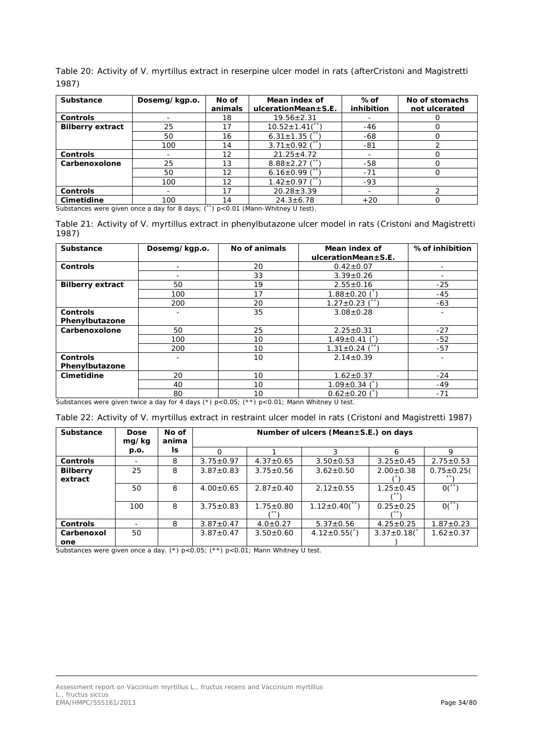Table 20: Activity of *V. myrtillus* extract in reserpine ulcer model in rats (afterCristoni and Magistretti 1987)

| Substance               | Dosemg/kgp.o. | No of<br>animals  | Mean index of<br>$ulcerationMean \pm S.E.$ | %of<br>inhibition | No of stomachs<br>not ulcerated |
|-------------------------|---------------|-------------------|--------------------------------------------|-------------------|---------------------------------|
| <b>Controls</b>         |               | 18                | $19.56 \pm 2.31$                           |                   |                                 |
| <b>Bilberry extract</b> | 25            | 17                | $10.52 \pm 1.41($ **                       | -46               |                                 |
|                         | 50            | 16                | 6.31 $\pm$ 1.35 (*                         | -68               |                                 |
|                         | 100           | 14                | $3.71 \pm 0.92$ (**                        | -81               |                                 |
| <b>Controls</b>         |               | $12 \overline{ }$ | $21.25 \pm 4.72$                           |                   |                                 |
| Carbenoxolone           | 25            | 13                | $8.88 \pm 2.27$ (**                        | -58               |                                 |
|                         | 50            | 12                | 6.16 $\pm$ 0.99 (*                         | $-71$             |                                 |
|                         | 100           | 12                | $1.42 \pm 0.97$ (                          | $-93$             |                                 |
| <b>Controls</b>         |               | 17                | $20.28 \pm 3.39$                           |                   |                                 |
| Cimetidine              | 100           | 14                | $24.3 \pm 6.78$                            | $+20$             |                                 |

Substances were given once a day for 8 days; (\*\*) p<0.01 (Mann-Whitney U test).

Table 21: Activity of *V. myrtillus* extract in phenylbutazone ulcer model in rats (Cristoni and Magistretti 1987)

| Substance               | Dosemg/kgp.o. | No of animals | Mean index of             | % of inhibition |
|-------------------------|---------------|---------------|---------------------------|-----------------|
|                         |               |               | $ulcerationMean \pm S.E.$ |                 |
| <b>Controls</b>         |               | 20            | $0.42 \pm 0.07$           |                 |
|                         |               | 33            | $3.39 \pm 0.26$           |                 |
| <b>Bilberry extract</b> | 50            | 19            | $2.55 \pm 0.16$           | $-25$           |
|                         | 100           | 17            | $1.88 \pm 0.20$ (         | $-45$           |
|                         | 200           | 20            | $1.27 \pm 0.23$           | $-63$           |
| <b>Controls</b>         |               | 35            | $3.08 \pm 0.28$           |                 |
| Phenylbutazone          |               |               |                           |                 |
| Carbenoxolone           | 50            | 25            | $2.25 \pm 0.31$           | $-27$           |
|                         | 100           | 10            | $1.49 \pm 0.41$ (         | $-52$           |
|                         | 200           | 10            | $1.31 \pm 0.24$ (**       | $-57$           |
| <b>Controls</b>         |               | 10            | $2.14 \pm 0.39$           |                 |
| Phenylbutazone          |               |               |                           |                 |
| Cimetidine              | 20            | 10            | $1.62 \pm 0.37$           | $-24$           |
|                         | 40            | 10            | $1.09 \pm 0.34$ (         | $-49$           |
|                         | 80            | 10            | $0.62 \pm 0.20$ (         | $-71$           |

Substances were given twice a day for 4 days (\*) p<0.05; (\*\*) p<0.01; Mann Whitney U test.

|  |  |  | Table 22: Activity of V. myrtillus extract in restraint ulcer model in rats (Cristoni and Magistretti 1987) |  |
|--|--|--|-------------------------------------------------------------------------------------------------------------|--|
|--|--|--|-------------------------------------------------------------------------------------------------------------|--|

| <b>Substance</b>           | <b>Dose</b><br>mg/kg     | No of<br>anima | Number of ulcers (Mean $\pm$ S.E.) on days |                 |                                 |                    |                 |  |  |  |  |  |
|----------------------------|--------------------------|----------------|--------------------------------------------|-----------------|---------------------------------|--------------------|-----------------|--|--|--|--|--|
|                            | p.o.                     | ls.            | ∩                                          |                 | 3                               | 6                  | 9               |  |  |  |  |  |
| <b>Controls</b>            | $\overline{\phantom{a}}$ | 8              | $3.75 \pm 0.97$                            | $4.37 \pm 0.65$ | $3.50 \pm 0.53$                 | $3.25 \pm 0.45$    | $2.75 \pm 0.53$ |  |  |  |  |  |
| <b>Bilberry</b><br>extract | 25                       | 8              | $3.87 \pm 0.83$                            | $3.75 \pm 0.56$ | $3.62 \pm 0.50$                 | $2.00 \pm 0.38$    | $0.75 \pm 0.25$ |  |  |  |  |  |
|                            | 50                       | 8              | $4.00 \pm 0.65$                            | $2.87 \pm 0.40$ | $2.12 \pm 0.55$                 | $1.25 \pm 0.45$    | $0($ **         |  |  |  |  |  |
|                            | 100                      | 8              | $3.75 \pm 0.83$                            | $1.75 \pm 0.80$ | $1.12 \pm 0.40$ <sup>**</sup> ) | $0.25 \pm 0.25$    | $0($ **         |  |  |  |  |  |
| <b>Controls</b>            | $\overline{\phantom{0}}$ | 8              | $3.87 \pm 0.47$                            | $4.0 \pm 0.27$  | $5.37 \pm 0.56$                 | $4.25 \pm 0.25$    | $1.87 \pm 0.23$ |  |  |  |  |  |
| Carbenoxol<br>one          | 50                       |                | $3.87 \pm 0.47$                            | $3.50 \pm 0.60$ | $4.12 \pm 0.55({}^*)$           | $3.37 \pm 0.18$ (* | $1.62 \pm 0.37$ |  |  |  |  |  |

Substances were given once a day. (\*) p<0.05; (\*\*) p<0.01; Mann Whitney U test.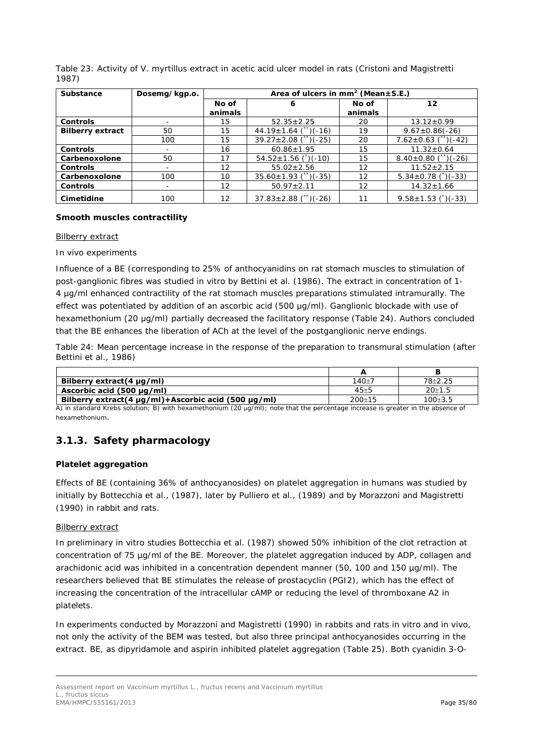Table 23: Activity of *V. myrtillus* extract in acetic acid ulcer model in rats (Cristoni and Magistretti 1987)

| Substance               | Dosemg/kgp.o. | Area of ulcers in mm <sup>2</sup> (Mean $\pm$ S.E.) |                            |         |                           |  |  |  |
|-------------------------|---------------|-----------------------------------------------------|----------------------------|---------|---------------------------|--|--|--|
|                         |               | No of<br>6                                          |                            | No of   | 12                        |  |  |  |
|                         |               | animals                                             |                            | animals |                           |  |  |  |
| <b>Controls</b>         |               | 15                                                  | $52.35 \pm 2.25$           | 20      | $13.12 \pm 0.99$          |  |  |  |
| <b>Bilberry extract</b> | 50            | 15                                                  | $44.19 \pm 1.64$ (**)(-16) | 19      | $9.67 \pm 0.86(-26)$      |  |  |  |
|                         | 100           | 15                                                  | $39.27 \pm 2.08$ (**)(-25) | 20      | $7.62 \pm 0.63$ (**)(-42) |  |  |  |
| <b>Controls</b>         |               | 16                                                  | $60.86 \pm 1.95$           | 15      | $11.32 \pm 0.64$          |  |  |  |
| Carbenoxolone           | 50            | 17                                                  | $54.52 \pm 1.56$ (1)(-10)  | 15      | $8.40\pm0.80$ (**)(-26)   |  |  |  |
| <b>Controls</b>         |               | $12 \overline{ }$                                   | $55.02 \pm 2.56$           | 12      | $11.52 \pm 2.15$          |  |  |  |
| Carbenoxolone           | 100           | 10                                                  | $35.60 \pm 1.93$ (**)(-35) | 12      | $5.34 \pm 0.78$ (*)(-33)  |  |  |  |
| <b>Controls</b>         |               | $12 \overline{ }$                                   | $50.97 \pm 2.11$           | 12      | $14.32 \pm 1.66$          |  |  |  |
| Cimetidine              | 100           | 12                                                  | $37.83 \pm 2.88$ (**)(-26) | 11      | $9.58 \pm 1.53$ (*)(-33)  |  |  |  |

## **Smooth muscles contractility**

#### Bilberry extract

## *In vivo experiments*

Influence of a BE (corresponding to 25% of anthocyanidins on rat stomach muscles to stimulation of post-ganglionic fibres was studied *in vitro* by Bettini *et al*. (1986). The extract in concentration of 1- 4 μg/ml enhanced contractility of the rat stomach muscles preparations stimulated intramurally. The effect was potentiated by addition of an ascorbic acid (500 μg/ml). Ganglionic blockade with use of hexamethonium (20 μg/ml) partially decreased the facilitatory response (Table 24). Authors concluded that the BE enhances the liberation of ACh at the level of the postganglionic nerve endings.

Table 24: Mean percentage increase in the response of the preparation to transmural stimulation (after Bettini *et al.,* 1986)

| Bilberry extract(4 $\mu$ g/ml)                                | $140 + 7$ | 78+2.25   |
|---------------------------------------------------------------|-----------|-----------|
| Ascorbic acid (500 µg/ml)                                     | $45 + 5$  | $20+1.5$  |
| Bilberry extract(4 $\mu$ g/ml)+Ascorbic acid (500 $\mu$ g/ml) | $200+15$  | $100+3.5$ |

 $\overline{A}$ ) in standard Krebs solution; B) with hexamethonium (20  $\mu g/m$ ); note that the percentage increase is greater in the absence of hexamethonium.

## <span id="page-34-0"></span>**3.1.3. Safety pharmacology**

## **Platelet aggregation**

Effects of BE (containing 36% of anthocyanosides) on platelet aggregation in humans was studied by initially by Bottecchia *et al.,* (1987), later by Pulliero *et al.,* (1989) and by Morazzoni and Magistretti (1990) in rabbit and rats.

## Bilberry extract

In preliminary *in vitro* studies Bottecchia *et al.* (1987) showed 50% inhibition of the clot retraction at concentration of 75 µg/ml of the BE. Moreover, the platelet aggregation induced by ADP, collagen and arachidonic acid was inhibited in a concentration dependent manner (50, 100 and 150 µg/ml). The researchers believed that BE stimulates the release of prostacyclin (PGI2), which has the effect of increasing the concentration of the intracellular cAMP or reducing the level of thromboxane A2 in platelets.

In experiments conducted by Morazzoni and Magistretti (1990) in rabbits and rats *in vitro* and *in vivo*, not only the activity of the BEM was tested, but also three principal anthocyanosides occurring in the extract. BE, as dipyridamole and aspirin inhibited platelet aggregation (Table 25). Both cyanidin 3-*O*-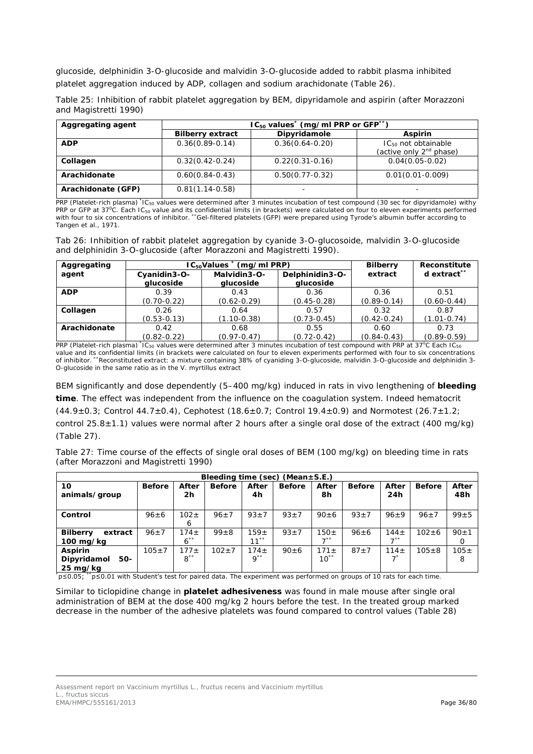glucoside, delphinidin 3-*O*-glucoside and malvidin 3-*O*-glucoside added to rabbit plasma inhibited platelet aggregation induced by ADP, collagen and sodium arachidonate (Table 26).

|                       |  |  | Table 25: Inhibition of rabbit platelet aggregation by BEM, dipyridamole and aspirin (after Morazzoni |  |  |
|-----------------------|--|--|-------------------------------------------------------------------------------------------------------|--|--|
| and Magistretti 1990) |  |  |                                                                                                       |  |  |

| Aggregating agent  | $IC_{50}$ values <sup>*</sup> (mg/ml PRP or GFP <sup>**</sup> ) |                     |                                                                 |  |  |  |  |
|--------------------|-----------------------------------------------------------------|---------------------|-----------------------------------------------------------------|--|--|--|--|
|                    | <b>Bilberry extract</b>                                         | Dipyridamole        | <b>Aspirin</b>                                                  |  |  |  |  |
| <b>ADP</b>         | $0.36(0.89 - 0.14)$                                             | $0.36(0.64 - 0.20)$ | $IC_{50}$ not obtainable<br>(active only 2 <sup>nd</sup> phase) |  |  |  |  |
| Collagen           | $0.32(0.42 - 0.24)$                                             | $0.22(0.31-0.16)$   | $0.04(0.05 - 0.02)$                                             |  |  |  |  |
| Arachidonate       | $0.60(0.84 - 0.43)$                                             | $0.50(0.77 - 0.32)$ | $0.01(0.01 - 0.009)$                                            |  |  |  |  |
| Arachidonate (GFP) | $0.81(1.14-0.58)$                                               |                     |                                                                 |  |  |  |  |

PRP (Platelet-rich plasma) <sup>\*</sup>IC<sub>50</sub> values were determined after 3 minutes incubation of test compound (30 sec for dipyridamole) withy PRP or GFP at 37<sup>o</sup>C. Each IC<sub>50</sub> value and its confidential limits (in brackets) were calculated on four to eleven experiments performed with four to six concentrations of inhibitor. \*\*Gel-filtered platelets (GFP) were prepared using Tyrode's albumin buffer according to Tangen *et al.,* 1971.

Tab 26: Inhibition of rabbit platelet aggregation by cyanide 3-*O*-glucosoide, malvidin 3-*O*-glucoside and delphinidin 3-*O*-glucoside (after Morazzoni and Magistretti 1990).

| Aggregating  |                           | $IC_{50}$ Values $\tilde{C}$<br>(mg/ml PRP) | <b>Bilberry</b>              | Reconstitute    |                         |  |
|--------------|---------------------------|---------------------------------------------|------------------------------|-----------------|-------------------------|--|
| agent        | Cyanidin3-O-<br>glucoside | Malvidin3-O-<br>glucoside                   | Delphinidin3-O-<br>glucoside | extract         | d extract <sup>**</sup> |  |
| <b>ADP</b>   | 0.39                      | 0.43                                        | 0.36                         | 0.36            | 0.51<br>$(0.60 - 0.44)$ |  |
|              | $(0.70 - 0.22)$           | $(0.62 - 0.29)$                             | $(0.45 - 0.28)$              | $(0.89 - 0.14)$ |                         |  |
| Collagen     | 0.26                      | 0.64                                        | 0.57                         | 0.32            | 0.87                    |  |
|              | $(0.53 - 0.13)$           | $(1.10 - 0.38)$<br>$(0.73 - 0.45)$          |                              | $(0.42 - 0.24)$ | $(1.01 - 0.74)$         |  |
| Arachidonate | 0.42<br>0.68              |                                             | 0.55                         | 0.60            | 0.73                    |  |
|              | $(0.82 - 0.22)$           | $(0.97 - 0.47)$                             | $(0.72 - 0.42)$              | $(0.84 - 0.43)$ | $(0.89 - 0.59)$         |  |

PRP (Platelet-rich plasma) \*IC<sub>50</sub> values were determined after 3 minutes incubation of test compound with PRP at 37°C Each IC<sub>50</sub> value and its confidential limits (in brackets were calculated on four to eleven experiments performed with four to six concentrations of inhibitor. \*\*Reconstituted extract: a mixture containing 38% of cyaniding 3-*O*-glucoside, malvidin 3-*O*-glucoside and delphinidin 3- *O*-glucoside in the same ratio as in the *V. myrtillus* extract

BEM significantly and dose dependently (5–400 mg/kg) induced in rats *in vivo* lengthening of **bleeding time**. The effect was independent from the influence on the coagulation system. Indeed hematocrit  $(44.9 \pm 0.3;$  Control  $44.7 \pm 0.4$ ), Cephotest  $(18.6 \pm 0.7;$  Control  $19.4 \pm 0.9)$  and Normotest  $(26.7 \pm 1.2;$ control 25.8 $\pm$ 1.1) values were normal after 2 hours after a single oral dose of the extract (400 mg/kg) (Table 27).

Table 27: Time course of the effects of single oral doses of BEM (100 mg/kg) on bleeding time in rats (after Morazzoni and Magistretti 1990)

| Bleeding time (sec) (Mean $\pm$ S.E.)            |               |                              |               |                              |               |                               |               |                               |               |                      |
|--------------------------------------------------|---------------|------------------------------|---------------|------------------------------|---------------|-------------------------------|---------------|-------------------------------|---------------|----------------------|
| 10<br>animals/group                              | <b>Before</b> | After<br>2h                  | <b>Before</b> | After<br>4h                  | <b>Before</b> | After<br>8h                   | <b>Before</b> | After<br>24h                  | <b>Before</b> | After<br>48h         |
| Control                                          | $96 \pm 6$    | $102 \pm$<br>6               | $96+7$        | $93+7$                       | $93 + 7$      | $90 \pm 6$                    | $93 + 7$      | $96+9$                        | $96 \pm 7$    | $99 + 5$             |
| <b>Bilberry</b><br>extract<br>100 mg/kg          | $96 \pm 7$    | 174 <sub>±</sub><br>$6^{**}$ | $99 \pm 8$    | $159 +$<br>$11***$           | $93+7$        | $150 \pm$<br>$\rightarrow$ ** | $96 \pm 6$    | $144 \pm$<br>$\rightarrow$ ** | $102 + 6$     | $90 + 1$<br>$\Omega$ |
| <b>Aspirin</b><br>Dipyridamol<br>50-<br>25 mg/kg | $105 + 7$     | $177 +$<br>$8***$            | $102 + 7$     | 174 <sub>±</sub><br>$9^{**}$ | $90 + 6$      | $171 +$<br>$10^{**}$          | $87 + 7$      | $114 +$                       | $105 + 8$     | $105 \pm$<br>8       |

\* p≤0.05; \*\*p≤0.01 with Student's test for paired data. The experiment was performed on groups of 10 rats for each time.

Similar to ticlopidine change in **platelet adhesiveness** was found in male mouse after single oral administration of BEM at the dose 400 mg/kg 2 hours before the test. In the treated group marked decrease in the number of the adhesive platelets was found compared to control values (Table 28)

Assessment report on *Vaccinium myrtillus* L., fructus recens and *Vaccinium myrtillus* L., fructus siccus EMA/HMPC/555161/2013 Page 36/80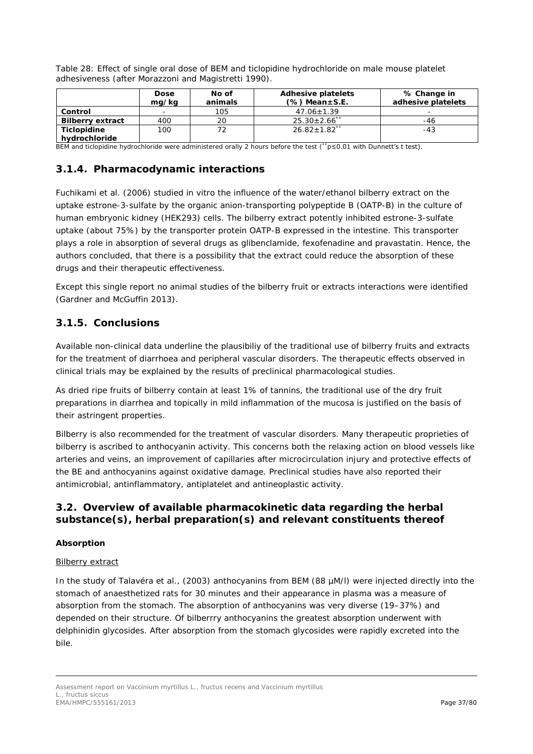Table 28: Effect of single oral dose of BEM and ticlopidine hydrochloride on male mouse platelet adhesiveness (after Morazzoni and Magistretti 1990).

|                         | <b>Dose</b><br>mg/kg     | No of<br>animals | <b>Adhesive platelets</b><br>$(\%)$ Mean $\pm$ S.E. | % Change in<br>adhesive platelets |
|-------------------------|--------------------------|------------------|-----------------------------------------------------|-----------------------------------|
| Control                 | $\overline{\phantom{0}}$ | 105              | $47.06 \pm 1.39$                                    | -                                 |
| <b>Bilberry extract</b> | 400                      | 20               | $25.30 \pm 2.66$ **                                 | -46                               |
| <b>Ticlopidine</b>      | 100                      |                  | $26.82 \pm 1.82$ <sup>**</sup>                      | $-43$                             |
| hydrochloride           |                          |                  |                                                     |                                   |

BEM and ticlopidine hydrochloride were administered orally 2 hours before the test (\*\*p≤0.01 with Dunnett's t test).

## **3.1.4. Pharmacodynamic interactions**

Fuchikami *et al.* (2006) studied *in vitro* the influence of the water/ethanol bilberry extract on the uptake estrone-3-sulfate by the organic anion-transporting polypeptide B (OATP-B) in the culture of human embryonic kidney (HEK293) cells. The bilberry extract potently inhibited estrone-3-sulfate uptake (about 75%) by the transporter protein OATP-B expressed in the intestine. This transporter plays a role in absorption of several drugs as glibenclamide, fexofenadine and pravastatin. Hence, the authors concluded, that there is a possibility that the extract could reduce the absorption of these drugs and their therapeutic effectiveness.

Except this single report no animal studies of the bilberry fruit or extracts interactions were identified (Gardner and McGuffin 2013).

## **3.1.5. Conclusions**

Available non-clinical data underline the plausibiliy of the traditional use of bilberry fruits and extracts for the treatment of diarrhoea and peripheral vascular disorders. The therapeutic effects observed in clinical trials may be explained by the results of preclinical pharmacological studies.

As dried ripe fruits of bilberry contain at least 1% of tannins, the traditional use of the dry fruit preparations in diarrhea and topically in mild inflammation of the mucosa is justified on the basis of their astringent properties.

Bilberry is also recommended for the treatment of vascular disorders. Many therapeutic proprieties of bilberry is ascribed to anthocyanin activity. This concerns both the relaxing action on blood vessels like arteries and veins, an improvement of capillaries after microcirculation injury and protective effects of the BE and anthocyanins against oxidative damage. Preclinical studies have also reported their antimicrobial, antinflammatory, antiplatelet and antineoplastic activity.

## *3.2. Overview of available pharmacokinetic data regarding the herbal substance(s), herbal preparation(s) and relevant constituents thereof*

#### **Absorption**

#### Bilberry extract

In the study of Talavéra *et al.,* (2003) anthocyanins from BEM (88 µM/l) were injected directly into the stomach of anaesthetized rats for 30 minutes and their appearance in plasma was a measure of absorption from the stomach. The absorption of anthocyanins was very diverse (19–37%) and depended on their structure. Of bilberrry anthocyanins the greatest absorption underwent with delphinidin glycosides. After absorption from the stomach glycosides were rapidly excreted into the bile.

Assessment report on *Vaccinium myrtillus* L., fructus recens and *Vaccinium myrtillus* L., fructus siccus EMA/HMPC/555161/2013 **Page 37/80**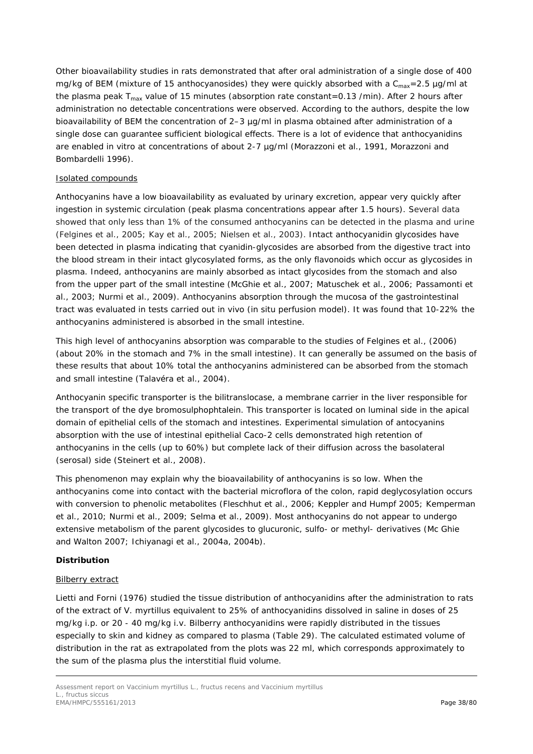Other bioavailability studies in rats demonstrated that after oral administration of a single dose of 400 mg/kg of BEM (mixture of 15 anthocyanosides) they were quickly absorbed with a  $C_{\text{max}} = 2.5$  µg/ml at the plasma peak  $T_{max}$  value of 15 minutes (absorption rate constant=0.13 /min). After 2 hours after administration no detectable concentrations were observed. According to the authors, despite the low bioavailability of BEM the concentration of 2–3 µg/ml in plasma obtained after administration of a single dose can guarantee sufficient biological effects. There is a lot of evidence that anthocyanidins are enabled *in vitro* at concentrations of about 2-7 µg/ml (Morazzoni *et al.,* 1991, Morazzoni and Bombardelli 1996).

#### Isolated compounds

Anthocyanins have a low bioavailability as evaluated by urinary excretion, appear very quickly after ingestion in systemic circulation (peak plasma concentrations appear after 1.5 hours). Several data showed that only less than 1% of the consumed anthocyanins can be detected in the plasma and urine (Felgines *et al.,* 2005; Kay *et al.,* 2005; Nielsen *et al.,* 2003). Intact anthocyanidin glycosides have been detected in plasma indicating that cyanidin-glycosides are absorbed from the digestive tract into the blood stream in their intact glycosylated forms, as the only flavonoids which occur as glycosides in plasma. Indeed, anthocyanins are mainly absorbed as intact glycosides from the stomach and also from the upper part of the small intestine (McGhie *et al.*, 2007; Matuschek *et al.*, 2006; Passamonti *et al.*, 2003; Nurmi *et al.,* 2009). Anthocyanins absorption through the mucosa of the gastrointestinal tract was evaluated in tests carried out *in vivo* (in situ perfusion model). It was found that 10-22% the anthocyanins administered is absorbed in the small intestine.

This high level of anthocyanins absorption was comparable to the studies of Felgines *et al.,* (2006) (about 20% in the stomach and 7% in the small intestine). It can generally be assumed on the basis of these results that about 10% total the anthocyanins administered can be absorbed from the stomach and small intestine (Talavéra *et al.,* 2004).

Anthocyanin specific transporter is the bilitranslocase, a membrane carrier in the liver responsible for the transport of the dye bromosulphophtalein. This transporter is located on luminal side in the apical domain of epithelial cells of the stomach and intestines. Experimental simulation of antocyanins absorption with the use of intestinal epithelial Caco-2 cells demonstrated high retention of anthocyanins in the cells (up to 60%) but complete lack of their diffusion across the basolateral (serosal) side (Steinert *et al.,* 2008).

This phenomenon may explain why the bioavailability of anthocyanins is so low. When the anthocyanins come into contact with the bacterial microflora of the colon, rapid deglycosylation occurs with conversion to phenolic metabolites (Fleschhut *et al.,* 2006; Keppler and Humpf 2005; Kemperman *et al.,* 2010; Nurmi *et al.,* 2009; Selma *et al.,* 2009). Most anthocyanins do not appear to undergo extensive metabolism of the parent glycosides to glucuronic, sulfo- or methyl- derivatives (Mc Ghie and Walton 2007; Ichiyanagi *et al.*, 2004a, 2004b).

#### **Distribution**

#### Bilberry extract

Lietti and Forni (1976) studied the tissue distribution of anthocyanidins after the administration to rats of the extract of *V. myrtillus* equivalent to 25% of anthocyanidins dissolved in saline in doses of 25 mg/kg i.p. or 20 - 40 mg/kg i.v. Bilberry anthocyanidins were rapidly distributed in the tissues especially to skin and kidney as compared to plasma (Table 29). The calculated estimated volume of distribution in the rat as extrapolated from the plots was 22 ml, which corresponds approximately to the sum of the plasma plus the interstitial fluid volume.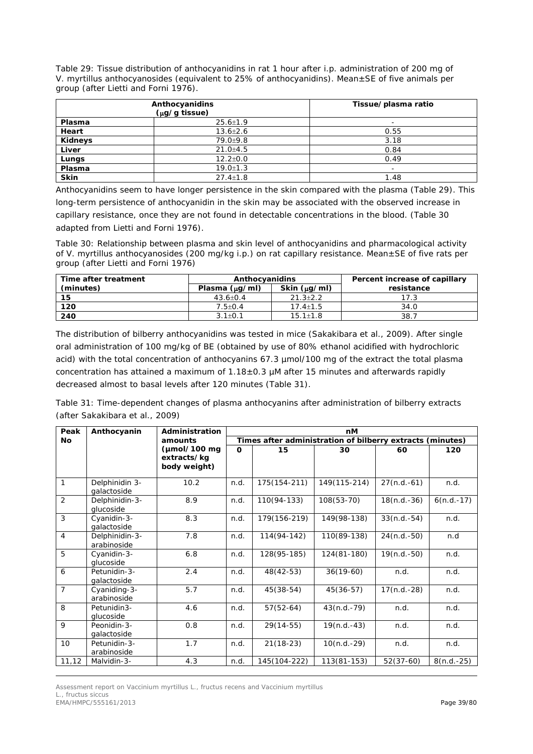Table 29: Tissue distribution of anthocyanidins in rat 1 hour after i.p. administration of 200 mg of *V. myrtillus* anthocyanosides (equivalent to 25% of anthocyanidins). Mean±SE of five animals per group (after Lietti and Forni 1976).

|             | Anthocyanidins<br>$(\mu g/g$ tissue) | Tissue/plasma ratio |
|-------------|--------------------------------------|---------------------|
| Plasma      | $25.6 \pm 1.9$                       |                     |
| Heart       | $13.6 \pm 2.6$                       | 0.55                |
| Kidneys     | $79.0 + 9.8$                         | 3.18                |
| Liver       | $21.0 + 4.5$                         | 0.84                |
| Lungs       | $12.2 \pm 0.0$                       | 0.49                |
| Plasma      | $19.0 \pm 1.3$                       |                     |
| <b>Skin</b> | $27.4 \pm 1.8$                       | 1.48                |

Anthocyanidins seem to have longer persistence in the skin compared with the plasma (Table 29). This long-term persistence of anthocyanidin in the skin may be associated with the observed increase in capillary resistance, once they are not found in detectable concentrations in the blood. (Table 30 adapted from Lietti and Forni 1976).

Table 30: Relationship between plasma and skin level of anthocyanidins and pharmacological activity of *V. myrtillus* anthocyanosides (200 mg/kg i.p.) on rat capillary resistance. Mean±SE of five rats per group (after Lietti and Forni 1976)

| Time after treatment | Anthocyanidins      |                  | Percent increase of capillary |
|----------------------|---------------------|------------------|-------------------------------|
| (minutes)            | Plasma $(\mu q/ml)$ | Skin $(\mu q/m)$ | resistance                    |
| 15                   | $43.6 \pm 0.4$      | $21.3 \pm 2.2$   | 17.3                          |
| 120                  | $7.5 + 0.4$         | $17.4 \pm 1.5$   | 34.0                          |
| 240                  | $3.1 + 0.1$         | $15.1 \pm 1.8$   | 38.7                          |

The distribution of bilberry anthocyanidins was tested in mice (Sakakibara *et al.,* 2009). After single oral administration of 100 mg/kg of BE (obtained by use of 80% ethanol acidified with hydrochloric acid) with the total concentration of anthocyanins 67.3 µmol/100 mg of the extract the total plasma concentration has attained a maximum of  $1.18\pm0.3$  µM after 15 minutes and afterwards rapidly decreased almost to basal levels after 120 minutes (Table 31).

Table 31: Time-dependent changes of plasma anthocyanins after administration of bilberry extracts (after Sakakibara *et al.,* 2009)

| Peak           | Anthocyanin                   | Administration                                                  | nM       |                                                           |               |               |              |  |
|----------------|-------------------------------|-----------------------------------------------------------------|----------|-----------------------------------------------------------|---------------|---------------|--------------|--|
| No             |                               | amounts                                                         |          | Times after administration of bilberry extracts (minutes) |               |               |              |  |
|                |                               | $(\mu \text{mol}/100 \text{mg})$<br>extracts/kg<br>body weight) | $\Omega$ | 15                                                        | 30            | 60            | 120          |  |
| $\mathbf{1}$   | Delphinidin 3-<br>qalactoside | 10.2                                                            | n.d.     | 175(154-211)                                              | 149(115-214)  | $27(n.d.-61)$ | n.d.         |  |
| $\overline{2}$ | Delphinidin-3-<br>glucoside   | 8.9                                                             | n.d.     | 110(94-133)                                               | $108(53-70)$  | $18(n.d.-36)$ | $6(n.d.-17)$ |  |
| 3              | Cyanidin-3-<br>qalactoside    | 8.3                                                             | n.d.     | 179(156-219)                                              | 149 (98-138)  | $33(n.d.-54)$ | n.d.         |  |
| $\overline{4}$ | Delphinidin-3-<br>arabinoside | 7.8                                                             | n.d.     | 114 (94 - 142)                                            | 110(89-138)   | $24(n.d.-50)$ | n.d          |  |
| 5              | Cyanidin-3-<br>glucoside      | 6.8                                                             | n.d.     | 128(95-185)                                               | 124(81-180)   | $19(n.d.-50)$ | n.d.         |  |
| 6              | Petunidin-3-<br>qalactoside   | 2.4                                                             | n.d.     | $48(42-53)$                                               | $36(19-60)$   | n.d.          | n.d.         |  |
| $\overline{7}$ | Cyaniding-3-<br>arabinoside   | 5.7                                                             | n.d.     | $45(38-54)$                                               | $45(36-57)$   | $17(n.d.-28)$ | n.d.         |  |
| 8              | Petunidin3-<br>glucoside      | 4.6                                                             | n.d.     | $57(52-64)$                                               | $43(n.d.-79)$ | n.d.          | n.d.         |  |
| 9              | Peonidin-3-<br>galactoside    | 0.8                                                             | n.d.     | $29(14-55)$                                               | $19(n.d.-43)$ | n.d.          | n.d.         |  |
| 10             | Petunidin-3-<br>arabinoside   | 1.7                                                             | n.d.     | $21(18-23)$                                               | $10(n.d.-29)$ | n.d.          | n.d.         |  |
| 11,12          | Malvidin-3-                   | 4.3                                                             | n.d.     | 145(104-222)                                              | 113(81-153)   | $52(37-60)$   | $8(n.d.-25)$ |  |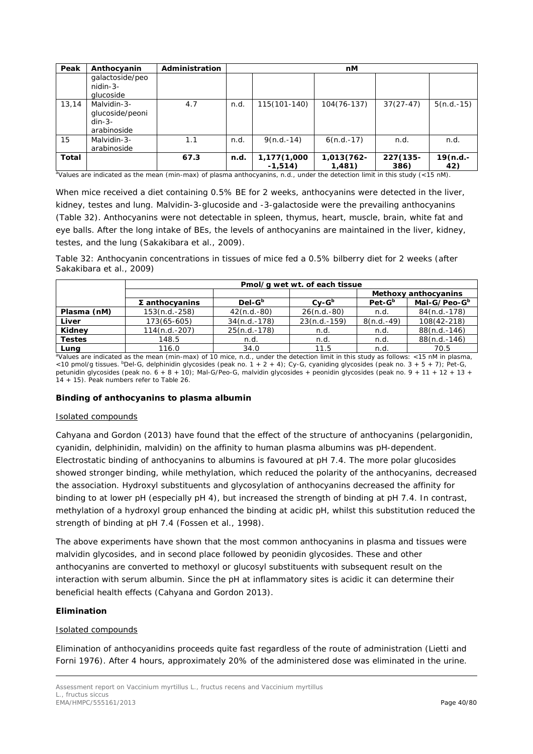| Peak         | Anthocyanin                                               | Administration |      |                          | nМ                   |                     |                 |
|--------------|-----------------------------------------------------------|----------------|------|--------------------------|----------------------|---------------------|-----------------|
|              | galactoside/peo<br>nidin-3-<br>alucoside                  |                |      |                          |                      |                     |                 |
| 13.14        | Malvidin-3-<br>glucoside/peoni<br>$din-3-$<br>arabinoside | 4.7            | n.d. | 115(101-140)             | $104(76-137)$        | $37(27-47)$         | $5(n.d.-15)$    |
| 15           | Malvidin-3-<br>arabinoside                                | 1.1            | n.d. | $9(n.d.-14)$             | $6(n.d.-17)$         | n.d.                | n.d.            |
| <b>Total</b> |                                                           | 67.3           | n.d. | 1,177(1,000<br>$-1,514)$ | 1,013(762-<br>1,481) | $227(135 -$<br>386) | 19(n.d.-<br>42) |

aValues are indicated as the mean (min-max) of plasma anthocyanins, n.d., under the detection limit in this study (<15 nM).

When mice received a diet containing 0.5% BE for 2 weeks, anthocyanins were detected in the liver, kidney, testes and lung. Malvidin-3-glucoside and -3-galactoside were the prevailing anthocyanins (Table 32). Anthocyanins were not detectable in spleen, thymus, heart, muscle, brain, white fat and eye balls. After the long intake of BEs, the levels of anthocyanins are maintained in the liver, kidney, testes, and the lung (Sakakibara *et al.,* 2009).

Table 32: Anthocyanin concentrations in tissues of mice fed a 0.5% bilberry diet for 2 weeks (after Sakakibara *et al.,* 2009)

|               | Pmol/g wet wt. of each tissue |                |                |              |                          |  |  |  |  |
|---------------|-------------------------------|----------------|----------------|--------------|--------------------------|--|--|--|--|
|               |                               |                |                |              | Methoxy anthocyanins     |  |  |  |  |
|               | $\Sigma$ anthocyanins         | $Del-Gb$       | $Cv-Gb$        | $Pet-Gb$     | Mal-G/Peo-G <sup>b</sup> |  |  |  |  |
| Plasma (nM)   | 153(n.d.-258)                 | $42(n.d.-80)$  | $26(n.d.-80)$  | n.d.         | 84(n.d.-178)             |  |  |  |  |
| Liver         | 173(65-605)                   | $34(n.d.-178)$ | $23(n.d.-159)$ | $8(n.d.-49)$ | 108(42-218)              |  |  |  |  |
| Kidney        | $114(n.d.-207)$               | $25(n.d.-178)$ | n.d.           | n.d.         | $88(n.d.-146)$           |  |  |  |  |
| <b>Testes</b> | 148.5                         | n.d.           | n.d.           | n.d.         | $88(n.d.-146)$           |  |  |  |  |
| Luna          | 116.0                         | 34.0           | 11.5           | n.d.         | 70.5                     |  |  |  |  |

**Lung** 116.0 116.0 34.0 11.5 n.d. 10.d. 70.5 10.5 and a values are indicated as the mean (min-max) of 10 mice, n.d., under the detection limit in this study as follows: <15 nM in plasma, <10 pmol/g tissues.  $b$ Del-G, delphinidin glycosides (peak no. 1 + 2 + 4); Cy-G, cyaniding glycosides (peak no. 3 + 5 + 7); Pet-G, petunidin glycosides (peak no.  $6 + 8 + 10$ ); Mal-G/Peo-G, malvidin glycosides + peonidin glycosides (peak no. 9 + 11 + 12 + 13 + 14 + 15). Peak numbers refer to Table 26.

#### **Binding of anthocyanins to plasma albumin**

#### Isolated compounds

Cahyana and Gordon (2013) have found that the effect of the structure of anthocyanins (pelargonidin, cyanidin, delphinidin, malvidin) on the affinity to human plasma albumins was pH-dependent. Electrostatic binding of anthocyanins to albumins is favoured at pH 7.4. The more polar glucosides showed stronger binding, while methylation, which reduced the polarity of the anthocyanins, decreased the association. Hydroxyl substituents and glycosylation of anthocyanins decreased the affinity for binding to at lower pH (especially pH 4), but increased the strength of binding at pH 7.4. In contrast, methylation of a hydroxyl group enhanced the binding at acidic pH, whilst this substitution reduced the strength of binding at pH 7.4 (Fossen *et al.,* 1998).

The above experiments have shown that the most common anthocyanins in plasma and tissues were malvidin glycosides, and in second place followed by peonidin glycosides. These and other anthocyanins are converted to methoxyl or glucosyl substituents with subsequent result on the interaction with serum albumin. Since the pH at inflammatory sites is acidic it can determine their beneficial health effects (Cahyana and Gordon 2013).

#### **Elimination**

#### Isolated compounds

Elimination of anthocyanidins proceeds quite fast regardless of the route of administration (Lietti and Forni 1976). After 4 hours, approximately 20% of the administered dose was eliminated in the urine.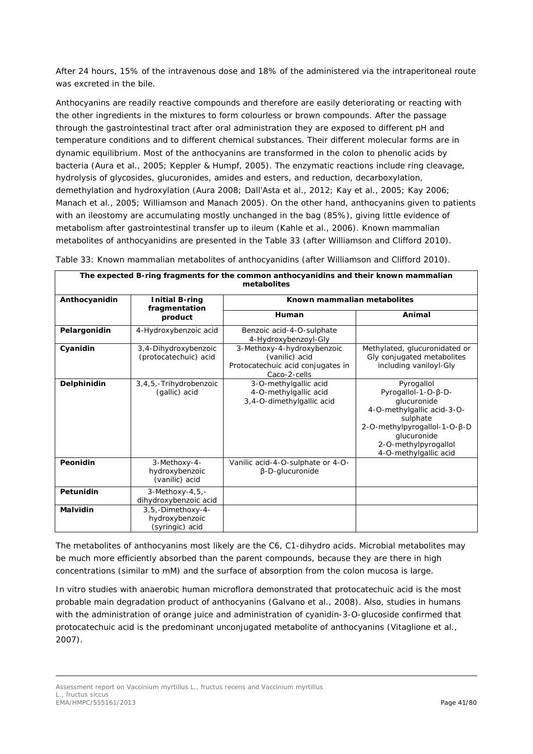After 24 hours, 15% of the intravenous dose and 18% of the administered via the intraperitoneal route was excreted in the bile.

Anthocyanins are readily reactive compounds and therefore are easily deteriorating or reacting with the other ingredients in the mixtures to form colourless or brown compounds. After the passage through the gastrointestinal tract after oral administration they are exposed to different pH and temperature conditions and to different chemical substances. Their different molecular forms are in dynamic equilibrium. Most of the anthocyanins are transformed in the colon to phenolic acids by bacteria (Aura *et al.*, 2005; Keppler & Humpf, 2005). The enzymatic reactions include ring cleavage, hydrolysis of glycosides, glucuronides, amides and esters, and reduction, decarboxylation, demethylation and hydroxylation (Aura 2008; Dall'Asta *et al.,* 2012; Kay *et al.,* 2005; Kay 2006; Manach *et al.,* 2005; Williamson and Manach 2005). On the other hand, anthocyanins given to patients with an ileostomy are accumulating mostly unchanged in the bag (85%), giving little evidence of metabolism after gastrointestinal transfer up to ileum (Kahle *et al.,* 2006). Known mammalian metabolites of anthocyanidins are presented in the Table 33 (after Williamson and Clifford 2010).

| The expected B-ring fragments for the common anthocyanidins and their known mammalian<br>metabolites |                                                        |                                                                                                   |                                                                                                                                                                                            |  |  |  |  |  |
|------------------------------------------------------------------------------------------------------|--------------------------------------------------------|---------------------------------------------------------------------------------------------------|--------------------------------------------------------------------------------------------------------------------------------------------------------------------------------------------|--|--|--|--|--|
| Anthocyanidin                                                                                        | <b>Initial B-ring</b><br>fragmentation                 | Known mammalian metabolites                                                                       |                                                                                                                                                                                            |  |  |  |  |  |
|                                                                                                      | product                                                | Human                                                                                             | Animal                                                                                                                                                                                     |  |  |  |  |  |
| Pelargonidin                                                                                         | 4-Hydroxybenzoic acid                                  | Benzoic acid-4-O-sulphate<br>4-Hydroxybenzoyl-Gly                                                 |                                                                                                                                                                                            |  |  |  |  |  |
| Cyanidin                                                                                             | 3,4-Dihydroxybenzoic<br>(protocatechuic) acid          | 3-Methoxy-4-hydroxybenzoic<br>(vanilic) acid<br>Protocatechuic acid conjugates in<br>Caco-2-cells | Methylated, glucuronidated or<br>Gly conjugated metabolites<br>including vaniloyl-Gly                                                                                                      |  |  |  |  |  |
| Delphinidin                                                                                          | 3,4,5,-Trihydrobenzoic<br>(gallic) acid                | 3-O-methylgallic acid<br>4-O-methylgallic acid<br>3,4-O-dimethylgallic acid                       | Pyrogallol<br>Pyrogallol-1-O-B-D-<br>glucuronide<br>4-O-methylgallic acid-3-O-<br>sulphate<br>2-O-methylpyrogallol-1-O-β-D<br>glucuronide<br>2-O-methylpyrogallol<br>4-O-methylgallic acid |  |  |  |  |  |
| Peonidin                                                                                             | 3-Methoxy-4-<br>hydroxybenzoic<br>(vanilic) acid       | Vanilic acid-4-O-sulphate or 4-O-<br>$\beta$ -D-glucuronide                                       |                                                                                                                                                                                            |  |  |  |  |  |
| Petunidin                                                                                            | 3-Methoxy-4,5,-<br>dihydroxybenzoic acid               |                                                                                                   |                                                                                                                                                                                            |  |  |  |  |  |
| Malvidin                                                                                             | 3,5,-Dimethoxy-4-<br>hydroxybenzoic<br>(syringic) acid |                                                                                                   |                                                                                                                                                                                            |  |  |  |  |  |

Table 33: Known mammalian metabolites of anthocyanidins (after Williamson and Clifford 2010).

The metabolites of anthocyanins most likely are the C6, C1-dihydro acids. Microbial metabolites may be much more efficiently absorbed than the parent compounds, because they are there in high concentrations (similar to mM) and the surface of absorption from the colon mucosa is large.

*In vitro* studies with anaerobic human microflora demonstrated that protocatechuic acid is the most probable main degradation product of anthocyanins (Galvano *et al.,* 2008). Also, studies in humans with the administration of orange juice and administration of cyanidin-3-*O*-glucoside confirmed that protocatechuic acid is the predominant unconjugated metabolite of anthocyanins (Vitaglione *et al.,* 2007).

Assessment report on *Vaccinium myrtillus* L., fructus recens and *Vaccinium myrtillus* L., fructus siccus EMA/HMPC/555161/2013 **Page 41/80**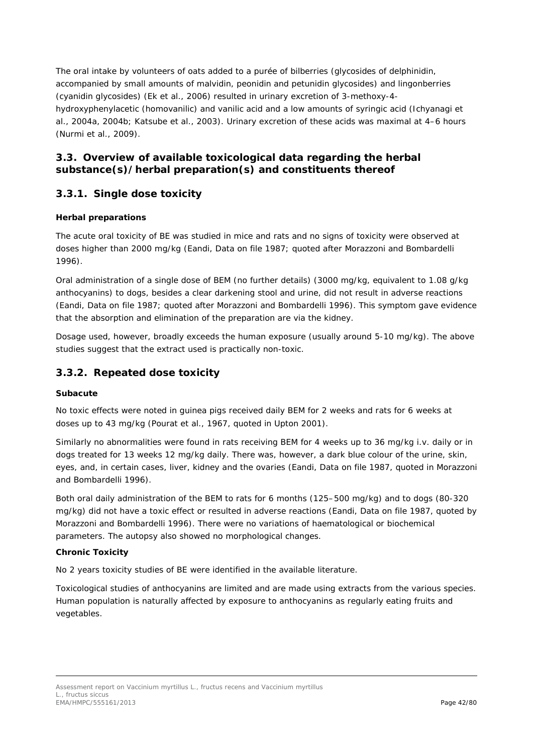The oral intake by volunteers of oats added to a purée of bilberries (glycosides of delphinidin, accompanied by small amounts of malvidin, peonidin and petunidin glycosides) and lingonberries (cyanidin glycosides) (Ek *et al.,* 2006) resulted in urinary excretion of 3-methoxy-4 hydroxyphenylacetic (homovanilic) and vanilic acid and a low amounts of syringic acid (Ichyanagi *et al.,* 2004a, 2004b; Katsube *et al.,* 2003). Urinary excretion of these acids was maximal at 4–6 hours (Nurmi *et al.,* 2009).

## *3.3. Overview of available toxicological data regarding the herbal substance(s)/herbal preparation(s) and constituents thereof*

## **3.3.1. Single dose toxicity**

### *Herbal preparations*

The acute oral toxicity of BE was studied in mice and rats and no signs of toxicity were observed at doses higher than 2000 mg/kg (Eandi, Data on file 1987; quoted after Morazzoni and Bombardelli 1996).

Oral administration of a single dose of BEM (no further details) (3000 mg/kg, equivalent to 1.08 g/kg anthocyanins) to dogs, besides a clear darkening stool and urine, did not result in adverse reactions (Eandi, Data on file 1987; quoted after Morazzoni and Bombardelli 1996). This symptom gave evidence that the absorption and elimination of the preparation are via the kidney.

Dosage used, however, broadly exceeds the human exposure (usually around 5-10 mg/kg). The above studies suggest that the extract used is practically non-toxic.

## **3.3.2. Repeated dose toxicity**

#### *Subacute*

No toxic effects were noted in guinea pigs received daily BEM for 2 weeks and rats for 6 weeks at doses up to 43 mg/kg (Pourat *et al.,* 1967, quoted in Upton 2001).

Similarly no abnormalities were found in rats receiving BEM for 4 weeks up to 36 mg/kg i.v. daily or in dogs treated for 13 weeks 12 mg/kg daily. There was, however, a dark blue colour of the urine, skin, eyes, and, in certain cases, liver, kidney and the ovaries (Eandi, Data on file 1987, quoted in Morazzoni and Bombardelli 1996).

Both oral daily administration of the BEM to rats for 6 months (125–500 mg/kg) and to dogs (80-320 mg/kg) did not have a toxic effect or resulted in adverse reactions (Eandi, Data on file 1987, quoted by Morazzoni and Bombardelli 1996). There were no variations of haematological or biochemical parameters. The autopsy also showed no morphological changes.

#### *Chronic Toxicity*

No 2 years toxicity studies of BE were identified in the available literature.

Toxicological studies of anthocyanins are limited and are made using extracts from the various species. Human population is naturally affected by exposure to anthocyanins as regularly eating fruits and vegetables.

Assessment report on *Vaccinium myrtillus* L., fructus recens and *Vaccinium myrtillus* L., fructus siccus EMA/HMPC/555161/2013 Page 42/80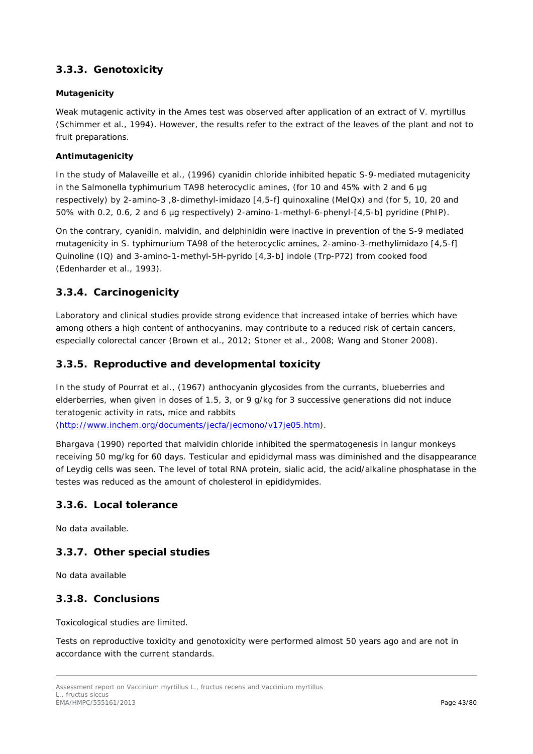## **3.3.3. Genotoxicity**

#### **Mutagenicity**

Weak mutagenic activity in the Ames test was observed after application of an extract of *V. myrtillus* (Schimmer *et al.,* 1994). However, the results refer to the extract of the leaves of the plant and not to fruit preparations.

#### **Antimutagenicity**

In the study of Malaveille *et al.*, (1996) cyanidin chloride inhibited hepatic S-9-mediated mutagenicity in the *Salmonella typhimurium* TA98 heterocyclic amines, (for 10 and 45% with 2 and 6 µg respectively) by 2-amino-3 ,8-dimethyl-imidazo [4,5-f] quinoxaline (MeIQx) and (for 5, 10, 20 and 50% with 0.2, 0.6, 2 and 6 µg respectively) 2-amino-1-methyl-6-phenyl-[4,5-b] pyridine (PhIP).

On the contrary, cyanidin, malvidin, and delphinidin were inactive in prevention of the S-9 mediated mutagenicity in *S. typhimurium* TA98 of the heterocyclic amines, 2-amino-3-methylimidazo [4,5-f] Quinoline (IQ) and 3-amino-1-methyl-5H-pyrido [4,3-b] indole (Trp-P72) from cooked food (Edenharder *et al.*, 1993).

## **3.3.4. Carcinogenicity**

Laboratory and clinical studies provide strong evidence that increased intake of berries which have among others a high content of anthocyanins, may contribute to a reduced risk of certain cancers, especially colorectal cancer (Brown *et al.,* 2012; Stoner *et al.,* 2008; Wang and Stoner 2008).

## **3.3.5. Reproductive and developmental toxicity**

In the study of Pourrat *et al.,* (1967) anthocyanin glycosides from the currants, blueberries and elderberries, when given in doses of 1.5, 3, or 9 g/kg for 3 successive generations did not induce teratogenic activity in rats, mice and rabbits [\(http://www.inchem.org/documents/jecfa/jecmono/v17je05.htm\)](http://www.inchem.org/documents/jecfa/jecmono/v17je05.htm).

Bhargava (1990) reported that malvidin chloride inhibited the spermatogenesis in langur monkeys receiving 50 mg/kg for 60 days. Testicular and epididymal mass was diminished and the disappearance of Leydig cells was seen. The level of total RNA protein, sialic acid, the acid/alkaline phosphatase in the testes was reduced as the amount of cholesterol in epididymides.

### **3.3.6. Local tolerance**

No data available.

## **3.3.7. Other special studies**

No data available

### **3.3.8. Conclusions**

Toxicological studies are limited.

Tests on reproductive toxicity and genotoxicity were performed almost 50 years ago and are not in accordance with the current standards.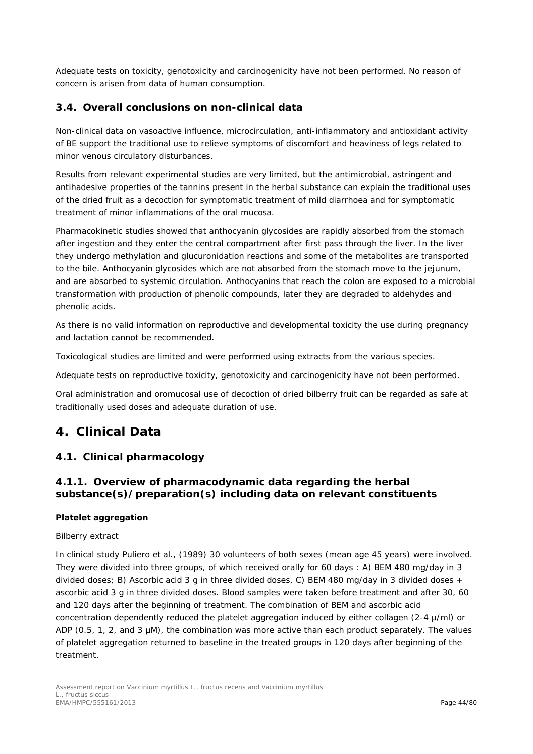Adequate tests on toxicity, genotoxicity and carcinogenicity have not been performed. No reason of concern is arisen from data of human consumption.

## *3.4. Overall conclusions on non-clinical data*

Non-clinical data on vasoactive influence, microcirculation, anti-inflammatory and antioxidant activity of BE support the traditional use to relieve symptoms of discomfort and heaviness of legs related to minor venous circulatory disturbances.

Results from relevant experimental studies are very limited, but the antimicrobial, astringent and antihadesive properties of the tannins present in the herbal substance can explain the traditional uses of the dried fruit as a decoction for symptomatic treatment of mild diarrhoea and for symptomatic treatment of minor inflammations of the oral mucosa.

Pharmacokinetic studies showed that anthocyanin glycosides are rapidly absorbed from the stomach after ingestion and they enter the central compartment after first pass through the liver. In the liver they undergo methylation and glucuronidation reactions and some of the metabolites are transported to the bile. Anthocyanin glycosides which are not absorbed from the stomach move to the jejunum, and are absorbed to systemic circulation. Anthocyanins that reach the colon are exposed to a microbial transformation with production of phenolic compounds, later they are degraded to aldehydes and phenolic acids.

As there is no valid information on reproductive and developmental toxicity the use during pregnancy and lactation cannot be recommended.

Toxicological studies are limited and were performed using extracts from the various species.

Adequate tests on reproductive toxicity, genotoxicity and carcinogenicity have not been performed.

Oral administration and oromucosal use of decoction of dried bilberry fruit can be regarded as safe at traditionally used doses and adequate duration of use.

# **4. Clinical Data**

### *4.1. Clinical pharmacology*

## **4.1.1. Overview of pharmacodynamic data regarding the herbal substance(s)/preparation(s) including data on relevant constituents**

#### **Platelet aggregation**

#### Bilberry extract

In clinical study Puliero *et al.,* (1989) 30 volunteers of both sexes (mean age 45 years) were involved. They were divided into three groups, of which received orally for 60 days : A) BEM 480 mg/day in 3 divided doses; B) Ascorbic acid 3 g in three divided doses, C) BEM 480 mg/day in 3 divided doses + ascorbic acid 3 g in three divided doses. Blood samples were taken before treatment and after 30, 60 and 120 days after the beginning of treatment. The combination of BEM and ascorbic acid concentration dependently reduced the platelet aggregation induced by either collagen (2-4 µ/ml) or ADP (0.5, 1, 2, and 3 µM), the combination was more active than each product separately. The values of platelet aggregation returned to baseline in the treated groups in 120 days after beginning of the treatment.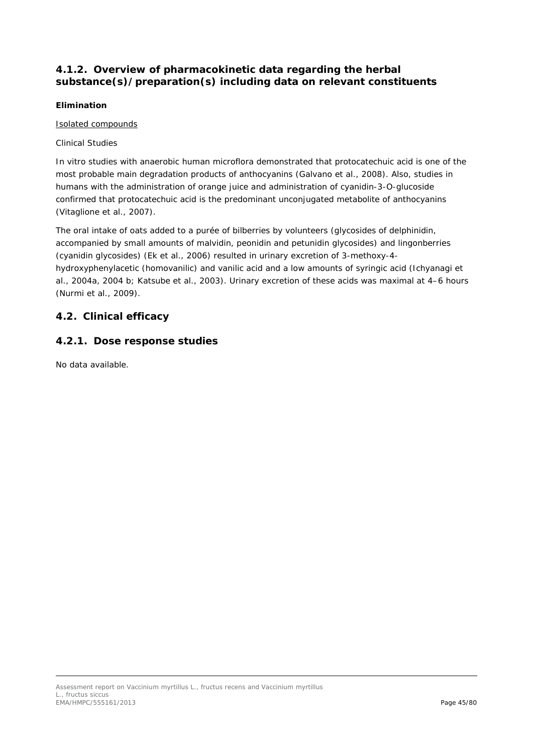## **4.1.2. Overview of pharmacokinetic data regarding the herbal substance(s)/preparation(s) including data on relevant constituents**

#### **Elimination**

#### Isolated compounds

#### *Clinical Studies*

*In vitro* studies with anaerobic human microflora demonstrated that protocatechuic acid is one of the most probable main degradation products of anthocyanins (Galvano *et al.,* 2008). Also, studies in humans with the administration of orange juice and administration of cyanidin-3-*O*-glucoside confirmed that protocatechuic acid is the predominant unconjugated metabolite of anthocyanins (Vitaglione *et al.,* 2007).

The oral intake of oats added to a purée of bilberries by volunteers (glycosides of delphinidin, accompanied by small amounts of malvidin, peonidin and petunidin glycosides) and lingonberries (cyanidin glycosides) (Ek *et al.,* 2006) resulted in urinary excretion of 3-methoxy-4 hydroxyphenylacetic (homovanilic) and vanilic acid and a low amounts of syringic acid (Ichyanagi *et al.,* 2004a, 2004 b; Katsube *et al.,* 2003). Urinary excretion of these acids was maximal at 4–6 hours (Nurmi *et al.,* 2009).

## *4.2. Clinical efficacy*

## **4.2.1. Dose response studies**

No data available.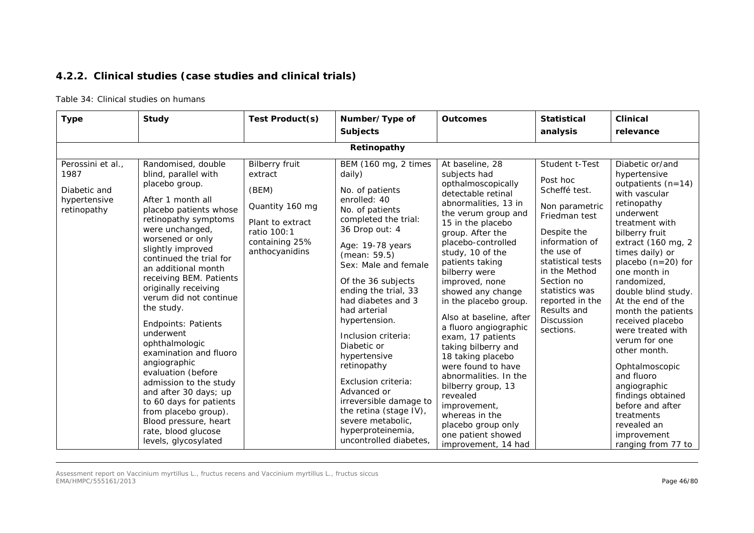## **4.2.2. Clinical studies (case studies and clinical trials)**

#### Table 34: Clinical studies on humans

| <b>Type</b>                                                              | <b>Study</b>                                                                                                                                                                                                                                                                                                                                                                                                                                                                                                                                                                                                                                            | Test Product(s)                                                                                                                     | Number/Type of                                                                                                                                                                                                                                                                                                                                                                                                                                                                                                                     | <b>Outcomes</b>                                                                                                                                                                                                                                                                                                                                                                                                                                                                                                                                                                                                              | <b>Statistical</b>                                                                                                                                                                                                                                                      | <b>Clinical</b>                                                                                                                                                                                                                                                                                                                                                                                                                                                                                                                                 |  |  |  |  |  |
|--------------------------------------------------------------------------|---------------------------------------------------------------------------------------------------------------------------------------------------------------------------------------------------------------------------------------------------------------------------------------------------------------------------------------------------------------------------------------------------------------------------------------------------------------------------------------------------------------------------------------------------------------------------------------------------------------------------------------------------------|-------------------------------------------------------------------------------------------------------------------------------------|------------------------------------------------------------------------------------------------------------------------------------------------------------------------------------------------------------------------------------------------------------------------------------------------------------------------------------------------------------------------------------------------------------------------------------------------------------------------------------------------------------------------------------|------------------------------------------------------------------------------------------------------------------------------------------------------------------------------------------------------------------------------------------------------------------------------------------------------------------------------------------------------------------------------------------------------------------------------------------------------------------------------------------------------------------------------------------------------------------------------------------------------------------------------|-------------------------------------------------------------------------------------------------------------------------------------------------------------------------------------------------------------------------------------------------------------------------|-------------------------------------------------------------------------------------------------------------------------------------------------------------------------------------------------------------------------------------------------------------------------------------------------------------------------------------------------------------------------------------------------------------------------------------------------------------------------------------------------------------------------------------------------|--|--|--|--|--|
|                                                                          |                                                                                                                                                                                                                                                                                                                                                                                                                                                                                                                                                                                                                                                         |                                                                                                                                     | <b>Subjects</b>                                                                                                                                                                                                                                                                                                                                                                                                                                                                                                                    |                                                                                                                                                                                                                                                                                                                                                                                                                                                                                                                                                                                                                              | analysis                                                                                                                                                                                                                                                                | relevance                                                                                                                                                                                                                                                                                                                                                                                                                                                                                                                                       |  |  |  |  |  |
|                                                                          | Retinopathy                                                                                                                                                                                                                                                                                                                                                                                                                                                                                                                                                                                                                                             |                                                                                                                                     |                                                                                                                                                                                                                                                                                                                                                                                                                                                                                                                                    |                                                                                                                                                                                                                                                                                                                                                                                                                                                                                                                                                                                                                              |                                                                                                                                                                                                                                                                         |                                                                                                                                                                                                                                                                                                                                                                                                                                                                                                                                                 |  |  |  |  |  |
| Perossini et al.,<br>1987<br>Diabetic and<br>hypertensive<br>retinopathy | Randomised, double<br>blind, parallel with<br>placebo group.<br>After 1 month all<br>placebo patients whose<br>retinopathy symptoms<br>were unchanged,<br>worsened or only<br>slightly improved<br>continued the trial for<br>an additional month<br>receiving BEM. Patients<br>originally receiving<br>verum did not continue<br>the study.<br><b>Endpoints: Patients</b><br>underwent<br>ophthalmologic<br>examination and fluoro<br>angiographic<br>evaluation (before<br>admission to the study<br>and after 30 days; up<br>to 60 days for patients<br>from placebo group).<br>Blood pressure, heart<br>rate, blood glucose<br>levels, glycosylated | <b>Bilberry fruit</b><br>extract<br>(BEM)<br>Quantity 160 mg<br>Plant to extract<br>ratio 100:1<br>containing 25%<br>anthocyanidins | BEM (160 mg, 2 times<br>daily)<br>No. of patients<br>enrolled: 40<br>No. of patients<br>completed the trial:<br>36 Drop out: 4<br>Age: 19-78 years<br>(mean: 59.5)<br>Sex: Male and female<br>Of the 36 subjects<br>ending the trial, 33<br>had diabetes and 3<br>had arterial<br>hypertension.<br>Inclusion criteria:<br>Diabetic or<br>hypertensive<br>retinopathy<br>Exclusion criteria:<br>Advanced or<br>irreversible damage to<br>the retina (stage IV),<br>severe metabolic,<br>hyperproteinemia,<br>uncontrolled diabetes, | At baseline, 28<br>subjects had<br>opthalmoscopically<br>detectable retinal<br>abnormalities, 13 in<br>the verum group and<br>15 in the placebo<br>group. After the<br>placebo-controlled<br>study, 10 of the<br>patients taking<br>bilberry were<br>improved, none<br>showed any change<br>in the placebo group.<br>Also at baseline, after<br>a fluoro angiographic<br>exam, 17 patients<br>taking bilberry and<br>18 taking placebo<br>were found to have<br>abnormalities. In the<br>bilberry group, 13<br>revealed<br>improvement,<br>whereas in the<br>placebo group only<br>one patient showed<br>improvement, 14 had | Student t-Test<br>Post hoc<br>Scheffé test.<br>Non parametric<br>Friedman test<br>Despite the<br>information of<br>the use of<br>statistical tests<br>in the Method<br>Section no<br>statistics was<br>reported in the<br>Results and<br><b>Discussion</b><br>sections. | Diabetic or/and<br>hypertensive<br>outpatients $(n=14)$<br>with vascular<br>retinopathy<br>underwent<br>treatment with<br>bilberry fruit<br>extract (160 mg, 2<br>times daily) or<br>placebo $(n=20)$ for<br>one month in<br>randomized,<br>double blind study.<br>At the end of the<br>month the patients<br>received placebo<br>were treated with<br>verum for one<br>other month.<br>Ophtalmoscopic<br>and fluoro<br>angiographic<br>findings obtained<br>before and after<br>treatments<br>revealed an<br>improvement<br>ranging from 77 to |  |  |  |  |  |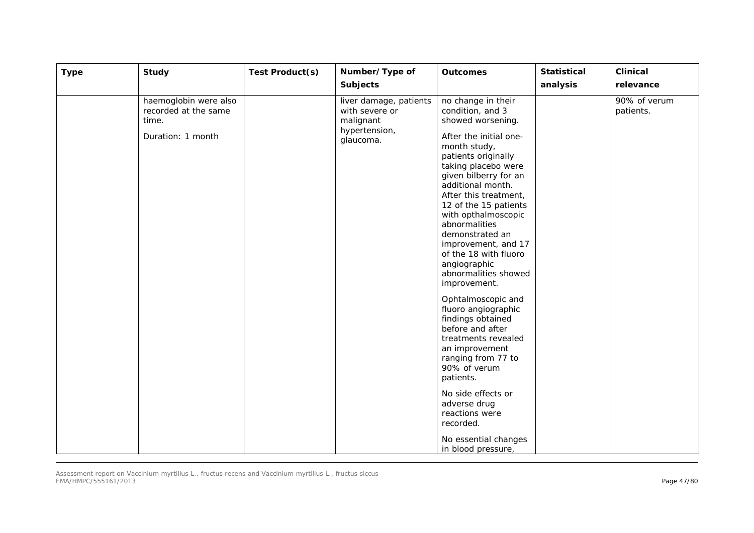| <b>Type</b> | <b>Study</b>                                                                | Test Product(s) | Number/Type of<br><b>Subjects</b>                                                   | <b>Outcomes</b>                                                                                                                                                                                                                                                                                                                                                                                                                                                                                                                                                                                                                                                                                                             | <b>Statistical</b><br>analysis | <b>Clinical</b><br>relevance |
|-------------|-----------------------------------------------------------------------------|-----------------|-------------------------------------------------------------------------------------|-----------------------------------------------------------------------------------------------------------------------------------------------------------------------------------------------------------------------------------------------------------------------------------------------------------------------------------------------------------------------------------------------------------------------------------------------------------------------------------------------------------------------------------------------------------------------------------------------------------------------------------------------------------------------------------------------------------------------------|--------------------------------|------------------------------|
|             | haemoglobin were also<br>recorded at the same<br>time.<br>Duration: 1 month |                 | liver damage, patients<br>with severe or<br>malignant<br>hypertension,<br>glaucoma. | no change in their<br>condition, and 3<br>showed worsening.<br>After the initial one-<br>month study,<br>patients originally<br>taking placebo were<br>given bilberry for an<br>additional month.<br>After this treatment,<br>12 of the 15 patients<br>with opthalmoscopic<br>abnormalities<br>demonstrated an<br>improvement, and 17<br>of the 18 with fluoro<br>angiographic<br>abnormalities showed<br>improvement.<br>Ophtalmoscopic and<br>fluoro angiographic<br>findings obtained<br>before and after<br>treatments revealed<br>an improvement<br>ranging from 77 to<br>90% of verum<br>patients.<br>No side effects or<br>adverse drug<br>reactions were<br>recorded.<br>No essential changes<br>in blood pressure, |                                | 90% of verum<br>patients.    |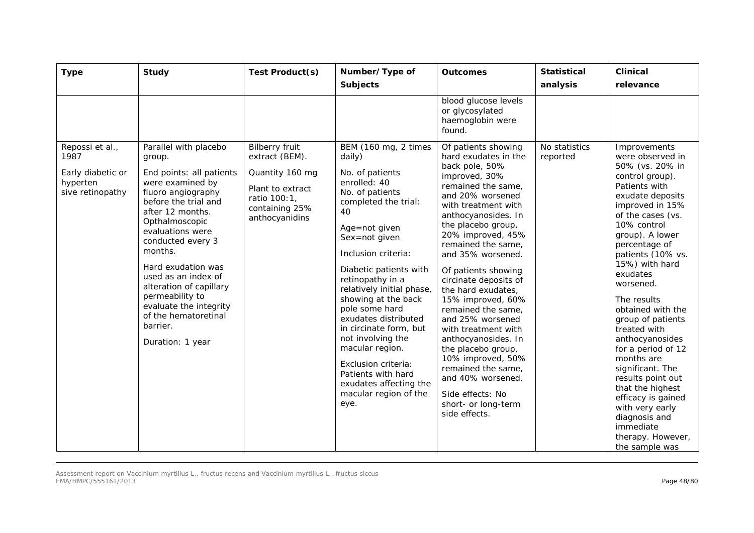| <b>Type</b>                                                                  | <b>Study</b>                                                                                                                                                                                                                                                                                                                                                                                         | Test Product(s)                                                                                                                    | Number/Type of<br><b>Subjects</b>                                                                                                                                                                                                                                                                                                                                                                                                                                                                 | <b>Outcomes</b>                                                                                                                                                                                                                                                                                                                                                                                                                                                                                                                                                                                   | <b>Statistical</b><br>analysis | <b>Clinical</b><br>relevance                                                                                                                                                                                                                                                                                                                                                                                                                                                                                                                                                      |
|------------------------------------------------------------------------------|------------------------------------------------------------------------------------------------------------------------------------------------------------------------------------------------------------------------------------------------------------------------------------------------------------------------------------------------------------------------------------------------------|------------------------------------------------------------------------------------------------------------------------------------|---------------------------------------------------------------------------------------------------------------------------------------------------------------------------------------------------------------------------------------------------------------------------------------------------------------------------------------------------------------------------------------------------------------------------------------------------------------------------------------------------|---------------------------------------------------------------------------------------------------------------------------------------------------------------------------------------------------------------------------------------------------------------------------------------------------------------------------------------------------------------------------------------------------------------------------------------------------------------------------------------------------------------------------------------------------------------------------------------------------|--------------------------------|-----------------------------------------------------------------------------------------------------------------------------------------------------------------------------------------------------------------------------------------------------------------------------------------------------------------------------------------------------------------------------------------------------------------------------------------------------------------------------------------------------------------------------------------------------------------------------------|
|                                                                              |                                                                                                                                                                                                                                                                                                                                                                                                      |                                                                                                                                    |                                                                                                                                                                                                                                                                                                                                                                                                                                                                                                   | blood glucose levels<br>or glycosylated<br>haemoglobin were<br>found.                                                                                                                                                                                                                                                                                                                                                                                                                                                                                                                             |                                |                                                                                                                                                                                                                                                                                                                                                                                                                                                                                                                                                                                   |
| Repossi et al.,<br>1987<br>Early diabetic or<br>hyperten<br>sive retinopathy | Parallel with placebo<br>group.<br>End points: all patients<br>were examined by<br>fluoro angiography<br>before the trial and<br>after 12 months.<br>Opthalmoscopic<br>evaluations were<br>conducted every 3<br>months.<br>Hard exudation was<br>used as an index of<br>alteration of capillary<br>permeability to<br>evaluate the integrity<br>of the hematoretinal<br>barrier.<br>Duration: 1 year | <b>Bilberry fruit</b><br>extract (BEM).<br>Quantity 160 mg<br>Plant to extract<br>ratio 100:1,<br>containing 25%<br>anthocyanidins | BEM (160 mg, 2 times<br>daily)<br>No. of patients<br>enrolled: 40<br>No. of patients<br>completed the trial:<br>40<br>Age=not given<br>Sex=not given<br>Inclusion criteria:<br>Diabetic patients with<br>retinopathy in a<br>relatively initial phase,<br>showing at the back<br>pole some hard<br>exudates distributed<br>in circinate form, but<br>not involving the<br>macular region.<br>Exclusion criteria:<br>Patients with hard<br>exudates affecting the<br>macular region of the<br>eye. | Of patients showing<br>hard exudates in the<br>back pole, 50%<br>improved, 30%<br>remained the same,<br>and 20% worsened<br>with treatment with<br>anthocyanosides. In<br>the placebo group,<br>20% improved, 45%<br>remained the same,<br>and 35% worsened.<br>Of patients showing<br>circinate deposits of<br>the hard exudates,<br>15% improved, 60%<br>remained the same,<br>and 25% worsened<br>with treatment with<br>anthocyanosides. In<br>the placebo group,<br>10% improved, 50%<br>remained the same,<br>and 40% worsened.<br>Side effects: No<br>short- or long-term<br>side effects. | No statistics<br>reported      | Improvements<br>were observed in<br>50% (vs. 20% in<br>control group).<br>Patients with<br>exudate deposits<br>improved in 15%<br>of the cases (vs.<br>10% control<br>group). A lower<br>percentage of<br>patients (10% vs.<br>15%) with hard<br>exudates<br>worsened.<br>The results<br>obtained with the<br>group of patients<br>treated with<br>anthocyanosides<br>for a period of 12<br>months are<br>significant. The<br>results point out<br>that the highest<br>efficacy is gained<br>with very early<br>diagnosis and<br>immediate<br>therapy. However,<br>the sample was |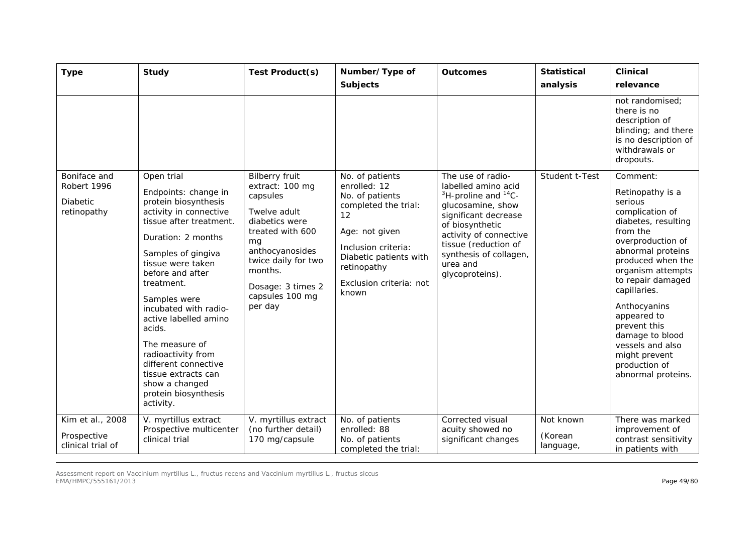| <b>Type</b>                                                   | <b>Study</b>                                                                                                                                                                                                                                                                                                                                                                                                                                 | Test Product(s)                                                                                                                                                                                                          | Number/Type of<br><b>Subjects</b>                                                                                                                                                                      | <b>Outcomes</b>                                                                                                                                                                                                                                  | <b>Statistical</b><br>analysis    | <b>Clinical</b><br>relevance                                                                                                                                                                                                                                                                                                                                         |
|---------------------------------------------------------------|----------------------------------------------------------------------------------------------------------------------------------------------------------------------------------------------------------------------------------------------------------------------------------------------------------------------------------------------------------------------------------------------------------------------------------------------|--------------------------------------------------------------------------------------------------------------------------------------------------------------------------------------------------------------------------|--------------------------------------------------------------------------------------------------------------------------------------------------------------------------------------------------------|--------------------------------------------------------------------------------------------------------------------------------------------------------------------------------------------------------------------------------------------------|-----------------------------------|----------------------------------------------------------------------------------------------------------------------------------------------------------------------------------------------------------------------------------------------------------------------------------------------------------------------------------------------------------------------|
|                                                               |                                                                                                                                                                                                                                                                                                                                                                                                                                              |                                                                                                                                                                                                                          |                                                                                                                                                                                                        |                                                                                                                                                                                                                                                  |                                   | not randomised;<br>there is no<br>description of<br>blinding; and there<br>is no description of<br>withdrawals or<br>dropouts.                                                                                                                                                                                                                                       |
| Boniface and<br>Robert 1996<br><b>Diabetic</b><br>retinopathy | Open trial<br>Endpoints: change in<br>protein biosynthesis<br>activity in connective<br>tissue after treatment.<br>Duration: 2 months<br>Samples of gingiva<br>tissue were taken<br>before and after<br>treatment.<br>Samples were<br>incubated with radio-<br>active labelled amino<br>acids.<br>The measure of<br>radioactivity from<br>different connective<br>tissue extracts can<br>show a changed<br>protein biosynthesis<br>activity. | <b>Bilberry fruit</b><br>extract: 100 mg<br>capsules<br>Twelve adult<br>diabetics were<br>treated with 600<br>mg<br>anthocyanosides<br>twice daily for two<br>months.<br>Dosage: 3 times 2<br>capsules 100 mg<br>per day | No. of patients<br>enrolled: 12<br>No. of patients<br>completed the trial:<br>12<br>Age: not given<br>Inclusion criteria:<br>Diabetic patients with<br>retinopathy<br>Exclusion criteria: not<br>known | The use of radio-<br>labelled amino acid<br>$3H$ -proline and $14C$ -<br>glucosamine, show<br>significant decrease<br>of biosynthetic<br>activity of connective<br>tissue (reduction of<br>synthesis of collagen,<br>urea and<br>glycoproteins). | Student t-Test                    | Comment:<br>Retinopathy is a<br>serious<br>complication of<br>diabetes, resulting<br>from the<br>overproduction of<br>abnormal proteins<br>produced when the<br>organism attempts<br>to repair damaged<br>capillaries.<br>Anthocyanins<br>appeared to<br>prevent this<br>damage to blood<br>vessels and also<br>might prevent<br>production of<br>abnormal proteins. |
| Kim et al., 2008<br>Prospective<br>clinical trial of          | V. myrtillus extract<br>Prospective multicenter<br>clinical trial                                                                                                                                                                                                                                                                                                                                                                            | V. myrtillus extract<br>(no further detail)<br>170 mg/capsule                                                                                                                                                            | No. of patients<br>enrolled: 88<br>No. of patients<br>completed the trial:                                                                                                                             | Corrected visual<br>acuity showed no<br>significant changes                                                                                                                                                                                      | Not known<br>(Korean<br>language, | There was marked<br>improvement of<br>contrast sensitivity<br>in patients with                                                                                                                                                                                                                                                                                       |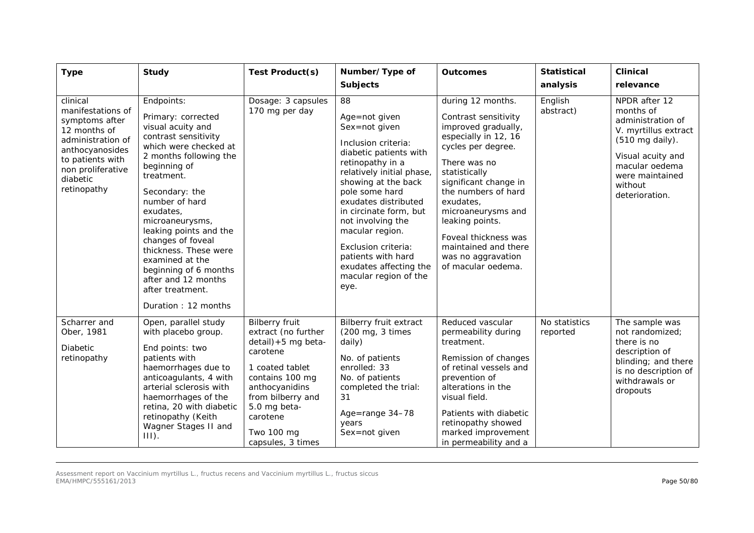| <b>Type</b>                                                                                                                                                                 | <b>Study</b>                                                                                                                                                                                                                                                                                                                                                                                                             | Test Product(s)                                                                                                                                                                                                             | Number/Type of<br><b>Subjects</b>                                                                                                                                                                                                                                                                                                                                                 | <b>Outcomes</b>                                                                                                                                                                                                                                                                                                                                   | <b>Statistical</b><br>analysis | <b>Clinical</b><br>relevance                                                                                                                                                      |
|-----------------------------------------------------------------------------------------------------------------------------------------------------------------------------|--------------------------------------------------------------------------------------------------------------------------------------------------------------------------------------------------------------------------------------------------------------------------------------------------------------------------------------------------------------------------------------------------------------------------|-----------------------------------------------------------------------------------------------------------------------------------------------------------------------------------------------------------------------------|-----------------------------------------------------------------------------------------------------------------------------------------------------------------------------------------------------------------------------------------------------------------------------------------------------------------------------------------------------------------------------------|---------------------------------------------------------------------------------------------------------------------------------------------------------------------------------------------------------------------------------------------------------------------------------------------------------------------------------------------------|--------------------------------|-----------------------------------------------------------------------------------------------------------------------------------------------------------------------------------|
| clinical<br>manifestations of<br>symptoms after<br>12 months of<br>administration of<br>anthocyanosides<br>to patients with<br>non proliferative<br>diabetic<br>retinopathy | Endpoints:<br>Primary: corrected<br>visual acuity and<br>contrast sensitivity<br>which were checked at<br>2 months following the<br>beginning of<br>treatment.<br>Secondary: the<br>number of hard<br>exudates,<br>microaneurysms,<br>leaking points and the<br>changes of foveal<br>thickness. These were<br>examined at the<br>beginning of 6 months<br>after and 12 months<br>after treatment.<br>Duration: 12 months | Dosage: 3 capsules<br>170 mg per day                                                                                                                                                                                        | 88<br>Age=not given<br>Sex=not given<br>Inclusion criteria:<br>diabetic patients with<br>retinopathy in a<br>relatively initial phase,<br>showing at the back<br>pole some hard<br>exudates distributed<br>in circinate form, but<br>not involving the<br>macular region.<br>Exclusion criteria:<br>patients with hard<br>exudates affecting the<br>macular region of the<br>eye. | during 12 months.<br>Contrast sensitivity<br>improved gradually,<br>especially in 12, 16<br>cycles per degree.<br>There was no<br>statistically<br>significant change in<br>the numbers of hard<br>exudates,<br>microaneurysms and<br>leaking points.<br>Foveal thickness was<br>maintained and there<br>was no aggravation<br>of macular oedema. | English<br>abstract)           | NPDR after 12<br>months of<br>administration of<br>V. myrtillus extract<br>(510 mg daily).<br>Visual acuity and<br>macular oedema<br>were maintained<br>without<br>deterioration. |
| Scharrer and<br>Ober, 1981<br><b>Diabetic</b><br>retinopathy                                                                                                                | Open, parallel study<br>with placebo group.<br>End points: two<br>patients with<br>haemorrhages due to<br>anticoagulants, 4 with<br>arterial sclerosis with<br>haemorrhages of the<br>retina, 20 with diabetic<br>retinopathy (Keith<br>Wagner Stages II and<br>$III$ ).                                                                                                                                                 | <b>Bilberry fruit</b><br>extract (no further<br>detail) +5 mg beta-<br>carotene<br>1 coated tablet<br>contains 100 mg<br>anthocyanidins<br>from bilberry and<br>5.0 mg beta-<br>carotene<br>Two 100 mg<br>capsules, 3 times | <b>Bilberry fruit extract</b><br>(200 mg, 3 times<br>daily)<br>No. of patients<br>enrolled: 33<br>No. of patients<br>completed the trial:<br>31<br>Age=range 34-78<br>years<br>Sex=not given                                                                                                                                                                                      | Reduced vascular<br>permeability during<br>treatment.<br>Remission of changes<br>of retinal vessels and<br>prevention of<br>alterations in the<br>visual field.<br>Patients with diabetic<br>retinopathy showed<br>marked improvement<br>in permeability and a                                                                                    | No statistics<br>reported      | The sample was<br>not randomized:<br>there is no<br>description of<br>blinding; and there<br>is no description of<br>withdrawals or<br>dropouts                                   |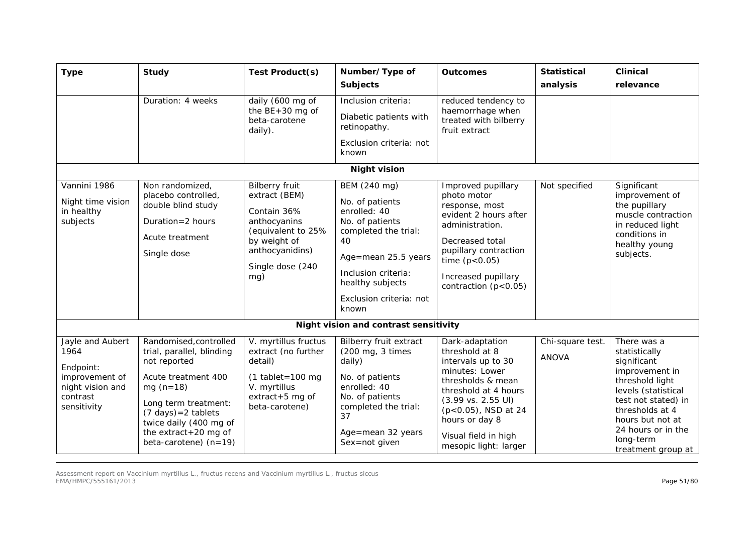| <b>Type</b>                                                                                            | <b>Study</b>                                                                                                                                                                                                                                            | Test Product(s)                                                                                                                                           | Number/Type of<br><b>Subjects</b>                                                                                                                                                                      | <b>Outcomes</b>                                                                                                                                                                                                                                           | <b>Statistical</b><br>analysis   | <b>Clinical</b><br>relevance                                                                                                                                                                                                   |  |  |  |
|--------------------------------------------------------------------------------------------------------|---------------------------------------------------------------------------------------------------------------------------------------------------------------------------------------------------------------------------------------------------------|-----------------------------------------------------------------------------------------------------------------------------------------------------------|--------------------------------------------------------------------------------------------------------------------------------------------------------------------------------------------------------|-----------------------------------------------------------------------------------------------------------------------------------------------------------------------------------------------------------------------------------------------------------|----------------------------------|--------------------------------------------------------------------------------------------------------------------------------------------------------------------------------------------------------------------------------|--|--|--|
|                                                                                                        | Duration: 4 weeks                                                                                                                                                                                                                                       | daily (600 mg of<br>the $BE+30$ mg of<br>beta-carotene<br>daily).                                                                                         | Inclusion criteria:<br>Diabetic patients with<br>retinopathy.<br>Exclusion criteria: not<br>known                                                                                                      | reduced tendency to<br>haemorrhage when<br>treated with bilberry<br>fruit extract                                                                                                                                                                         |                                  |                                                                                                                                                                                                                                |  |  |  |
|                                                                                                        | <b>Night vision</b>                                                                                                                                                                                                                                     |                                                                                                                                                           |                                                                                                                                                                                                        |                                                                                                                                                                                                                                                           |                                  |                                                                                                                                                                                                                                |  |  |  |
| Vannini 1986<br>Night time vision<br>in healthy<br>subjects                                            | Non randomized,<br>placebo controlled,<br>double blind study<br>Duration=2 hours<br>Acute treatment<br>Single dose                                                                                                                                      | <b>Bilberry fruit</b><br>extract (BEM)<br>Contain 36%<br>anthocyanins<br>(equivalent to 25%<br>by weight of<br>anthocyanidins)<br>Single dose (240<br>mg) | BEM (240 mg)<br>No. of patients<br>enrolled: 40<br>No. of patients<br>completed the trial:<br>40<br>Age=mean 25.5 years<br>Inclusion criteria:<br>healthy subjects<br>Exclusion criteria: not<br>known | Improved pupillary<br>photo motor<br>response, most<br>evident 2 hours after<br>administration.<br>Decreased total<br>pupillary contraction<br>time $(p < 0.05)$<br>Increased pupillary<br>contraction $(p<0.05)$                                         | Not specified                    | Significant<br>improvement of<br>the pupillary<br>muscle contraction<br>in reduced light<br>conditions in<br>healthy young<br>subjects.                                                                                        |  |  |  |
|                                                                                                        |                                                                                                                                                                                                                                                         |                                                                                                                                                           | Night vision and contrast sensitivity                                                                                                                                                                  |                                                                                                                                                                                                                                                           |                                  |                                                                                                                                                                                                                                |  |  |  |
| Jayle and Aubert<br>1964<br>Endpoint:<br>improvement of<br>night vision and<br>contrast<br>sensitivity | Randomised, controlled<br>trial, parallel, blinding<br>not reported<br>Acute treatment 400<br>$mg(n=18)$<br>Long term treatment:<br>$(7 \text{ days}) = 2 \text{ tablets}$<br>twice daily (400 mg of<br>the extract+20 mg of<br>beta-carotene) $(n=19)$ | V. myrtillus fructus<br>extract (no further<br>detail)<br>$(1$ tablet=100 mg<br>V. myrtillus<br>$extract + 5$ mg of<br>beta-carotene)                     | <b>Bilberry fruit extract</b><br>(200 mg, 3 times<br>daily)<br>No. of patients<br>enrolled: 40<br>No. of patients<br>completed the trial:<br>37<br>Age=mean 32 years<br>Sex=not given                  | Dark-adaptation<br>threshold at 8<br>intervals up to 30<br>minutes: Lower<br>thresholds & mean<br>threshold at 4 hours<br>$(3.99 \text{ vs. } 2.55 \text{ Ul})$<br>(p<0.05), NSD at 24<br>hours or day 8<br>Visual field in high<br>mesopic light: larger | Chi-square test.<br><b>ANOVA</b> | There was a<br>statistically<br>significant<br>improvement in<br>threshold light<br>levels (statistical<br>test not stated) in<br>thresholds at 4<br>hours but not at<br>24 hours or in the<br>long-term<br>treatment group at |  |  |  |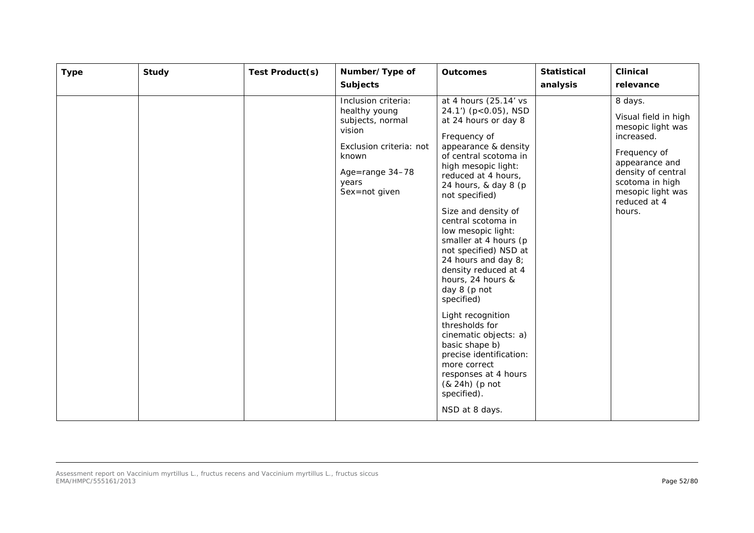| <b>Type</b> | <b>Study</b> | Test Product(s) | Number/Type of<br><b>Subjects</b>                                                                                                                   | <b>Outcomes</b>                                                                                                                                                                                                                                                                                                                                                                                                                                                                                                                                                                                                                                               | <b>Statistical</b><br>analysis | <b>Clinical</b><br>relevance                                                                                                                                                                 |
|-------------|--------------|-----------------|-----------------------------------------------------------------------------------------------------------------------------------------------------|---------------------------------------------------------------------------------------------------------------------------------------------------------------------------------------------------------------------------------------------------------------------------------------------------------------------------------------------------------------------------------------------------------------------------------------------------------------------------------------------------------------------------------------------------------------------------------------------------------------------------------------------------------------|--------------------------------|----------------------------------------------------------------------------------------------------------------------------------------------------------------------------------------------|
|             |              |                 | Inclusion criteria:<br>healthy young<br>subjects, normal<br>vision<br>Exclusion criteria: not<br>known<br>Age=range 34-78<br>years<br>Sex=not given | at 4 hours (25.14' vs<br>24.1') (p<0.05), NSD<br>at 24 hours or day 8<br>Frequency of<br>appearance & density<br>of central scotoma in<br>high mesopic light:<br>reduced at 4 hours,<br>24 hours, & day 8 (p<br>not specified)<br>Size and density of<br>central scotoma in<br>low mesopic light:<br>smaller at 4 hours (p<br>not specified) NSD at<br>24 hours and day 8;<br>density reduced at 4<br>hours, 24 hours &<br>day 8 (p not<br>specified)<br>Light recognition<br>thresholds for<br>cinematic objects: a)<br>basic shape b)<br>precise identification:<br>more correct<br>responses at 4 hours<br>(& 24h) (p not<br>specified).<br>NSD at 8 days. |                                | 8 days.<br>Visual field in high<br>mesopic light was<br>increased.<br>Frequency of<br>appearance and<br>density of central<br>scotoma in high<br>mesopic light was<br>reduced at 4<br>hours. |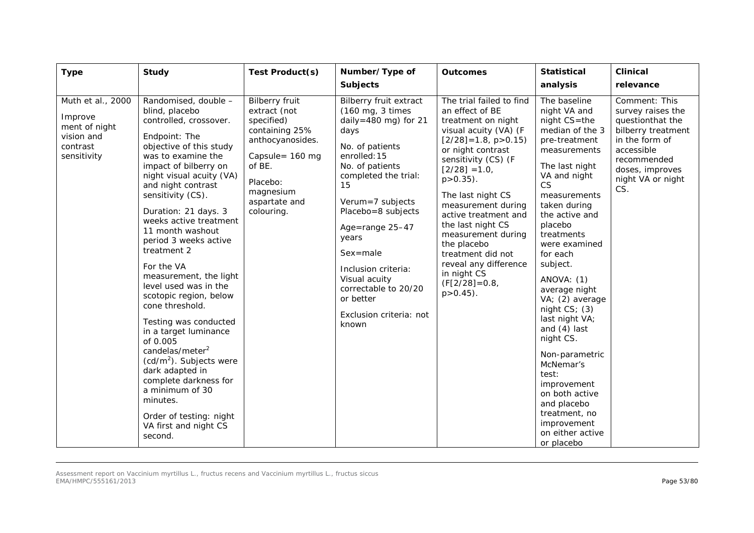| <b>Type</b>                                                                            | <b>Study</b>                                                                                                                                                                                                                                                                                                                                                                                                                                                                                                                                                                                                                                                                                                                       | Test Product(s)                                                                                                                                                                | Number/Type of<br><b>Subjects</b>                                                                                                                                                                                                                                                                                                                                     | <b>Outcomes</b>                                                                                                                                                                                                                                                                                                                                                                                                                           | <b>Statistical</b><br>analysis                                                                                                                                                                                                                                                                                                                                                                                                                                                                                                                | <b>Clinical</b><br>relevance                                                                                                                                               |
|----------------------------------------------------------------------------------------|------------------------------------------------------------------------------------------------------------------------------------------------------------------------------------------------------------------------------------------------------------------------------------------------------------------------------------------------------------------------------------------------------------------------------------------------------------------------------------------------------------------------------------------------------------------------------------------------------------------------------------------------------------------------------------------------------------------------------------|--------------------------------------------------------------------------------------------------------------------------------------------------------------------------------|-----------------------------------------------------------------------------------------------------------------------------------------------------------------------------------------------------------------------------------------------------------------------------------------------------------------------------------------------------------------------|-------------------------------------------------------------------------------------------------------------------------------------------------------------------------------------------------------------------------------------------------------------------------------------------------------------------------------------------------------------------------------------------------------------------------------------------|-----------------------------------------------------------------------------------------------------------------------------------------------------------------------------------------------------------------------------------------------------------------------------------------------------------------------------------------------------------------------------------------------------------------------------------------------------------------------------------------------------------------------------------------------|----------------------------------------------------------------------------------------------------------------------------------------------------------------------------|
| Muth et al., 2000<br>Improve<br>ment of night<br>vision and<br>contrast<br>sensitivity | Randomised, double -<br>blind, placebo<br>controlled, crossover.<br>Endpoint: The<br>objective of this study<br>was to examine the<br>impact of bilberry on<br>night visual acuity (VA)<br>and night contrast<br>sensitivity (CS).<br>Duration: 21 days. 3<br>weeks active treatment<br>11 month washout<br>period 3 weeks active<br>treatment 2<br>For the VA<br>measurement, the light<br>level used was in the<br>scotopic region, below<br>cone threshold.<br>Testing was conducted<br>in a target luminance<br>of 0.005<br>candelas/meter <sup>2</sup><br>$(cd/m2)$ . Subjects were<br>dark adapted in<br>complete darkness for<br>a minimum of 30<br>minutes.<br>Order of testing: night<br>VA first and night CS<br>second. | <b>Bilberry fruit</b><br>extract (not<br>specified)<br>containing 25%<br>anthocyanosides.<br>Capsule= 160 mg<br>of BE.<br>Placebo:<br>magnesium<br>aspartate and<br>colouring. | Bilberry fruit extract<br>(160 mg, 3 times<br>daily=480 mg) for 21<br>days<br>No. of patients<br>enrolled: 15<br>No. of patients<br>completed the trial:<br>15<br>Verum=7 subjects<br>Placebo=8 subjects<br>Age=range 25-47<br>years<br>$Sex = male$<br>Inclusion criteria:<br>Visual acuity<br>correctable to 20/20<br>or better<br>Exclusion criteria: not<br>known | The trial failed to find<br>an effect of BE<br>treatment on night<br>visual acuity (VA) (F<br>$[2/28] = 1.8$ , p > 0.15)<br>or night contrast<br>sensitivity (CS) (F<br>$[2/28] = 1.0$ ,<br>$p > 0.35$ ).<br>The last night CS<br>measurement during<br>active treatment and<br>the last night CS<br>measurement during<br>the placebo<br>treatment did not<br>reveal any difference<br>in night CS<br>$(F[2/28] = 0.8)$<br>$p > 0.45$ ). | The baseline<br>night VA and<br>night CS=the<br>median of the 3<br>pre-treatment<br>measurements<br>The last night<br>VA and night<br>CS<br>measurements<br>taken during<br>the active and<br>placebo<br>treatments<br>were examined<br>for each<br>subject.<br>ANOVA: (1)<br>average night<br>VA; (2) average<br>night $CS$ ; (3)<br>last night VA;<br>and $(4)$ last<br>night CS.<br>Non-parametric<br>McNemar's<br>test:<br>improvement<br>on both active<br>and placebo<br>treatment, no<br>improvement<br>on either active<br>or placebo | Comment: This<br>survey raises the<br>questionthat the<br>bilberry treatment<br>in the form of<br>accessible<br>recommended<br>doses, improves<br>night VA or night<br>CS. |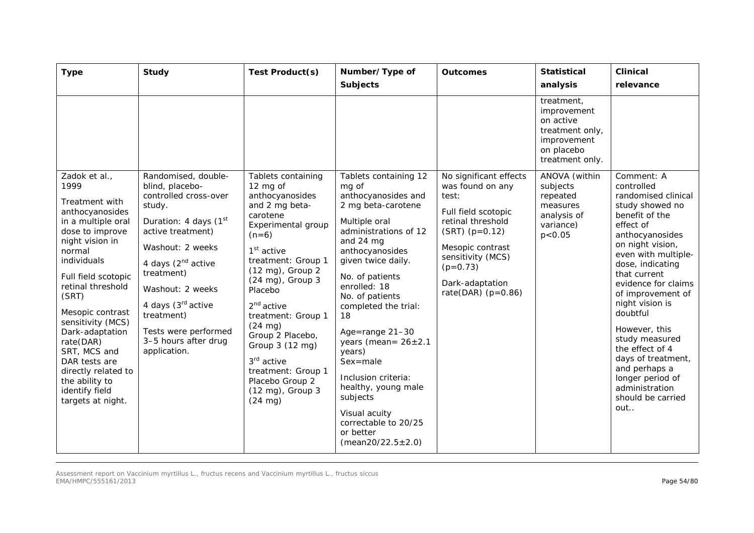| <b>Type</b>                                                                                                                                                                                                                                                                                                                                                                                    | <b>Study</b>                                                                                                                                                                                                                                                                                                                    | Test Product(s)                                                                                                                                                                                                                                                                                                                                                                                                         | Number/Type of<br><b>Subjects</b>                                                                                                                                                                                                                                                                                                                                                                                                                                                | <b>Outcomes</b>                                                                                                                                                                                                       | <b>Statistical</b><br>analysis                                                                            | <b>Clinical</b><br>relevance                                                                                                                                                                                                                                                                                                                                                                                                                  |
|------------------------------------------------------------------------------------------------------------------------------------------------------------------------------------------------------------------------------------------------------------------------------------------------------------------------------------------------------------------------------------------------|---------------------------------------------------------------------------------------------------------------------------------------------------------------------------------------------------------------------------------------------------------------------------------------------------------------------------------|-------------------------------------------------------------------------------------------------------------------------------------------------------------------------------------------------------------------------------------------------------------------------------------------------------------------------------------------------------------------------------------------------------------------------|----------------------------------------------------------------------------------------------------------------------------------------------------------------------------------------------------------------------------------------------------------------------------------------------------------------------------------------------------------------------------------------------------------------------------------------------------------------------------------|-----------------------------------------------------------------------------------------------------------------------------------------------------------------------------------------------------------------------|-----------------------------------------------------------------------------------------------------------|-----------------------------------------------------------------------------------------------------------------------------------------------------------------------------------------------------------------------------------------------------------------------------------------------------------------------------------------------------------------------------------------------------------------------------------------------|
|                                                                                                                                                                                                                                                                                                                                                                                                |                                                                                                                                                                                                                                                                                                                                 |                                                                                                                                                                                                                                                                                                                                                                                                                         |                                                                                                                                                                                                                                                                                                                                                                                                                                                                                  |                                                                                                                                                                                                                       | treatment,<br>improvement<br>on active<br>treatment only,<br>improvement<br>on placebo<br>treatment only. |                                                                                                                                                                                                                                                                                                                                                                                                                                               |
| Zadok et al.,<br>1999<br>Treatment with<br>anthocyanosides<br>in a multiple oral<br>dose to improve<br>night vision in<br>normal<br>individuals<br>Full field scotopic<br>retinal threshold<br>(SRT)<br>Mesopic contrast<br>sensitivity (MCS)<br>Dark-adaptation<br>rate(DAR)<br>SRT, MCS and<br>DAR tests are<br>directly related to<br>the ability to<br>identify field<br>targets at night. | Randomised, double-<br>blind, placebo-<br>controlled cross-over<br>study.<br>Duration: 4 days (1 <sup>st</sup><br>active treatment)<br>Washout: 2 weeks<br>4 days (2 <sup>nd</sup> active<br>treatment)<br>Washout: 2 weeks<br>4 days (3rd active<br>treatment)<br>Tests were performed<br>3-5 hours after drug<br>application. | Tablets containing<br>12 mg of<br>anthocyanosides<br>and 2 mg beta-<br>carotene<br>Experimental group<br>$(n=6)$<br>$1st$ active<br>treatment: Group 1<br>(12 mg), Group 2<br>(24 mg), Group 3<br>Placebo<br>$2nd$ active<br>treatment: Group 1<br>$(24 \text{ mg})$<br>Group 2 Placebo,<br>Group 3 (12 mg)<br>3 <sup>rd</sup> active<br>treatment: Group 1<br>Placebo Group 2<br>(12 mg), Group 3<br>$(24 \text{ mg})$ | Tablets containing 12<br>mg of<br>anthocyanosides and<br>2 mg beta-carotene<br>Multiple oral<br>administrations of 12<br>and 24 mg<br>anthocyanosides<br>given twice daily.<br>No. of patients<br>enrolled: 18<br>No. of patients<br>completed the trial:<br>18<br>Age=range 21-30<br>years (mean= $26 \pm 2.1$<br>years)<br>Sex=male<br>Inclusion criteria:<br>healthy, young male<br>subjects<br>Visual acuity<br>correctable to 20/25<br>or better<br>$(mean20/22.5 \pm 2.0)$ | No significant effects<br>was found on any<br>test:<br>Full field scotopic<br>retinal threshold<br>$(SRT)$ (p=0.12)<br>Mesopic contrast<br>sensitivity (MCS)<br>$(p=0.73)$<br>Dark-adaptation<br>rate(DAR) $(p=0.86)$ | ANOVA (within<br>subjects<br>repeated<br>measures<br>analysis of<br>variance)<br>p < 0.05                 | Comment: A<br>controlled<br>randomised clinical<br>study showed no<br>benefit of the<br>effect of<br>anthocyanosides<br>on night vision,<br>even with multiple-<br>dose, indicating<br>that current<br>evidence for claims<br>of improvement of<br>night vision is<br>doubtful<br>However, this<br>study measured<br>the effect of 4<br>days of treatment,<br>and perhaps a<br>longer period of<br>administration<br>should be carried<br>out |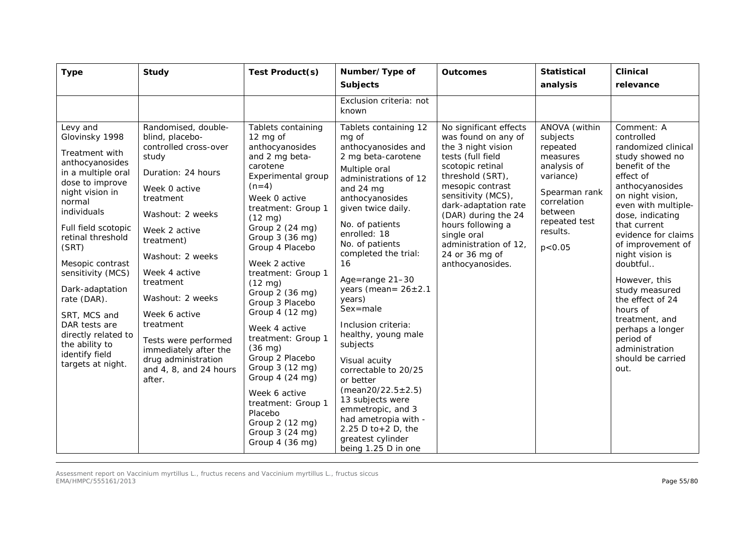| <b>Type</b>                                                                                                                                                                                                                                                                                                                                                                                           | <b>Study</b>                                                                                                                                                                                                                                                                                                                                                                                    | Test Product(s)                                                                                                                                                                                                                                                                                                                                                                                                                                                                                                                                                                            | Number/Type of<br><b>Subjects</b>                                                                                                                                                                                                                                                                                                                                                                                                                                                                                                                                                                                         | <b>Outcomes</b>                                                                                                                                                                                                                                                                                                              | <b>Statistical</b><br>analysis                                                                                                                                    | <b>Clinical</b><br>relevance                                                                                                                                                                                                                                                                                                                                                                                                                        |
|-------------------------------------------------------------------------------------------------------------------------------------------------------------------------------------------------------------------------------------------------------------------------------------------------------------------------------------------------------------------------------------------------------|-------------------------------------------------------------------------------------------------------------------------------------------------------------------------------------------------------------------------------------------------------------------------------------------------------------------------------------------------------------------------------------------------|--------------------------------------------------------------------------------------------------------------------------------------------------------------------------------------------------------------------------------------------------------------------------------------------------------------------------------------------------------------------------------------------------------------------------------------------------------------------------------------------------------------------------------------------------------------------------------------------|---------------------------------------------------------------------------------------------------------------------------------------------------------------------------------------------------------------------------------------------------------------------------------------------------------------------------------------------------------------------------------------------------------------------------------------------------------------------------------------------------------------------------------------------------------------------------------------------------------------------------|------------------------------------------------------------------------------------------------------------------------------------------------------------------------------------------------------------------------------------------------------------------------------------------------------------------------------|-------------------------------------------------------------------------------------------------------------------------------------------------------------------|-----------------------------------------------------------------------------------------------------------------------------------------------------------------------------------------------------------------------------------------------------------------------------------------------------------------------------------------------------------------------------------------------------------------------------------------------------|
|                                                                                                                                                                                                                                                                                                                                                                                                       |                                                                                                                                                                                                                                                                                                                                                                                                 |                                                                                                                                                                                                                                                                                                                                                                                                                                                                                                                                                                                            | Exclusion criteria: not<br>known                                                                                                                                                                                                                                                                                                                                                                                                                                                                                                                                                                                          |                                                                                                                                                                                                                                                                                                                              |                                                                                                                                                                   |                                                                                                                                                                                                                                                                                                                                                                                                                                                     |
| Levy and<br>Glovinsky 1998<br>Treatment with<br>anthocyanosides<br>in a multiple oral<br>dose to improve<br>night vision in<br>normal<br>individuals<br>Full field scotopic<br>retinal threshold<br>(SRT)<br>Mesopic contrast<br>sensitivity (MCS)<br>Dark-adaptation<br>rate (DAR).<br>SRT, MCS and<br>DAR tests are<br>directly related to<br>the ability to<br>identify field<br>targets at night. | Randomised, double-<br>blind, placebo-<br>controlled cross-over<br>study<br>Duration: 24 hours<br>Week 0 active<br>treatment<br>Washout: 2 weeks<br>Week 2 active<br>treatment)<br>Washout: 2 weeks<br>Week 4 active<br>treatment<br>Washout: 2 weeks<br>Week 6 active<br>treatment<br>Tests were performed<br>immediately after the<br>drug administration<br>and 4, 8, and 24 hours<br>after. | Tablets containing<br>12 mg of<br>anthocyanosides<br>and 2 mg beta-<br>carotene<br>Experimental group<br>$(n=4)$<br>Week 0 active<br>treatment: Group 1<br>$(12 \text{ mg})$<br>Group 2 (24 mg)<br>Group 3 (36 mg)<br>Group 4 Placebo<br>Week 2 active<br>treatment: Group 1<br>$(12 \text{ mg})$<br>Group 2 (36 mg)<br>Group 3 Placebo<br>Group 4 (12 mg)<br>Week 4 active<br>treatment: Group 1<br>$(36 \text{ mg})$<br>Group 2 Placebo<br>Group 3 (12 mg)<br>Group 4 (24 mg)<br>Week 6 active<br>treatment: Group 1<br>Placebo<br>Group 2 (12 mg)<br>Group 3 (24 mg)<br>Group 4 (36 mg) | Tablets containing 12<br>mg of<br>anthocyanosides and<br>2 mg beta-carotene<br>Multiple oral<br>administrations of 12<br>and 24 mg<br>anthocyanosides<br>given twice daily.<br>No. of patients<br>enrolled: 18<br>No. of patients<br>completed the trial:<br>16<br>Age=range 21-30<br>years (mean= $26 \pm 2.1$<br>years)<br>$Sex = male$<br>Inclusion criteria:<br>healthy, young male<br>subjects<br>Visual acuity<br>correctable to 20/25<br>or better<br>$(mean20/22.5 \pm 2.5)$<br>13 subjects were<br>emmetropic, and 3<br>had ametropia with -<br>2.25 D to + 2 D, the<br>greatest cylinder<br>being 1.25 D in one | No significant effects<br>was found on any of<br>the 3 night vision<br>tests (full field<br>scotopic retinal<br>threshold (SRT),<br>mesopic contrast<br>sensitivity (MCS),<br>dark-adaptation rate<br>(DAR) during the 24<br>hours following a<br>single oral<br>administration of 12,<br>24 or 36 mg of<br>anthocyanosides. | ANOVA (within<br>subjects<br>repeated<br>measures<br>analysis of<br>variance)<br>Spearman rank<br>correlation<br>between<br>repeated test<br>results.<br>p < 0.05 | Comment: A<br>controlled<br>randomized clinical<br>study showed no<br>benefit of the<br>effect of<br>anthocyanosides<br>on night vision,<br>even with multiple-<br>dose, indicating<br>that current<br>evidence for claims<br>of improvement of<br>night vision is<br>doubtful<br>However, this<br>study measured<br>the effect of 24<br>hours of<br>treatment, and<br>perhaps a longer<br>period of<br>administration<br>should be carried<br>out. |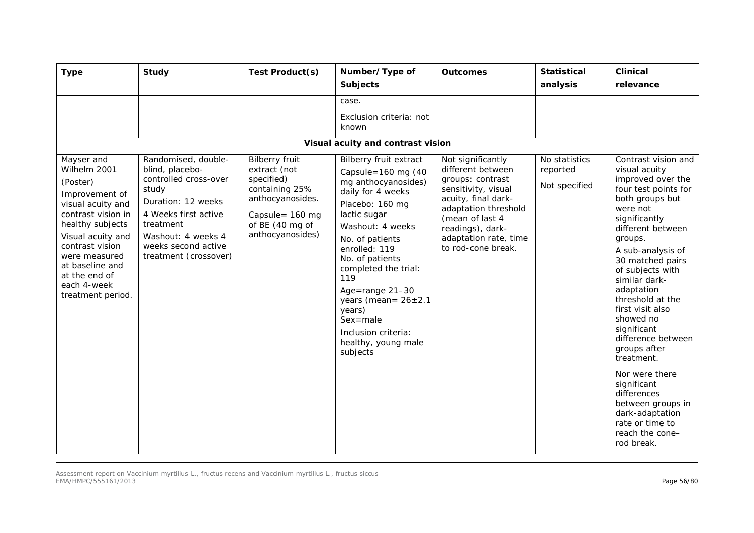| <b>Type</b>                                                                                                                                                                                                                                              | <b>Study</b>                                                                                                                                                                                              | Test Product(s)                                                                                                                                     | Number/Type of<br><b>Subjects</b>                                                                                                                                                                                                                                                                                                                                               | <b>Outcomes</b>                                                                                                                                                                                                        | <b>Statistical</b><br>analysis             | <b>Clinical</b><br>relevance                                                                                                                                                                                                                                                                                                                                                                                                                                                                                                      |
|----------------------------------------------------------------------------------------------------------------------------------------------------------------------------------------------------------------------------------------------------------|-----------------------------------------------------------------------------------------------------------------------------------------------------------------------------------------------------------|-----------------------------------------------------------------------------------------------------------------------------------------------------|---------------------------------------------------------------------------------------------------------------------------------------------------------------------------------------------------------------------------------------------------------------------------------------------------------------------------------------------------------------------------------|------------------------------------------------------------------------------------------------------------------------------------------------------------------------------------------------------------------------|--------------------------------------------|-----------------------------------------------------------------------------------------------------------------------------------------------------------------------------------------------------------------------------------------------------------------------------------------------------------------------------------------------------------------------------------------------------------------------------------------------------------------------------------------------------------------------------------|
|                                                                                                                                                                                                                                                          |                                                                                                                                                                                                           |                                                                                                                                                     | case.<br>Exclusion criteria: not<br>known<br>Visual acuity and contrast vision                                                                                                                                                                                                                                                                                                  |                                                                                                                                                                                                                        |                                            |                                                                                                                                                                                                                                                                                                                                                                                                                                                                                                                                   |
| Mayser and<br>Wilhelm 2001<br>(Poster)<br>Improvement of<br>visual acuity and<br>contrast vision in<br>healthy subjects<br>Visual acuity and<br>contrast vision<br>were measured<br>at baseline and<br>at the end of<br>each 4-week<br>treatment period. | Randomised, double-<br>blind, placebo-<br>controlled cross-over<br>study<br>Duration: 12 weeks<br>4 Weeks first active<br>treatment<br>Washout: 4 weeks 4<br>weeks second active<br>treatment (crossover) | <b>Bilberry fruit</b><br>extract (not<br>specified)<br>containing 25%<br>anthocyanosides.<br>Capsule= 160 mg<br>of BE (40 mg of<br>anthocyanosides) | <b>Bilberry fruit extract</b><br>Capsule= $160$ mg (40<br>mg anthocyanosides)<br>daily for 4 weeks<br>Placebo: 160 mg<br>lactic sugar<br>Washout: 4 weeks<br>No. of patients<br>enrolled: 119<br>No. of patients<br>completed the trial:<br>119<br>Age=range 21-30<br>years (mean= $26 \pm 2.1$<br>years)<br>Sex=male<br>Inclusion criteria:<br>healthy, young male<br>subjects | Not significantly<br>different between<br>groups: contrast<br>sensitivity, visual<br>acuity, final dark-<br>adaptation threshold<br>(mean of last 4<br>readings), dark-<br>adaptation rate, time<br>to rod-cone break. | No statistics<br>reported<br>Not specified | Contrast vision and<br>visual acuity<br>improved over the<br>four test points for<br>both groups but<br>were not<br>significantly<br>different between<br>groups.<br>A sub-analysis of<br>30 matched pairs<br>of subjects with<br>similar dark-<br>adaptation<br>threshold at the<br>first visit also<br>showed no<br>significant<br>difference between<br>groups after<br>treatment.<br>Nor were there<br>significant<br>differences<br>between groups in<br>dark-adaptation<br>rate or time to<br>reach the cone-<br>rod break. |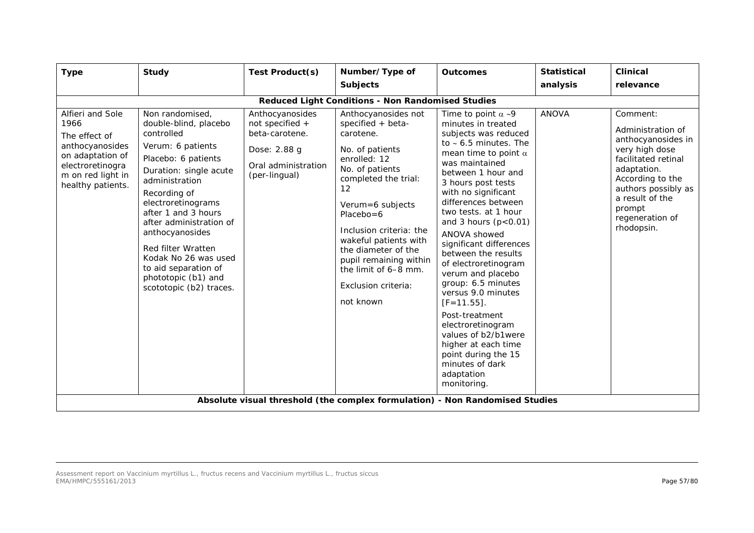| <b>Type</b>                                                                                                                                    | Study                                                                                                                                                                                                                                                                                                                                                                             | Test Product(s)                                                                                              | Number/Type of<br><b>Subjects</b>                                                                                                                                                                                                                                                                                                               | <b>Outcomes</b>                                                                                                                                                                                                                                                                                                                                                                                                                                                                                                                                                                                                                                | <b>Statistical</b><br>analysis | <b>Clinical</b><br>relevance                                                                                                                                                                                         |
|------------------------------------------------------------------------------------------------------------------------------------------------|-----------------------------------------------------------------------------------------------------------------------------------------------------------------------------------------------------------------------------------------------------------------------------------------------------------------------------------------------------------------------------------|--------------------------------------------------------------------------------------------------------------|-------------------------------------------------------------------------------------------------------------------------------------------------------------------------------------------------------------------------------------------------------------------------------------------------------------------------------------------------|------------------------------------------------------------------------------------------------------------------------------------------------------------------------------------------------------------------------------------------------------------------------------------------------------------------------------------------------------------------------------------------------------------------------------------------------------------------------------------------------------------------------------------------------------------------------------------------------------------------------------------------------|--------------------------------|----------------------------------------------------------------------------------------------------------------------------------------------------------------------------------------------------------------------|
|                                                                                                                                                |                                                                                                                                                                                                                                                                                                                                                                                   |                                                                                                              |                                                                                                                                                                                                                                                                                                                                                 |                                                                                                                                                                                                                                                                                                                                                                                                                                                                                                                                                                                                                                                |                                |                                                                                                                                                                                                                      |
|                                                                                                                                                |                                                                                                                                                                                                                                                                                                                                                                                   |                                                                                                              | <b>Reduced Light Conditions - Non Randomised Studies</b>                                                                                                                                                                                                                                                                                        |                                                                                                                                                                                                                                                                                                                                                                                                                                                                                                                                                                                                                                                |                                |                                                                                                                                                                                                                      |
| Alfieri and Sole<br>1966<br>The effect of<br>anthocyanosides<br>on adaptation of<br>electroretinogra<br>m on red light in<br>healthy patients. | Non randomised,<br>double-blind, placebo<br>controlled<br>Verum: 6 patients<br>Placebo: 6 patients<br>Duration: single acute<br>administration<br>Recording of<br>electroretinograms<br>after 1 and 3 hours<br>after administration of<br>anthocyanosides<br>Red filter Wratten<br>Kodak No 26 was used<br>to aid separation of<br>phototopic (b1) and<br>scototopic (b2) traces. | Anthocyanosides<br>not specified +<br>beta-carotene.<br>Dose: 2.88 g<br>Oral administration<br>(per-lingual) | Anthocyanosides not<br>specified + beta-<br>carotene.<br>No. of patients<br>enrolled: 12<br>No. of patients<br>completed the trial:<br>12<br>Verum=6 subjects<br>$Placebo = 6$<br>Inclusion criteria: the<br>wakeful patients with<br>the diameter of the<br>pupil remaining within<br>the limit of 6-8 mm.<br>Exclusion criteria:<br>not known | Time to point $\alpha \sim 9$<br>minutes in treated<br>subjects was reduced<br>to $\sim$ 6.5 minutes. The<br>mean time to point $\alpha$<br>was maintained<br>between 1 hour and<br>3 hours post tests<br>with no significant<br>differences between<br>two tests, at 1 hour<br>and 3 hours $(p<0.01)$<br>ANOVA showed<br>significant differences<br>between the results<br>of electroretinogram<br>verum and placebo<br>group: 6.5 minutes<br>versus 9.0 minutes<br>$[F=11.55]$ .<br>Post-treatment<br>electroretinogram<br>values of b2/b1were<br>higher at each time<br>point during the 15<br>minutes of dark<br>adaptation<br>monitoring. | <b>ANOVA</b>                   | Comment:<br>Administration of<br>anthocyanosides in<br>very high dose<br>facilitated retinal<br>adaptation.<br>According to the<br>authors possibly as<br>a result of the<br>prompt<br>regeneration of<br>rhodopsin. |
|                                                                                                                                                |                                                                                                                                                                                                                                                                                                                                                                                   |                                                                                                              | Absolute visual threshold (the complex formulation) - Non Randomised Studies                                                                                                                                                                                                                                                                    |                                                                                                                                                                                                                                                                                                                                                                                                                                                                                                                                                                                                                                                |                                |                                                                                                                                                                                                                      |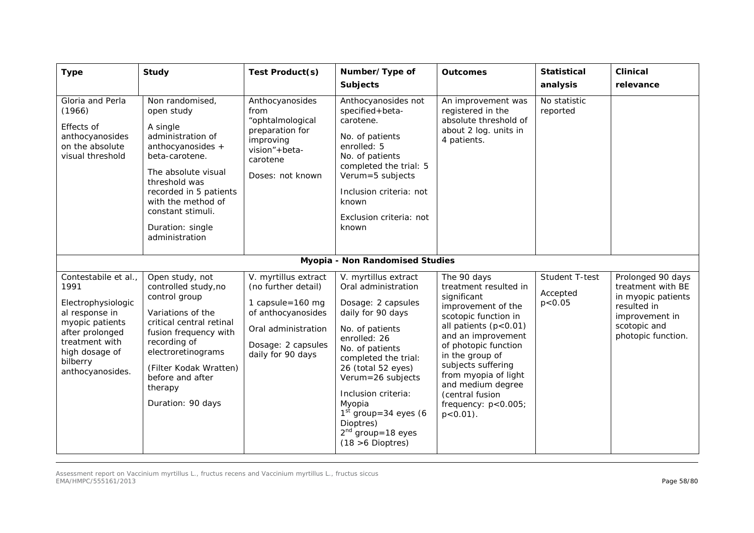| <b>Type</b>                                                                                                                                                                    | <b>Study</b>                                                                                                                                                                                                                                             | Test Product(s)                                                                                                                                         | Number/Type of<br><b>Subjects</b>                                                                                                                                                                                                                                                                                                     | <b>Outcomes</b>                                                                                                                                                                                                                                                                                                                | <b>Statistical</b><br>analysis         | <b>Clinical</b><br>relevance                                                                                                        |
|--------------------------------------------------------------------------------------------------------------------------------------------------------------------------------|----------------------------------------------------------------------------------------------------------------------------------------------------------------------------------------------------------------------------------------------------------|---------------------------------------------------------------------------------------------------------------------------------------------------------|---------------------------------------------------------------------------------------------------------------------------------------------------------------------------------------------------------------------------------------------------------------------------------------------------------------------------------------|--------------------------------------------------------------------------------------------------------------------------------------------------------------------------------------------------------------------------------------------------------------------------------------------------------------------------------|----------------------------------------|-------------------------------------------------------------------------------------------------------------------------------------|
| Gloria and Perla<br>(1966)<br>Effects of<br>anthocyanosides<br>on the absolute<br>visual threshold                                                                             | Non randomised,<br>open study<br>A single<br>administration of<br>anthocyanosides +<br>beta-carotene.<br>The absolute visual<br>threshold was<br>recorded in 5 patients<br>with the method of<br>constant stimuli.<br>Duration: single<br>administration | Anthocyanosides<br>from<br>"ophtalmological<br>preparation for<br>improving<br>vision"+beta-<br>carotene<br>Doses: not known                            | Anthocyanosides not<br>specified+beta-<br>carotene.<br>No. of patients<br>enrolled: 5<br>No. of patients<br>completed the trial: 5<br>Verum=5 subjects<br>Inclusion criteria: not<br>known<br>Exclusion criteria: not<br>known                                                                                                        | An improvement was<br>registered in the<br>absolute threshold of<br>about 2 log. units in<br>4 patients.                                                                                                                                                                                                                       | No statistic<br>reported               |                                                                                                                                     |
|                                                                                                                                                                                |                                                                                                                                                                                                                                                          |                                                                                                                                                         | Myopia - Non Randomised Studies                                                                                                                                                                                                                                                                                                       |                                                                                                                                                                                                                                                                                                                                |                                        |                                                                                                                                     |
| Contestabile et al.,<br>1991<br>Electrophysiologic<br>al response in<br>myopic patients<br>after prolonged<br>treatment with<br>high dosage of<br>bilberry<br>anthocyanosides. | Open study, not<br>controlled study, no<br>control group<br>Variations of the<br>critical central retinal<br>fusion frequency with<br>recording of<br>electroretinograms<br>(Filter Kodak Wratten)<br>before and after<br>therapy<br>Duration: 90 days   | V. myrtillus extract<br>(no further detail)<br>1 capsule=160 mg<br>of anthocyanosides<br>Oral administration<br>Dosage: 2 capsules<br>daily for 90 days | V. myrtillus extract<br>Oral administration<br>Dosage: 2 capsules<br>daily for 90 days<br>No. of patients<br>enrolled: 26<br>No. of patients<br>completed the trial:<br>26 (total 52 eyes)<br>Verum=26 subjects<br>Inclusion criteria:<br>Myopia<br>$1st$ group=34 eyes (6<br>Dioptres)<br>$2nd$ group=18 eyes<br>$(18 > 6$ Dioptres) | The 90 days<br>treatment resulted in<br>significant<br>improvement of the<br>scotopic function in<br>all patients (p<0.01)<br>and an improvement<br>of photopic function<br>in the group of<br>subjects suffering<br>from myopia of light<br>and medium degree<br>(central fusion<br>frequency: $p < 0.005$ ;<br>$p < 0.01$ ). | Student T-test<br>Accepted<br>p < 0.05 | Prolonged 90 days<br>treatment with BE<br>in myopic patients<br>resulted in<br>improvement in<br>scotopic and<br>photopic function. |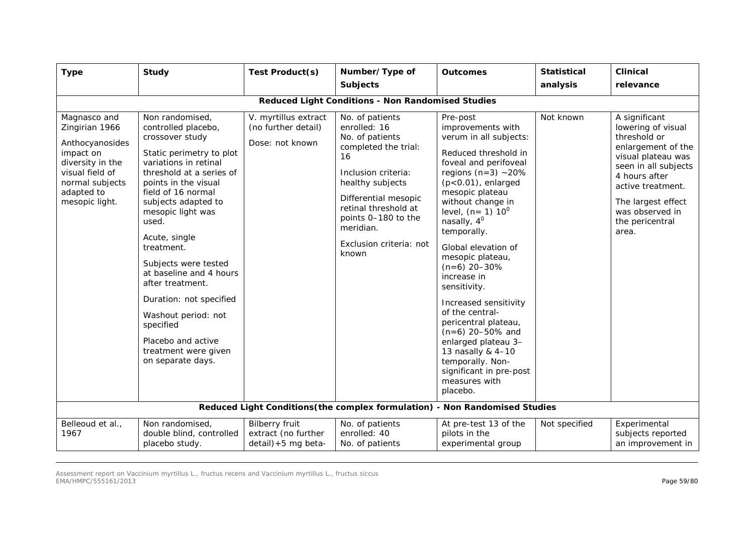| <b>Type</b>                                                                                                                                              | <b>Study</b>                                                                                                                                                                                                                                                                                                                                                                                                                                                                          | Test Product(s)                                                        | Number/Type of<br><b>Subjects</b>                                                                                                                                                                                                                   | <b>Outcomes</b>                                                                                                                                                                                                                                                                                                                                                                                                                                                                                                                                                         | <b>Statistical</b><br>analysis | <b>Clinical</b><br>relevance                                                                                                                                                                                                       |  |  |  |
|----------------------------------------------------------------------------------------------------------------------------------------------------------|---------------------------------------------------------------------------------------------------------------------------------------------------------------------------------------------------------------------------------------------------------------------------------------------------------------------------------------------------------------------------------------------------------------------------------------------------------------------------------------|------------------------------------------------------------------------|-----------------------------------------------------------------------------------------------------------------------------------------------------------------------------------------------------------------------------------------------------|-------------------------------------------------------------------------------------------------------------------------------------------------------------------------------------------------------------------------------------------------------------------------------------------------------------------------------------------------------------------------------------------------------------------------------------------------------------------------------------------------------------------------------------------------------------------------|--------------------------------|------------------------------------------------------------------------------------------------------------------------------------------------------------------------------------------------------------------------------------|--|--|--|
| Reduced Light Conditions - Non Randomised Studies                                                                                                        |                                                                                                                                                                                                                                                                                                                                                                                                                                                                                       |                                                                        |                                                                                                                                                                                                                                                     |                                                                                                                                                                                                                                                                                                                                                                                                                                                                                                                                                                         |                                |                                                                                                                                                                                                                                    |  |  |  |
| Magnasco and<br>Zingirian 1966<br>Anthocyanosides<br>impact on<br>diversity in the<br>visual field of<br>normal subjects<br>adapted to<br>mesopic light. | Non randomised,<br>controlled placebo,<br>crossover study<br>Static perimetry to plot<br>variations in retinal<br>threshold at a series of<br>points in the visual<br>field of 16 normal<br>subjects adapted to<br>mesopic light was<br>used.<br>Acute, single<br>treatment.<br>Subjects were tested<br>at baseline and 4 hours<br>after treatment.<br>Duration: not specified<br>Washout period: not<br>specified<br>Placebo and active<br>treatment were given<br>on separate days. | V. myrtillus extract<br>(no further detail)<br>Dose: not known         | No. of patients<br>enrolled: 16<br>No. of patients<br>completed the trial:<br>16<br>Inclusion criteria:<br>healthy subjects<br>Differential mesopic<br>retinal threshold at<br>points 0-180 to the<br>meridian.<br>Exclusion criteria: not<br>known | Pre-post<br>improvements with<br>verum in all subjects:<br>Reduced threshold in<br>foveal and perifoveal<br>regions $(n=3)$ ~20%<br>$(p<0.01)$ , enlarged<br>mesopic plateau<br>without change in<br>level, $(n=1) 10^0$<br>nasally, $4^0$<br>temporally.<br>Global elevation of<br>mesopic plateau,<br>$(n=6)$ 20-30%<br>increase in<br>sensitivity.<br>Increased sensitivity<br>of the central-<br>pericentral plateau,<br>$(n=6)$ 20-50% and<br>enlarged plateau 3-<br>13 nasally & 4-10<br>temporally. Non-<br>significant in pre-post<br>measures with<br>placebo. | Not known                      | A significant<br>lowering of visual<br>threshold or<br>enlargement of the<br>visual plateau was<br>seen in all subjects<br>4 hours after<br>active treatment.<br>The largest effect<br>was observed in<br>the pericentral<br>area. |  |  |  |
|                                                                                                                                                          |                                                                                                                                                                                                                                                                                                                                                                                                                                                                                       |                                                                        | Reduced Light Conditions (the complex formulation) - Non Randomised Studies                                                                                                                                                                         |                                                                                                                                                                                                                                                                                                                                                                                                                                                                                                                                                                         |                                |                                                                                                                                                                                                                                    |  |  |  |
| Belleoud et al.,<br>1967                                                                                                                                 | Non randomised,<br>double blind, controlled<br>placebo study.                                                                                                                                                                                                                                                                                                                                                                                                                         | <b>Bilberry fruit</b><br>extract (no further<br>$detail$ ) +5 mg beta- | No. of patients<br>enrolled: 40<br>No. of patients                                                                                                                                                                                                  | At pre-test 13 of the<br>pilots in the<br>experimental group                                                                                                                                                                                                                                                                                                                                                                                                                                                                                                            | Not specified                  | Experimental<br>subjects reported<br>an improvement in                                                                                                                                                                             |  |  |  |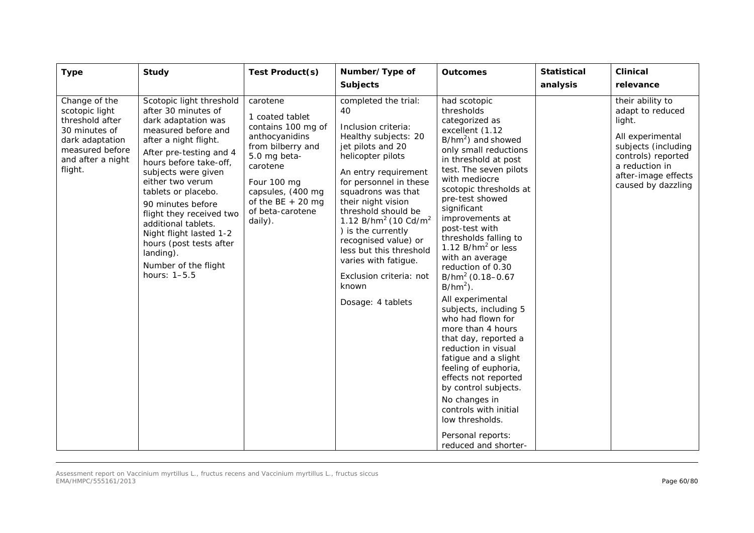| <b>Type</b>                                                                                                                               | <b>Study</b>                                                                                                                                                                                                                                                                                                                                                                                                                     | Test Product(s)                                                                                                                                                                                               | Number/Type of<br><b>Subjects</b>                                                                                                                                                                                                                                                                                                                                                                                                | <b>Outcomes</b>                                                                                                                                                                                                                                                                                                                                                                                                                                                                                                                                                                                                                                                                                                                                                              | <b>Statistical</b><br>analysis | <b>Clinical</b><br>relevance                                                                                                                                                   |
|-------------------------------------------------------------------------------------------------------------------------------------------|----------------------------------------------------------------------------------------------------------------------------------------------------------------------------------------------------------------------------------------------------------------------------------------------------------------------------------------------------------------------------------------------------------------------------------|---------------------------------------------------------------------------------------------------------------------------------------------------------------------------------------------------------------|----------------------------------------------------------------------------------------------------------------------------------------------------------------------------------------------------------------------------------------------------------------------------------------------------------------------------------------------------------------------------------------------------------------------------------|------------------------------------------------------------------------------------------------------------------------------------------------------------------------------------------------------------------------------------------------------------------------------------------------------------------------------------------------------------------------------------------------------------------------------------------------------------------------------------------------------------------------------------------------------------------------------------------------------------------------------------------------------------------------------------------------------------------------------------------------------------------------------|--------------------------------|--------------------------------------------------------------------------------------------------------------------------------------------------------------------------------|
| Change of the<br>scotopic light<br>threshold after<br>30 minutes of<br>dark adaptation<br>measured before<br>and after a night<br>flight. | Scotopic light threshold<br>after 30 minutes of<br>dark adaptation was<br>measured before and<br>after a night flight.<br>After pre-testing and 4<br>hours before take-off,<br>subjects were given<br>either two verum<br>tablets or placebo.<br>90 minutes before<br>flight they received two<br>additional tablets.<br>Night flight lasted 1-2<br>hours (post tests after<br>landing).<br>Number of the flight<br>hours: 1-5.5 | carotene<br>1 coated tablet<br>contains 100 mg of<br>anthocyanidins<br>from bilberry and<br>5.0 mg beta-<br>carotene<br>Four 100 mg<br>capsules, (400 mg<br>of the BE $+20$ mg<br>of beta-carotene<br>daily). | completed the trial:<br>40<br>Inclusion criteria:<br>Healthy subjects: 20<br>jet pilots and 20<br>helicopter pilots<br>An entry requirement<br>for personnel in these<br>squadrons was that<br>their night vision<br>threshold should be<br>1.12 $B/hm^2$ (10 $Cd/m^2$<br>) is the currently<br>recognised value) or<br>less but this threshold<br>varies with fatigue.<br>Exclusion criteria: not<br>known<br>Dosage: 4 tablets | had scotopic<br>thresholds<br>categorized as<br>excellent (1.12<br>B/hm <sup>2</sup> ) and showed<br>only small reductions<br>in threshold at post<br>test. The seven pilots<br>with mediocre<br>scotopic thresholds at<br>pre-test showed<br>significant<br>improvements at<br>post-test with<br>thresholds falling to<br>1.12 $B/hm2$ or less<br>with an average<br>reduction of 0.30<br>$B/hm^2$ (0.18-0.67<br>$B/hm2$ ).<br>All experimental<br>subjects, including 5<br>who had flown for<br>more than 4 hours<br>that day, reported a<br>reduction in visual<br>fatigue and a slight<br>feeling of euphoria,<br>effects not reported<br>by control subjects.<br>No changes in<br>controls with initial<br>low thresholds.<br>Personal reports:<br>reduced and shorter- |                                | their ability to<br>adapt to reduced<br>light.<br>All experimental<br>subjects (including<br>controls) reported<br>a reduction in<br>after-image effects<br>caused by dazzling |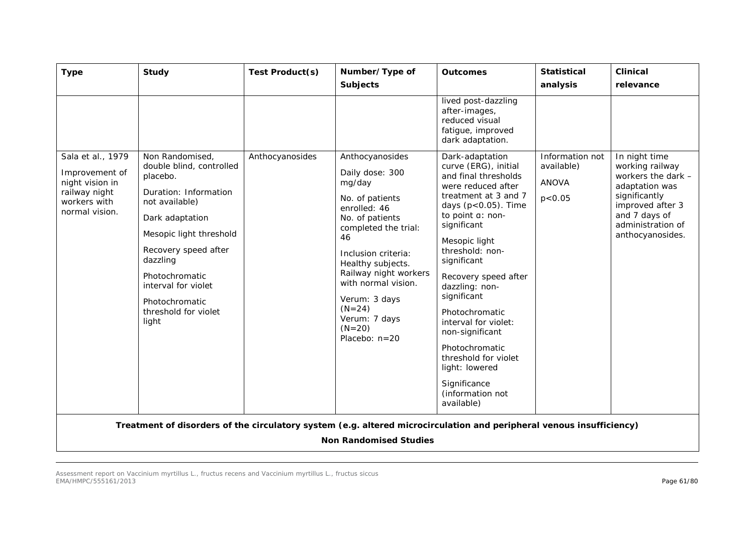| <b>Type</b>                                                                                               | <b>Study</b>                                                                                                                                                                                                                                                                     | Test Product(s) | Number/Type of<br><b>Subjects</b>                                                                                                                                                                                                                                                                       | <b>Outcomes</b>                                                                                                                                                                                                                                                                                                                                                                                                                                                                                  | <b>Statistical</b><br>analysis                            | <b>Clinical</b><br>relevance                                                                                                                                            |
|-----------------------------------------------------------------------------------------------------------|----------------------------------------------------------------------------------------------------------------------------------------------------------------------------------------------------------------------------------------------------------------------------------|-----------------|---------------------------------------------------------------------------------------------------------------------------------------------------------------------------------------------------------------------------------------------------------------------------------------------------------|--------------------------------------------------------------------------------------------------------------------------------------------------------------------------------------------------------------------------------------------------------------------------------------------------------------------------------------------------------------------------------------------------------------------------------------------------------------------------------------------------|-----------------------------------------------------------|-------------------------------------------------------------------------------------------------------------------------------------------------------------------------|
| Sala et al., 1979<br>Improvement of<br>night vision in<br>railway night<br>workers with<br>normal vision. | Non Randomised,<br>double blind, controlled<br>placebo.<br>Duration: Information<br>not available)<br>Dark adaptation<br>Mesopic light threshold<br>Recovery speed after<br>dazzling<br>Photochromatic<br>interval for violet<br>Photochromatic<br>threshold for violet<br>light | Anthocyanosides | Anthocyanosides<br>Daily dose: 300<br>mg/day<br>No. of patients<br>enrolled: 46<br>No. of patients<br>completed the trial:<br>46<br>Inclusion criteria:<br>Healthy subjects.<br>Railway night workers<br>with normal vision.<br>Verum: 3 days<br>$(N=24)$<br>Verum: 7 days<br>$(N=20)$<br>Placebo: n=20 | lived post-dazzling<br>after-images,<br>reduced visual<br>fatigue, improved<br>dark adaptation.<br>Dark-adaptation<br>curve (ERG), initial<br>and final thresholds<br>were reduced after<br>treatment at 3 and 7<br>days $(p<0.05)$ . Time<br>to point a: non-<br>significant<br>Mesopic light<br>threshold: non-<br>significant<br>Recovery speed after<br>dazzling: non-<br>significant<br>Photochromatic<br>interval for violet:<br>non-significant<br>Photochromatic<br>threshold for violet | Information not<br>available)<br><b>ANOVA</b><br>p < 0.05 | In night time<br>working railway<br>workers the dark -<br>adaptation was<br>significantly<br>improved after 3<br>and 7 days of<br>administration of<br>anthocyanosides. |
|                                                                                                           |                                                                                                                                                                                                                                                                                  |                 |                                                                                                                                                                                                                                                                                                         | light: lowered<br>Significance<br>(information not<br>available)                                                                                                                                                                                                                                                                                                                                                                                                                                 |                                                           |                                                                                                                                                                         |
|                                                                                                           | Treatment of disorders of the circulatory system (e.g. altered microcirculation and peripheral venous insufficiency)                                                                                                                                                             |                 | <b>Non Randomised Studies</b>                                                                                                                                                                                                                                                                           |                                                                                                                                                                                                                                                                                                                                                                                                                                                                                                  |                                                           |                                                                                                                                                                         |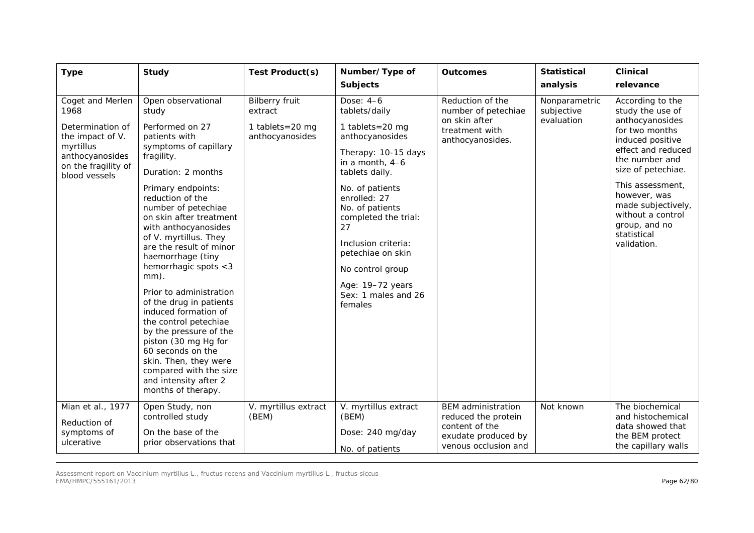| <b>Type</b>                                                                                                                              | <b>Study</b>                                                                                                                                                                                                                                                                                                                                                                                                                                                                                                                                                                                                                              | Test Product(s)                                                        | Number/Type of<br><b>Subjects</b>                                                                                                                                                                                                                                                                                                      | <b>Outcomes</b>                                                                                                   | <b>Statistical</b><br>analysis            | <b>Clinical</b><br>relevance                                                                                                                                                                                                                                                              |
|------------------------------------------------------------------------------------------------------------------------------------------|-------------------------------------------------------------------------------------------------------------------------------------------------------------------------------------------------------------------------------------------------------------------------------------------------------------------------------------------------------------------------------------------------------------------------------------------------------------------------------------------------------------------------------------------------------------------------------------------------------------------------------------------|------------------------------------------------------------------------|----------------------------------------------------------------------------------------------------------------------------------------------------------------------------------------------------------------------------------------------------------------------------------------------------------------------------------------|-------------------------------------------------------------------------------------------------------------------|-------------------------------------------|-------------------------------------------------------------------------------------------------------------------------------------------------------------------------------------------------------------------------------------------------------------------------------------------|
| Coget and Merlen<br>1968<br>Determination of<br>the impact of V.<br>myrtillus<br>anthocyanosides<br>on the fragility of<br>blood vessels | Open observational<br>study<br>Performed on 27<br>patients with<br>symptoms of capillary<br>fragility.<br>Duration: 2 months<br>Primary endpoints:<br>reduction of the<br>number of petechiae<br>on skin after treatment<br>with anthocyanosides<br>of V. myrtillus. They<br>are the result of minor<br>haemorrhage (tiny<br>hemorrhagic spots <3<br>mm).<br>Prior to administration<br>of the drug in patients<br>induced formation of<br>the control petechiae<br>by the pressure of the<br>piston (30 mg Hg for<br>60 seconds on the<br>skin. Then, they were<br>compared with the size<br>and intensity after 2<br>months of therapy. | <b>Bilberry fruit</b><br>extract<br>1 tablets=20 mg<br>anthocyanosides | Dose: 4-6<br>tablets/daily<br>1 tablets=20 mg<br>anthocyanosides<br>Therapy: 10-15 days<br>in a month, 4-6<br>tablets daily.<br>No. of patients<br>enrolled: 27<br>No. of patients<br>completed the trial:<br>27<br>Inclusion criteria:<br>petechiae on skin<br>No control group<br>Age: 19-72 years<br>Sex: 1 males and 26<br>females | Reduction of the<br>number of petechiae<br>on skin after<br>treatment with<br>anthocyanosides.                    | Nonparametric<br>subjective<br>evaluation | According to the<br>study the use of<br>anthocyanosides<br>for two months<br>induced positive<br>effect and reduced<br>the number and<br>size of petechiae.<br>This assessment,<br>however, was<br>made subjectively,<br>without a control<br>group, and no<br>statistical<br>validation. |
| Mian et al., 1977<br>Reduction of<br>symptoms of<br>ulcerative                                                                           | Open Study, non<br>controlled study<br>On the base of the<br>prior observations that                                                                                                                                                                                                                                                                                                                                                                                                                                                                                                                                                      | V. myrtillus extract<br>(BEM)                                          | V. myrtillus extract<br>(BEM)<br>Dose: 240 mg/day<br>No. of patients                                                                                                                                                                                                                                                                   | <b>BEM</b> administration<br>reduced the protein<br>content of the<br>exudate produced by<br>venous occlusion and | Not known                                 | The biochemical<br>and histochemical<br>data showed that<br>the BEM protect<br>the capillary walls                                                                                                                                                                                        |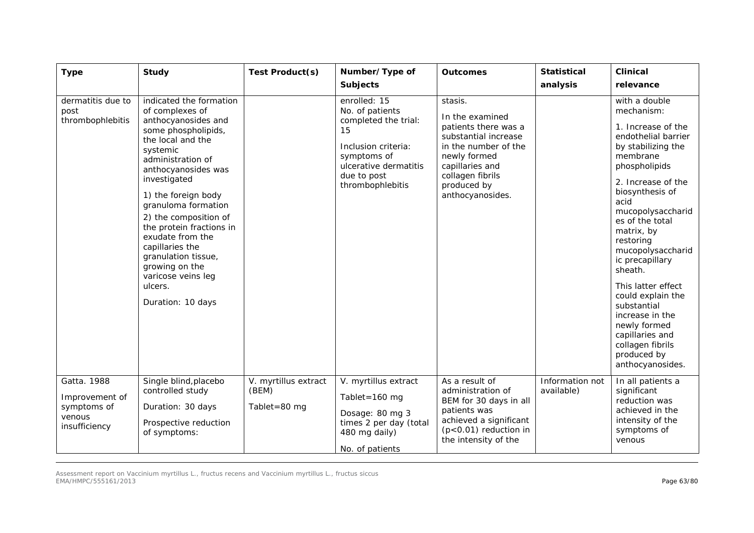| <b>Type</b>                                                             | <b>Study</b>                                                                                                                                                                                                                                                                                                                                                                                                                   | Test Product(s)                               | Number/Type of<br><b>Subjects</b>                                                                                                                               | <b>Outcomes</b>                                                                                                                                                                              | <b>Statistical</b><br>analysis | <b>Clinical</b><br>relevance                                                                                                                                                                                                                                                                                                                                                                                                                                              |
|-------------------------------------------------------------------------|--------------------------------------------------------------------------------------------------------------------------------------------------------------------------------------------------------------------------------------------------------------------------------------------------------------------------------------------------------------------------------------------------------------------------------|-----------------------------------------------|-----------------------------------------------------------------------------------------------------------------------------------------------------------------|----------------------------------------------------------------------------------------------------------------------------------------------------------------------------------------------|--------------------------------|---------------------------------------------------------------------------------------------------------------------------------------------------------------------------------------------------------------------------------------------------------------------------------------------------------------------------------------------------------------------------------------------------------------------------------------------------------------------------|
| dermatitis due to<br>post<br>thrombophlebitis                           | indicated the formation<br>of complexes of<br>anthocyanosides and<br>some phospholipids,<br>the local and the<br>systemic<br>administration of<br>anthocyanosides was<br>investigated<br>1) the foreign body<br>granuloma formation<br>2) the composition of<br>the protein fractions in<br>exudate from the<br>capillaries the<br>granulation tissue,<br>growing on the<br>varicose veins leg<br>ulcers.<br>Duration: 10 days |                                               | enrolled: 15<br>No. of patients<br>completed the trial:<br>15<br>Inclusion criteria:<br>symptoms of<br>ulcerative dermatitis<br>due to post<br>thrombophlebitis | stasis.<br>In the examined<br>patients there was a<br>substantial increase<br>in the number of the<br>newly formed<br>capillaries and<br>collagen fibrils<br>produced by<br>anthocyanosides. |                                | with a double<br>mechanism:<br>1. Increase of the<br>endothelial barrier<br>by stabilizing the<br>membrane<br>phospholipids<br>2. Increase of the<br>biosynthesis of<br>acid<br>mucopolysaccharid<br>es of the total<br>matrix, by<br>restoring<br>mucopolysaccharid<br>ic precapillary<br>sheath.<br>This latter effect<br>could explain the<br>substantial<br>increase in the<br>newly formed<br>capillaries and<br>collagen fibrils<br>produced by<br>anthocyanosides. |
| Gatta. 1988<br>Improvement of<br>symptoms of<br>venous<br>insufficiency | Single blind, placebo<br>controlled study<br>Duration: 30 days<br>Prospective reduction<br>of symptoms:                                                                                                                                                                                                                                                                                                                        | V. myrtillus extract<br>(BEM)<br>Tablet=80 mg | V. myrtillus extract<br>Tablet=160 $mg$<br>Dosage: 80 mg 3<br>times 2 per day (total<br>480 mg daily)<br>No. of patients                                        | As a result of<br>administration of<br>BEM for 30 days in all<br>patients was<br>achieved a significant<br>$(p<0.01)$ reduction in<br>the intensity of the                                   | Information not<br>available)  | In all patients a<br>significant<br>reduction was<br>achieved in the<br>intensity of the<br>symptoms of<br>venous                                                                                                                                                                                                                                                                                                                                                         |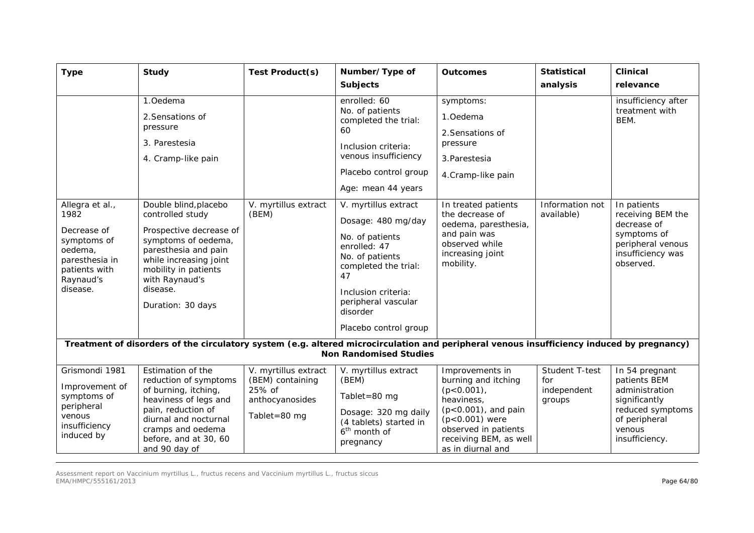| <b>Type</b>                                                                                            | <b>Study</b>                                                                                                                                                                                              | Test Product(s)                                                                       | Number/Type of<br><b>Subjects</b>                                                                                                                                                                                                            | <b>Outcomes</b>                                                                                                                                                                                 | <b>Statistical</b><br>analysis                 | <b>Clinical</b><br>relevance                                                                                                         |  |  |  |
|--------------------------------------------------------------------------------------------------------|-----------------------------------------------------------------------------------------------------------------------------------------------------------------------------------------------------------|---------------------------------------------------------------------------------------|----------------------------------------------------------------------------------------------------------------------------------------------------------------------------------------------------------------------------------------------|-------------------------------------------------------------------------------------------------------------------------------------------------------------------------------------------------|------------------------------------------------|--------------------------------------------------------------------------------------------------------------------------------------|--|--|--|
| Allegra et al.,<br>1982<br>Decrease of<br>symptoms of                                                  | 1.Oedema<br>2. Sensations of<br>pressure<br>3. Parestesia<br>4. Cramp-like pain<br>Double blind, placebo<br>controlled study<br>Prospective decrease of<br>symptoms of oedema,                            | V. myrtillus extract<br>(BEM)                                                         | enrolled: 60<br>No. of patients<br>completed the trial:<br>60<br>Inclusion criteria:<br>venous insufficiency<br>Placebo control group<br>Age: mean 44 years<br>V. myrtillus extract<br>Dosage: 480 mg/day<br>No. of patients<br>enrolled: 47 | symptoms:<br>1.Oedema<br>2. Sensations of<br>pressure<br>3. Parestesia<br>4.Cramp-like pain<br>In treated patients<br>the decrease of<br>oedema, paresthesia,<br>and pain was<br>observed while | Information not<br>available)                  | insufficiency after<br>treatment with<br>BEM.<br>In patients<br>receiving BEM the<br>decrease of<br>symptoms of<br>peripheral venous |  |  |  |
| oedema,<br>paresthesia in<br>patients with<br>Raynaud's<br>disease.                                    | paresthesia and pain<br>while increasing joint<br>mobility in patients<br>with Raynaud's<br>disease.<br>Duration: 30 days                                                                                 |                                                                                       | No. of patients<br>completed the trial:<br>47<br>Inclusion criteria:<br>peripheral vascular<br>disorder<br>Placebo control group                                                                                                             | increasing joint<br>mobility.                                                                                                                                                                   |                                                | insufficiency was<br>observed.                                                                                                       |  |  |  |
|                                                                                                        | Treatment of disorders of the circulatory system (e.g. altered microcirculation and peripheral venous insufficiency induced by pregnancy)<br><b>Non Randomised Studies</b>                                |                                                                                       |                                                                                                                                                                                                                                              |                                                                                                                                                                                                 |                                                |                                                                                                                                      |  |  |  |
| Grismondi 1981<br>Improvement of<br>symptoms of<br>peripheral<br>venous<br>insufficiency<br>induced by | Estimation of the<br>reduction of symptoms<br>of burning, itching,<br>heaviness of legs and<br>pain, reduction of<br>diurnal and nocturnal<br>cramps and oedema<br>before, and at 30, 60<br>and 90 day of | V. myrtillus extract<br>(BEM) containing<br>25% of<br>anthocyanosides<br>Tablet=80 mg | V. myrtillus extract<br>(BEM)<br>Tablet=80 mg<br>Dosage: 320 mg daily<br>(4 tablets) started in<br>6 <sup>th</sup> month of<br>pregnancy                                                                                                     | Improvements in<br>burning and itching<br>$(p<0.001)$ ,<br>heaviness.<br>$(p<0.001)$ , and pain<br>$(p<0.001)$ were<br>observed in patients<br>receiving BEM, as well<br>as in diurnal and      | Student T-test<br>for<br>independent<br>groups | In 54 pregnant<br>patients BEM<br>administration<br>significantly<br>reduced symptoms<br>of peripheral<br>venous<br>insufficiency.   |  |  |  |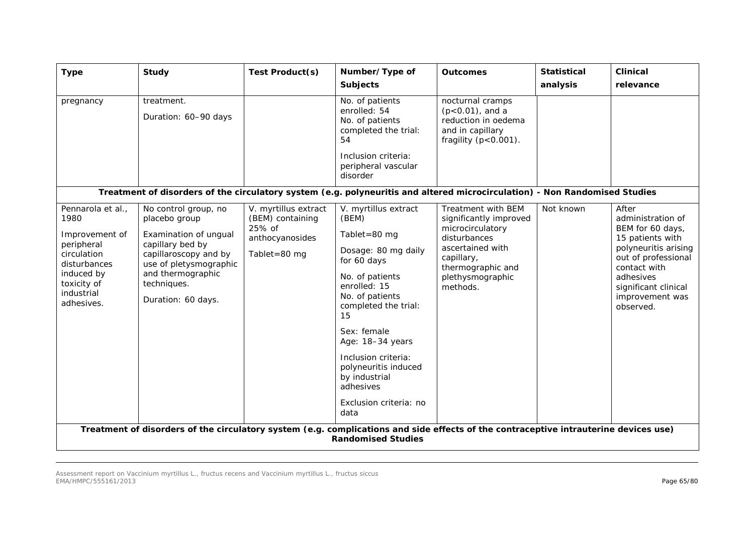| <b>Type</b>                                                                                                                                       | <b>Study</b>                                                                                                                                                                                    | Test Product(s)                                                                       | Number/Type of<br><b>Subjects</b>                                                                                                                                                                                                                                                                                           | <b>Outcomes</b>                                                                                                                                                         | <b>Statistical</b><br>analysis | <b>Clinical</b><br>relevance                                                                                                                                                                           |
|---------------------------------------------------------------------------------------------------------------------------------------------------|-------------------------------------------------------------------------------------------------------------------------------------------------------------------------------------------------|---------------------------------------------------------------------------------------|-----------------------------------------------------------------------------------------------------------------------------------------------------------------------------------------------------------------------------------------------------------------------------------------------------------------------------|-------------------------------------------------------------------------------------------------------------------------------------------------------------------------|--------------------------------|--------------------------------------------------------------------------------------------------------------------------------------------------------------------------------------------------------|
| pregnancy                                                                                                                                         | treatment.<br>Duration: 60-90 days                                                                                                                                                              |                                                                                       | No. of patients<br>enrolled: 54<br>No. of patients<br>completed the trial:<br>54<br>Inclusion criteria:<br>peripheral vascular<br>disorder                                                                                                                                                                                  | nocturnal cramps<br>$(p<0.01)$ , and a<br>reduction in oedema<br>and in capillary<br>fragility $(p<0.001)$ .                                                            |                                |                                                                                                                                                                                                        |
|                                                                                                                                                   | Treatment of disorders of the circulatory system (e.g. polyneuritis and altered microcirculation) - Non Randomised Studies                                                                      |                                                                                       |                                                                                                                                                                                                                                                                                                                             |                                                                                                                                                                         |                                |                                                                                                                                                                                                        |
| Pennarola et al.,<br>1980<br>Improvement of<br>peripheral<br>circulation<br>disturbances<br>induced by<br>toxicity of<br>industrial<br>adhesives. | No control group, no<br>placebo group<br>Examination of ungual<br>capillary bed by<br>capillaroscopy and by<br>use of pletysmographic<br>and thermographic<br>techniques.<br>Duration: 60 days. | V. myrtillus extract<br>(BEM) containing<br>25% of<br>anthocyanosides<br>Tablet=80 mg | V. myrtillus extract<br>(BEM)<br>Tablet=80 $mg$<br>Dosage: 80 mg daily<br>for 60 days<br>No. of patients<br>enrolled: 15<br>No. of patients<br>completed the trial:<br>15<br>Sex: female<br>Age: 18-34 years<br>Inclusion criteria:<br>polyneuritis induced<br>by industrial<br>adhesives<br>Exclusion criteria: no<br>data | Treatment with BEM<br>significantly improved<br>microcirculatory<br>disturbances<br>ascertained with<br>capillary,<br>thermographic and<br>plethysmographic<br>methods. | Not known                      | After<br>administration of<br>BEM for 60 days,<br>15 patients with<br>polyneuritis arising<br>out of professional<br>contact with<br>adhesives<br>significant clinical<br>improvement was<br>observed. |
|                                                                                                                                                   | Treatment of disorders of the circulatory system (e.g. complications and side effects of the contraceptive intrauterine devices use)                                                            |                                                                                       | <b>Randomised Studies</b>                                                                                                                                                                                                                                                                                                   |                                                                                                                                                                         |                                |                                                                                                                                                                                                        |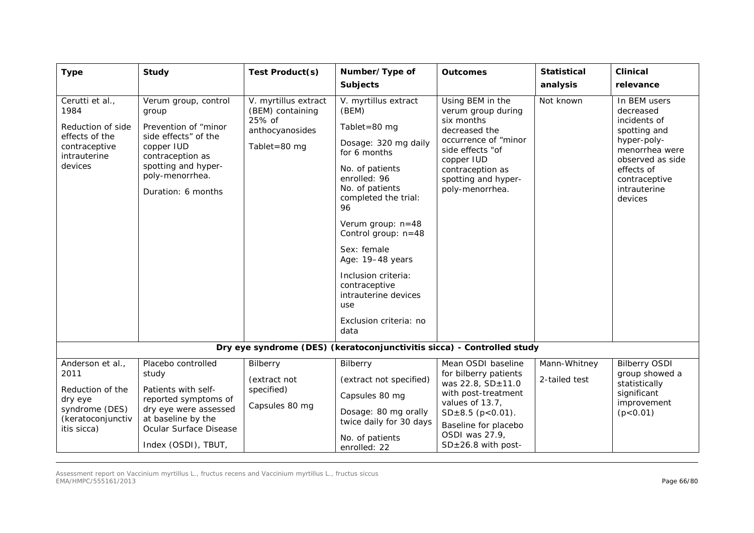| <b>Type</b>                                                                                                   | <b>Study</b>                                                                                                                                                                    | Test Product(s)                                                                         | Number/Type of<br><b>Subjects</b>                                                                                                                                                                                                                                                                                                                                   | <b>Outcomes</b>                                                                                                                                                                                        | <b>Statistical</b><br>analysis | <b>Clinical</b><br>relevance                                                                                                                                             |  |  |
|---------------------------------------------------------------------------------------------------------------|---------------------------------------------------------------------------------------------------------------------------------------------------------------------------------|-----------------------------------------------------------------------------------------|---------------------------------------------------------------------------------------------------------------------------------------------------------------------------------------------------------------------------------------------------------------------------------------------------------------------------------------------------------------------|--------------------------------------------------------------------------------------------------------------------------------------------------------------------------------------------------------|--------------------------------|--------------------------------------------------------------------------------------------------------------------------------------------------------------------------|--|--|
| Cerutti et al.,<br>1984<br>Reduction of side<br>effects of the<br>contraceptive<br>intrauterine<br>devices    | Verum group, control<br>group<br>Prevention of "minor<br>side effects" of the<br>copper IUD<br>contraception as<br>spotting and hyper-<br>poly-menorrhea.<br>Duration: 6 months | V. myrtillus extract<br>(BEM) containing<br>25% of<br>anthocyanosides<br>Tablet=80 $mg$ | V. myrtillus extract<br>(BEM)<br>Tablet=80 $mg$<br>Dosage: 320 mg daily<br>for 6 months<br>No. of patients<br>enrolled: 96<br>No. of patients<br>completed the trial:<br>96<br>Verum group: n=48<br>Control group: n=48<br>Sex: female<br>Age: 19-48 years<br>Inclusion criteria:<br>contraceptive<br>intrauterine devices<br>use<br>Exclusion criteria: no<br>data | Using BEM in the<br>verum group during<br>six months<br>decreased the<br>occurrence of "minor<br>side effects "of<br>copper IUD<br>contraception as<br>spotting and hyper-<br>poly-menorrhea.          | Not known                      | In BEM users<br>decreased<br>incidents of<br>spotting and<br>hyper-poly-<br>menorrhea were<br>observed as side<br>effects of<br>contraceptive<br>intrauterine<br>devices |  |  |
| Dry eye syndrome (DES) (keratoconjunctivitis sicca) - Controlled study                                        |                                                                                                                                                                                 |                                                                                         |                                                                                                                                                                                                                                                                                                                                                                     |                                                                                                                                                                                                        |                                |                                                                                                                                                                          |  |  |
| Anderson et al.,<br>2011<br>Reduction of the<br>dry eye<br>syndrome (DES)<br>(keratoconjunctiv<br>itis sicca) | Placebo controlled<br>study<br>Patients with self-<br>reported symptoms of<br>dry eye were assessed<br>at baseline by the<br>Ocular Surface Disease<br>Index (OSDI), TBUT,      | Bilberry<br>(extract not<br>specified)<br>Capsules 80 mg                                | Bilberry<br>(extract not specified)<br>Capsules 80 mg<br>Dosage: 80 mg orally<br>twice daily for 30 days<br>No. of patients<br>enrolled: 22                                                                                                                                                                                                                         | Mean OSDI baseline<br>for bilberry patients<br>was 22.8, SD±11.0<br>with post-treatment<br>values of 13.7,<br>$SD±8.5$ (p<0.01).<br>Baseline for placebo<br>OSDI was 27.9,<br>$SD \pm 26.8$ with post- | Mann-Whitney<br>2-tailed test  | <b>Bilberry OSDI</b><br>group showed a<br>statistically<br>significant<br>improvement<br>(p < 0.01)                                                                      |  |  |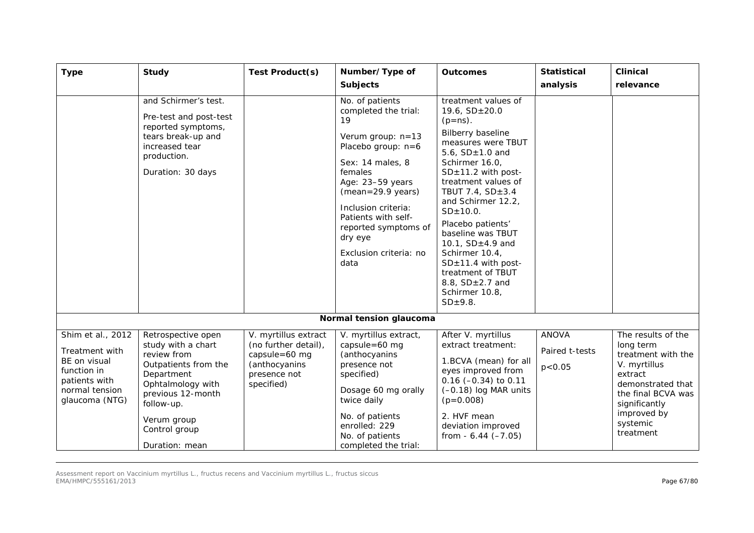| <b>Type</b>                                                                                                             | <b>Study</b>                                                                                                                                                                                            | <b>Test Product(s)</b>                                                                                       | Number/Type of<br><b>Subjects</b>                                                                                                                                                                                                                                                         | <b>Outcomes</b>                                                                                                                                                                                                                                                                                                                                                                                                                             | <b>Statistical</b><br>analysis             | <b>Clinical</b><br>relevance                                                                                                                                                         |
|-------------------------------------------------------------------------------------------------------------------------|---------------------------------------------------------------------------------------------------------------------------------------------------------------------------------------------------------|--------------------------------------------------------------------------------------------------------------|-------------------------------------------------------------------------------------------------------------------------------------------------------------------------------------------------------------------------------------------------------------------------------------------|---------------------------------------------------------------------------------------------------------------------------------------------------------------------------------------------------------------------------------------------------------------------------------------------------------------------------------------------------------------------------------------------------------------------------------------------|--------------------------------------------|--------------------------------------------------------------------------------------------------------------------------------------------------------------------------------------|
|                                                                                                                         | and Schirmer's test.<br>Pre-test and post-test<br>reported symptoms,<br>tears break-up and<br>increased tear<br>production.<br>Duration: 30 days                                                        |                                                                                                              | No. of patients<br>completed the trial:<br>19<br>Verum group: n=13<br>Placebo group: $n=6$<br>Sex: 14 males, 8<br>females<br>Age: 23-59 years<br>$(mean = 29.9 years)$<br>Inclusion criteria:<br>Patients with self-<br>reported symptoms of<br>dry eye<br>Exclusion criteria: no<br>data | treatment values of<br>19.6, $SD \pm 20.0$<br>$(p=ns)$ .<br>Bilberry baseline<br>measures were TBUT<br>5.6, $SD±1.0$ and<br>Schirmer 16.0,<br>$SD \pm 11.2$ with post-<br>treatment values of<br>TBUT 7.4, SD±3.4<br>and Schirmer 12.2,<br>SD±10.0.<br>Placebo patients'<br>baseline was TBUT<br>10.1, $SD±4.9$ and<br>Schirmer 10.4,<br>$SD±11.4$ with post-<br>treatment of TBUT<br>8.8, $SD \pm 2.7$ and<br>Schirmer 10.8,<br>$SD±9.8$ . |                                            |                                                                                                                                                                                      |
|                                                                                                                         |                                                                                                                                                                                                         |                                                                                                              | Normal tension glaucoma                                                                                                                                                                                                                                                                   |                                                                                                                                                                                                                                                                                                                                                                                                                                             |                                            |                                                                                                                                                                                      |
| Shim et al., 2012<br>Treatment with<br>BE on visual<br>function in<br>patients with<br>normal tension<br>glaucoma (NTG) | Retrospective open<br>study with a chart<br>review from<br>Outpatients from the<br>Department<br>Ophtalmology with<br>previous 12-month<br>follow-up.<br>Verum group<br>Control group<br>Duration: mean | V. myrtillus extract<br>(no further detail),<br>capsule=60 mg<br>(anthocyanins<br>presence not<br>specified) | V. myrtillus extract,<br>capsule=60 mg<br>(anthocyanins<br>presence not<br>specified)<br>Dosage 60 mg orally<br>twice daily<br>No. of patients<br>enrolled: 229<br>No. of patients<br>completed the trial:                                                                                | After V. myrtillus<br>extract treatment:<br>1.BCVA (mean) for all<br>eyes improved from<br>$0.16$ (-0.34) to 0.11<br>$(-0.18)$ log MAR units<br>$(p=0.008)$<br>2. HVF mean<br>deviation improved<br>from $-6.44 (-7.05)$                                                                                                                                                                                                                    | <b>ANOVA</b><br>Paired t-tests<br>p < 0.05 | The results of the<br>long term<br>treatment with the<br>V. myrtillus<br>extract<br>demonstrated that<br>the final BCVA was<br>significantly<br>improved by<br>systemic<br>treatment |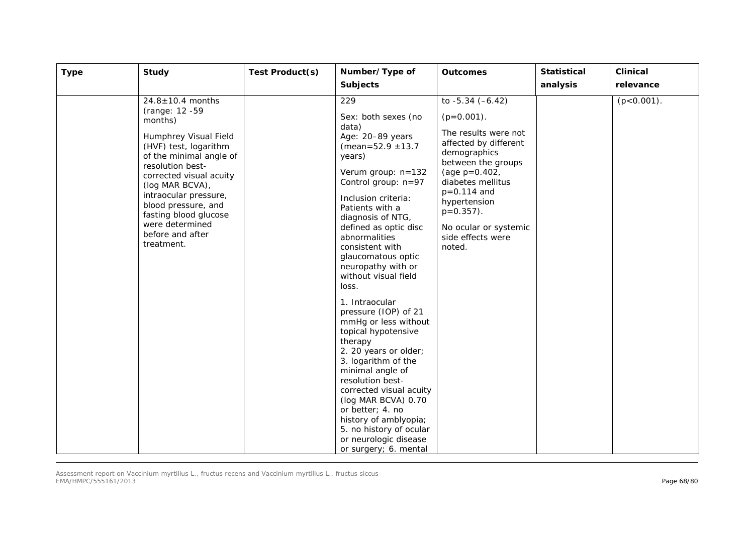|                                                                                                                                                                                                                                                                                                                                  |                                                                                                                                                                                                                                                                                                                                                                                                                                                                                                                                                                                                                                                                                            | <b>Outcomes</b>                                                                                                                                                                                                                                                                | <b>Statistical</b> | <b>Clinical</b>            |
|----------------------------------------------------------------------------------------------------------------------------------------------------------------------------------------------------------------------------------------------------------------------------------------------------------------------------------|--------------------------------------------------------------------------------------------------------------------------------------------------------------------------------------------------------------------------------------------------------------------------------------------------------------------------------------------------------------------------------------------------------------------------------------------------------------------------------------------------------------------------------------------------------------------------------------------------------------------------------------------------------------------------------------------|--------------------------------------------------------------------------------------------------------------------------------------------------------------------------------------------------------------------------------------------------------------------------------|--------------------|----------------------------|
|                                                                                                                                                                                                                                                                                                                                  |                                                                                                                                                                                                                                                                                                                                                                                                                                                                                                                                                                                                                                                                                            |                                                                                                                                                                                                                                                                                |                    |                            |
| $24.8 \pm 10.4$ months<br>(range: 12 -59<br>months)<br>Humphrey Visual Field<br>(HVF) test, logarithm<br>of the minimal angle of<br>resolution best-<br>corrected visual acuity<br>(log MAR BCVA),<br>intraocular pressure,<br>blood pressure, and<br>fasting blood glucose<br>were determined<br>before and after<br>treatment. | <b>Subjects</b><br>229<br>Sex: both sexes (no<br>data)<br>Age: 20-89 years<br>(mean= $52.9 \pm 13.7$<br>years)<br>Verum group: n=132<br>Control group: n=97<br>Inclusion criteria:<br>Patients with a<br>diagnosis of NTG,<br>defined as optic disc<br>abnormalities<br>consistent with<br>glaucomatous optic<br>neuropathy with or<br>without visual field<br>loss.<br>1. Intraocular<br>pressure (IOP) of 21<br>mmHg or less without<br>topical hypotensive<br>therapy<br>2. 20 years or older;<br>3. logarithm of the<br>minimal angle of<br>resolution best-<br>corrected visual acuity<br>(log MAR BCVA) 0.70<br>or better; 4. no<br>history of amblyopia;<br>5. no history of ocular | to $-5.34 (-6.42)$<br>$(p=0.001)$ .<br>The results were not<br>affected by different<br>demographics<br>between the groups<br>(age $p=0.402$ ,<br>diabetes mellitus<br>$p = 0.114$ and<br>hypertension<br>$p=0.357$ ).<br>No ocular or systemic<br>side effects were<br>noted. | analysis           | relevance<br>$(p<0.001)$ . |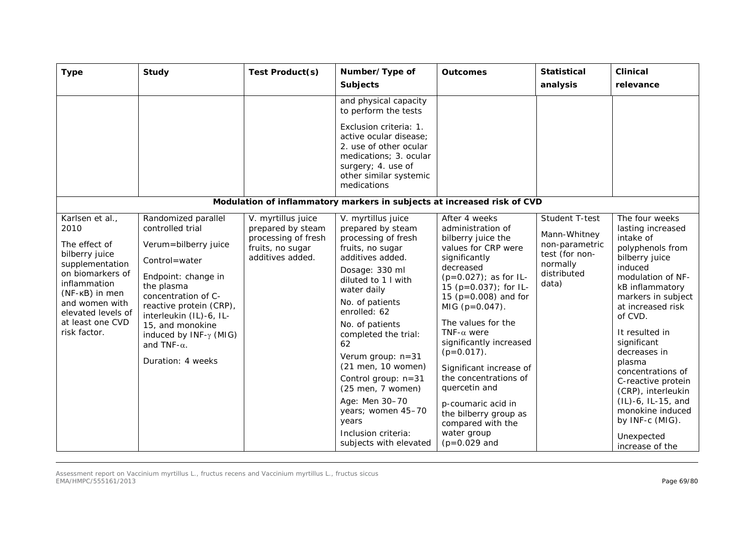| <b>Type</b>                                                                                                                                                                                                     | Study                                                                                                                                                                                                                                                                                        | Test Product(s)                                                                                        | Number/Type of<br><b>Subjects</b>                                                                                                                                                                                                                                                                                                                                                                                                             | <b>Outcomes</b>                                                                                                                                                                                                                                                                                                                                                                                                                                                                              | <b>Statistical</b><br>analysis                                                                         | <b>Clinical</b><br>relevance                                                                                                                                                                                                                                                                                                                                                                                              |
|-----------------------------------------------------------------------------------------------------------------------------------------------------------------------------------------------------------------|----------------------------------------------------------------------------------------------------------------------------------------------------------------------------------------------------------------------------------------------------------------------------------------------|--------------------------------------------------------------------------------------------------------|-----------------------------------------------------------------------------------------------------------------------------------------------------------------------------------------------------------------------------------------------------------------------------------------------------------------------------------------------------------------------------------------------------------------------------------------------|----------------------------------------------------------------------------------------------------------------------------------------------------------------------------------------------------------------------------------------------------------------------------------------------------------------------------------------------------------------------------------------------------------------------------------------------------------------------------------------------|--------------------------------------------------------------------------------------------------------|---------------------------------------------------------------------------------------------------------------------------------------------------------------------------------------------------------------------------------------------------------------------------------------------------------------------------------------------------------------------------------------------------------------------------|
|                                                                                                                                                                                                                 |                                                                                                                                                                                                                                                                                              |                                                                                                        | and physical capacity<br>to perform the tests                                                                                                                                                                                                                                                                                                                                                                                                 |                                                                                                                                                                                                                                                                                                                                                                                                                                                                                              |                                                                                                        |                                                                                                                                                                                                                                                                                                                                                                                                                           |
|                                                                                                                                                                                                                 |                                                                                                                                                                                                                                                                                              |                                                                                                        | Exclusion criteria: 1.<br>active ocular disease:<br>2. use of other ocular<br>medications; 3. ocular<br>surgery; 4. use of<br>other similar systemic<br>medications                                                                                                                                                                                                                                                                           |                                                                                                                                                                                                                                                                                                                                                                                                                                                                                              |                                                                                                        |                                                                                                                                                                                                                                                                                                                                                                                                                           |
|                                                                                                                                                                                                                 |                                                                                                                                                                                                                                                                                              |                                                                                                        | Modulation of inflammatory markers in subjects at increased risk of CVD                                                                                                                                                                                                                                                                                                                                                                       |                                                                                                                                                                                                                                                                                                                                                                                                                                                                                              |                                                                                                        |                                                                                                                                                                                                                                                                                                                                                                                                                           |
| Karlsen et al.,<br>2010<br>The effect of<br>bilberry juice<br>supplementation<br>on biomarkers of<br>inflammation<br>(NF-KB) in men<br>and women with<br>elevated levels of<br>at least one CVD<br>risk factor. | Randomized parallel<br>controlled trial<br>Verum=bilberry juice<br>Control=water<br>Endpoint: change in<br>the plasma<br>concentration of C-<br>reactive protein (CRP),<br>interleukin (IL)-6, IL-<br>15, and monokine<br>induced by INF-γ (MIG)<br>and TNF- $\alpha$ .<br>Duration: 4 weeks | V. myrtillus juice<br>prepared by steam<br>processing of fresh<br>fruits, no sugar<br>additives added. | V. myrtillus juice<br>prepared by steam<br>processing of fresh<br>fruits, no sugar<br>additives added.<br>Dosage: 330 ml<br>diluted to 1 I with<br>water daily<br>No. of patients<br>enrolled: 62<br>No. of patients<br>completed the trial:<br>62<br>Verum group: n=31<br>(21 men, 10 women)<br>Control group: n=31<br>$(25$ men, 7 women)<br>Age: Men 30-70<br>years; women 45-70<br>years<br>Inclusion criteria:<br>subjects with elevated | After 4 weeks<br>administration of<br>bilberry juice the<br>values for CRP were<br>significantly<br>decreased<br>$(p=0.027)$ ; as for IL-<br>15 ( $p=0.037$ ); for IL-<br>15 ( $p = 0.008$ ) and for<br>MIG ( $p=0.047$ ).<br>The values for the<br>TNF- $\alpha$ were<br>significantly increased<br>$(p=0.017)$ .<br>Significant increase of<br>the concentrations of<br>quercetin and<br>p-coumaric acid in<br>the bilberry group as<br>compared with the<br>water group<br>$(p=0.029$ and | Student T-test<br>Mann-Whitney<br>non-parametric<br>test (for non-<br>normally<br>distributed<br>data) | The four weeks<br>lasting increased<br>intake of<br>polyphenols from<br>bilberry juice<br>induced<br>modulation of NF-<br>kB inflammatory<br>markers in subject<br>at increased risk<br>of CVD.<br>It resulted in<br>significant<br>decreases in<br>plasma<br>concentrations of<br>C-reactive protein<br>(CRP), interleukin<br>(IL)-6, IL-15, and<br>monokine induced<br>by INF-c (MIG).<br>Unexpected<br>increase of the |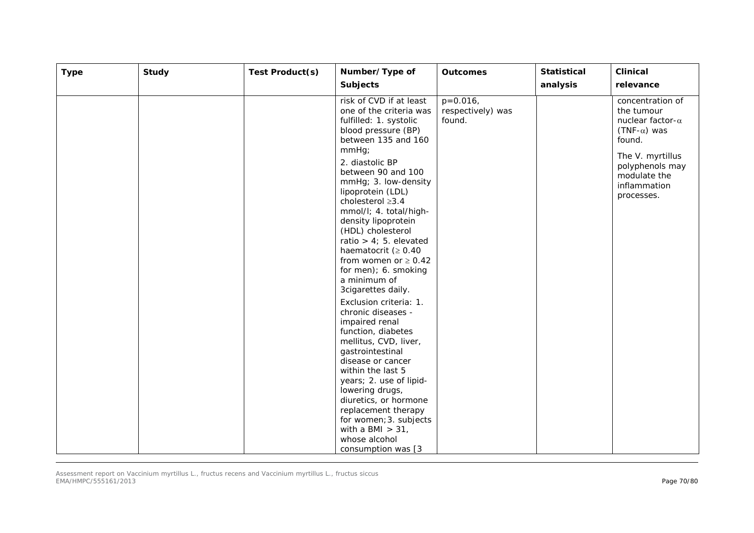| <b>Type</b> | <b>Study</b> | Test Product(s) | Number/Type of                                                                                                                                                                                                                                                                                                                                                                                                                                                                                                                                                                                                                                                                                                                                                                                       | <b>Outcomes</b>                            | <b>Statistical</b> | <b>Clinical</b>                                                                                                                                                                 |
|-------------|--------------|-----------------|------------------------------------------------------------------------------------------------------------------------------------------------------------------------------------------------------------------------------------------------------------------------------------------------------------------------------------------------------------------------------------------------------------------------------------------------------------------------------------------------------------------------------------------------------------------------------------------------------------------------------------------------------------------------------------------------------------------------------------------------------------------------------------------------------|--------------------------------------------|--------------------|---------------------------------------------------------------------------------------------------------------------------------------------------------------------------------|
|             |              |                 | <b>Subjects</b>                                                                                                                                                                                                                                                                                                                                                                                                                                                                                                                                                                                                                                                                                                                                                                                      |                                            | analysis           | relevance                                                                                                                                                                       |
|             |              |                 | risk of CVD if at least<br>one of the criteria was<br>fulfilled: 1. systolic<br>blood pressure (BP)<br>between 135 and 160<br>$mmHg$ ;<br>2. diastolic BP<br>between 90 and 100<br>mmHg; 3. low-density<br>lipoprotein (LDL)<br>cholesterol ≥3.4<br>mmol/l; 4. total/high-<br>density lipoprotein<br>(HDL) cholesterol<br>ratio $> 4$ ; 5. elevated<br>haematocrit $(≥ 0.40$<br>from women or $\geq 0.42$<br>for men); 6. smoking<br>a minimum of<br>3cigarettes daily.<br>Exclusion criteria: 1.<br>chronic diseases -<br>impaired renal<br>function, diabetes<br>mellitus, CVD, liver,<br>gastrointestinal<br>disease or cancer<br>within the last 5<br>years; 2. use of lipid-<br>lowering drugs,<br>diuretics, or hormone<br>replacement therapy<br>for women; 3. subjects<br>with a BMI $>$ 31, | $p=0.016$ ,<br>respectively) was<br>found. |                    | concentration of<br>the tumour<br>nuclear factor- $\alpha$<br>$(TNF-\alpha)$ was<br>found.<br>The V. myrtillus<br>polyphenols may<br>modulate the<br>inflammation<br>processes. |
|             |              |                 | whose alcohol<br>consumption was [3                                                                                                                                                                                                                                                                                                                                                                                                                                                                                                                                                                                                                                                                                                                                                                  |                                            |                    |                                                                                                                                                                                 |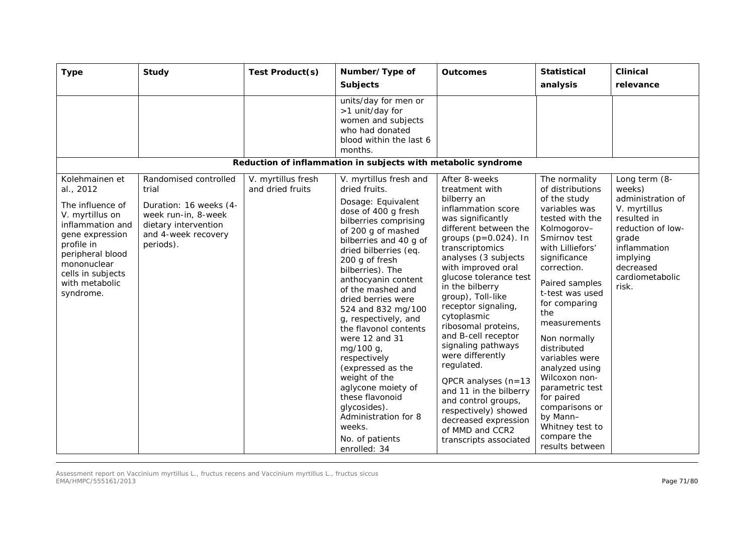| <b>Type</b>                                                                                                                                                                                                    | <b>Study</b>                                                                                                                                | Test Product(s)                        | Number/Type of<br><b>Subjects</b>                                                                                                                                                                                                                                                                                                                                                                                                                                                                                                                                                        | <b>Outcomes</b>                                                                                                                                                                                                                                                                                                                                                                                                                                                                                                                                                                                   | <b>Statistical</b><br>analysis                                                                                                                                                                                                                                                                                                                                                                                                                               | <b>Clinical</b><br>relevance                                                                                                                                                   |
|----------------------------------------------------------------------------------------------------------------------------------------------------------------------------------------------------------------|---------------------------------------------------------------------------------------------------------------------------------------------|----------------------------------------|------------------------------------------------------------------------------------------------------------------------------------------------------------------------------------------------------------------------------------------------------------------------------------------------------------------------------------------------------------------------------------------------------------------------------------------------------------------------------------------------------------------------------------------------------------------------------------------|---------------------------------------------------------------------------------------------------------------------------------------------------------------------------------------------------------------------------------------------------------------------------------------------------------------------------------------------------------------------------------------------------------------------------------------------------------------------------------------------------------------------------------------------------------------------------------------------------|--------------------------------------------------------------------------------------------------------------------------------------------------------------------------------------------------------------------------------------------------------------------------------------------------------------------------------------------------------------------------------------------------------------------------------------------------------------|--------------------------------------------------------------------------------------------------------------------------------------------------------------------------------|
|                                                                                                                                                                                                                |                                                                                                                                             |                                        | units/day for men or<br>>1 unit/day for<br>women and subjects<br>who had donated<br>blood within the last 6<br>months.                                                                                                                                                                                                                                                                                                                                                                                                                                                                   |                                                                                                                                                                                                                                                                                                                                                                                                                                                                                                                                                                                                   |                                                                                                                                                                                                                                                                                                                                                                                                                                                              |                                                                                                                                                                                |
|                                                                                                                                                                                                                |                                                                                                                                             |                                        | Reduction of inflammation in subjects with metabolic syndrome                                                                                                                                                                                                                                                                                                                                                                                                                                                                                                                            |                                                                                                                                                                                                                                                                                                                                                                                                                                                                                                                                                                                                   |                                                                                                                                                                                                                                                                                                                                                                                                                                                              |                                                                                                                                                                                |
| Kolehmainen et<br>al., 2012<br>The influence of<br>V. myrtillus on<br>inflammation and<br>gene expression<br>profile in<br>peripheral blood<br>mononuclear<br>cells in subjects<br>with metabolic<br>syndrome. | Randomised controlled<br>trial<br>Duration: 16 weeks (4-<br>week run-in, 8-week<br>dietary intervention<br>and 4-week recovery<br>periods). | V. myrtillus fresh<br>and dried fruits | V. myrtillus fresh and<br>dried fruits.<br>Dosage: Equivalent<br>dose of 400 g fresh<br>bilberries comprising<br>of 200 g of mashed<br>bilberries and 40 g of<br>dried bilberries (eq.<br>200 g of fresh<br>bilberries). The<br>anthocyanin content<br>of the mashed and<br>dried berries were<br>524 and 832 mg/100<br>g, respectively, and<br>the flavonol contents<br>were 12 and 31<br>mg/100 g,<br>respectively<br>(expressed as the<br>weight of the<br>aglycone moiety of<br>these flavonoid<br>glycosides).<br>Administration for 8<br>weeks.<br>No. of patients<br>enrolled: 34 | After 8-weeks<br>treatment with<br>bilberry an<br>inflammation score<br>was significantly<br>different between the<br>groups $(p=0.024)$ . In<br>transcriptomics<br>analyses (3 subjects<br>with improved oral<br>glucose tolerance test<br>in the bilberry<br>group), Toll-like<br>receptor signaling,<br>cytoplasmic<br>ribosomal proteins,<br>and B-cell receptor<br>signaling pathways<br>were differently<br>regulated.<br>QPCR analyses (n=13<br>and 11 in the bilberry<br>and control groups,<br>respectively) showed<br>decreased expression<br>of MMD and CCR2<br>transcripts associated | The normality<br>of distributions<br>of the study<br>variables was<br>tested with the<br>Kolmogorov-<br>Smirnov test<br>with Lilliefors'<br>significance<br>correction.<br>Paired samples<br>t-test was used<br>for comparing<br>the<br>measurements<br>Non normally<br>distributed<br>variables were<br>analyzed using<br>Wilcoxon non-<br>parametric test<br>for paired<br>comparisons or<br>by Mann-<br>Whitney test to<br>compare the<br>results between | Long term (8-<br>weeks)<br>administration of<br>V. myrtillus<br>resulted in<br>reduction of low-<br>grade<br>inflammation<br>implying<br>decreased<br>cardiometabolic<br>risk. |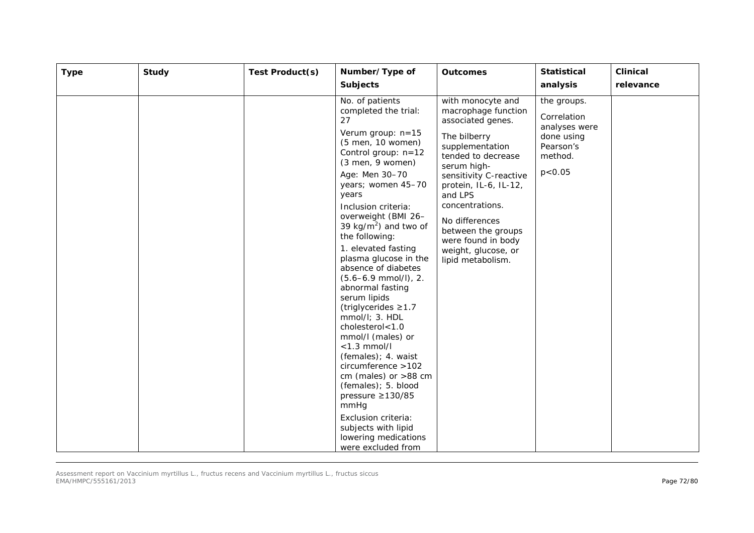| <b>Type</b> | <b>Study</b> | Test Product(s) | Number/Type of<br><b>Subjects</b>                                                                                                                                                                                                                                                                                                                                                                                                                                                                                                                                                                                                                                                                                                                                      | <b>Outcomes</b>                                                                                                                                                                                                                                                                                                                  | <b>Statistical</b><br>analysis                                                                | <b>Clinical</b><br>relevance |
|-------------|--------------|-----------------|------------------------------------------------------------------------------------------------------------------------------------------------------------------------------------------------------------------------------------------------------------------------------------------------------------------------------------------------------------------------------------------------------------------------------------------------------------------------------------------------------------------------------------------------------------------------------------------------------------------------------------------------------------------------------------------------------------------------------------------------------------------------|----------------------------------------------------------------------------------------------------------------------------------------------------------------------------------------------------------------------------------------------------------------------------------------------------------------------------------|-----------------------------------------------------------------------------------------------|------------------------------|
|             |              |                 | No. of patients<br>completed the trial:<br>27<br>Verum group: n=15<br>(5 men, 10 women)<br>Control group: n=12<br>$(3$ men, 9 women)<br>Age: Men 30-70<br>years; women 45-70<br>years<br>Inclusion criteria:<br>overweight (BMI 26-<br>39 kg/m <sup>2</sup> ) and two of<br>the following:<br>1. elevated fasting<br>plasma glucose in the<br>absence of diabetes<br>$(5.6 - 6.9$ mmol/l), 2.<br>abnormal fasting<br>serum lipids<br>(triglycerides $\geq$ 1.7<br>mmol/l; 3. HDL<br>cholesterol<1.0<br>mmol/l (males) or<br>$<$ 1.3 mmol/l<br>(females); 4. waist<br>circumference >102<br>cm (males) or $>88$ cm<br>(females); 5. blood<br>pressure $\geq$ 130/85<br>mmHg<br>Exclusion criteria:<br>subjects with lipid<br>lowering medications<br>were excluded from | with monocyte and<br>macrophage function<br>associated genes.<br>The bilberry<br>supplementation<br>tended to decrease<br>serum high-<br>sensitivity C-reactive<br>protein, IL-6, IL-12,<br>and LPS<br>concentrations.<br>No differences<br>between the groups<br>were found in body<br>weight, glucose, or<br>lipid metabolism. | the groups.<br>Correlation<br>analyses were<br>done using<br>Pearson's<br>method.<br>p < 0.05 |                              |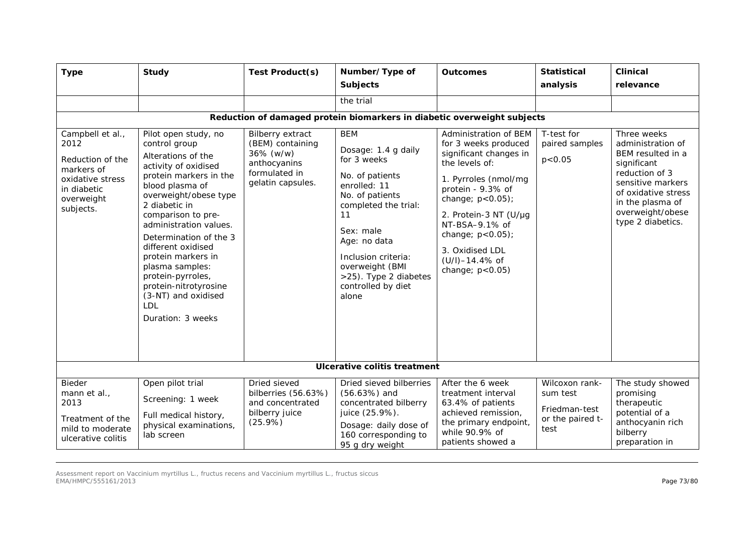| <b>Type</b>                                                                                                              | Study                                                                                                                                                                                                                                                                                                                                                                                                                | Test Product(s)                                                                                         | Number/Type of<br><b>Subjects</b>                                                                                                                                                                                                                                   | <b>Outcomes</b>                                                                                                                                                                                                                                                                               | <b>Statistical</b><br>analysis                                          | <b>Clinical</b><br>relevance                                                                                                                                                                    |  |  |
|--------------------------------------------------------------------------------------------------------------------------|----------------------------------------------------------------------------------------------------------------------------------------------------------------------------------------------------------------------------------------------------------------------------------------------------------------------------------------------------------------------------------------------------------------------|---------------------------------------------------------------------------------------------------------|---------------------------------------------------------------------------------------------------------------------------------------------------------------------------------------------------------------------------------------------------------------------|-----------------------------------------------------------------------------------------------------------------------------------------------------------------------------------------------------------------------------------------------------------------------------------------------|-------------------------------------------------------------------------|-------------------------------------------------------------------------------------------------------------------------------------------------------------------------------------------------|--|--|
|                                                                                                                          |                                                                                                                                                                                                                                                                                                                                                                                                                      |                                                                                                         | the trial                                                                                                                                                                                                                                                           |                                                                                                                                                                                                                                                                                               |                                                                         |                                                                                                                                                                                                 |  |  |
| Reduction of damaged protein biomarkers in diabetic overweight subjects                                                  |                                                                                                                                                                                                                                                                                                                                                                                                                      |                                                                                                         |                                                                                                                                                                                                                                                                     |                                                                                                                                                                                                                                                                                               |                                                                         |                                                                                                                                                                                                 |  |  |
| Campbell et al.,<br>2012<br>Reduction of the<br>markers of<br>oxidative stress<br>in diabetic<br>overweight<br>subjects. | Pilot open study, no<br>control group<br>Alterations of the<br>activity of oxidised<br>protein markers in the<br>blood plasma of<br>overweight/obese type<br>2 diabetic in<br>comparison to pre-<br>administration values.<br>Determination of the 3<br>different oxidised<br>protein markers in<br>plasma samples:<br>protein-pyrroles,<br>protein-nitrotyrosine<br>(3-NT) and oxidised<br>LDL<br>Duration: 3 weeks | Bilberry extract<br>(BEM) containing<br>36% (w/w)<br>anthocyanins<br>formulated in<br>gelatin capsules. | <b>BEM</b><br>Dosage: 1.4 g daily<br>for 3 weeks<br>No. of patients<br>enrolled: 11<br>No. of patients<br>completed the trial:<br>11<br>Sex: male<br>Age: no data<br>Inclusion criteria:<br>overweight (BMI<br>>25). Type 2 diabetes<br>controlled by diet<br>alone | Administration of BEM<br>for 3 weeks produced<br>significant changes in<br>the levels of:<br>1. Pyrroles (nmol/mg<br>protein - 9.3% of<br>change; $p < 0.05$ );<br>2. Protein-3 NT (U/µg<br>NT-BSA-9.1% of<br>change; p<0.05);<br>3. Oxidised LDL<br>$(U/I)-14.4%$ of<br>change; $p < 0.05$ ) | T-test for<br>paired samples<br>p < 0.05                                | Three weeks<br>administration of<br>BEM resulted in a<br>significant<br>reduction of 3<br>sensitive markers<br>of oxidative stress<br>in the plasma of<br>overweight/obese<br>type 2 diabetics. |  |  |
| <b>Ulcerative colitis treatment</b>                                                                                      |                                                                                                                                                                                                                                                                                                                                                                                                                      |                                                                                                         |                                                                                                                                                                                                                                                                     |                                                                                                                                                                                                                                                                                               |                                                                         |                                                                                                                                                                                                 |  |  |
| Bieder<br>mann et al.,<br>2013<br>Treatment of the<br>mild to moderate<br>ulcerative colitis                             | Open pilot trial<br>Screening: 1 week<br>Full medical history,<br>physical examinations,<br>lab screen                                                                                                                                                                                                                                                                                                               | Dried sieved<br>bilberries (56.63%)<br>and concentrated<br>bilberry juice<br>(25.9%)                    | Dried sieved bilberries<br>$(56.63%)$ and<br>concentrated bilberry<br>juice (25.9%).<br>Dosage: daily dose of<br>160 corresponding to<br>95 g dry weight                                                                                                            | After the 6 week<br>treatment interval<br>63.4% of patients<br>achieved remission,<br>the primary endpoint,<br>while 90.9% of<br>patients showed a                                                                                                                                            | Wilcoxon rank-<br>sum test<br>Friedman-test<br>or the paired t-<br>test | The study showed<br>promising<br>therapeutic<br>potential of a<br>anthocyanin rich<br>bilberry<br>preparation in                                                                                |  |  |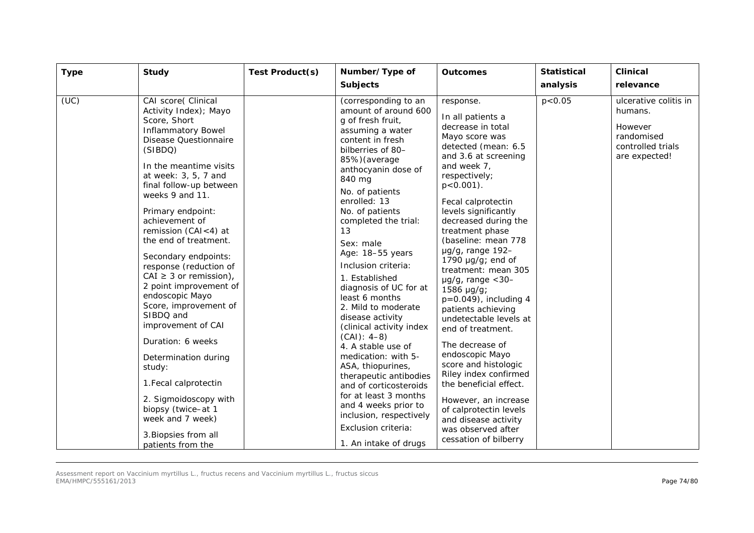| <b>Type</b> | Study                                                                                                                                                                                                                                                                                                                                                                                                                                                                                                                                                                                                                                                                                                                  | Test Product(s) | Number/Type of<br><b>Subjects</b>                                                                                                                                                                                                                                                                                                                                                                                                                                                                                                                                                                                                                                                                                                   | <b>Outcomes</b>                                                                                                                                                                                                                                                                                                                                                                                                                                                                                                                                                                                                                                                                                                                                         | <b>Statistical</b><br>analysis | <b>Clinical</b><br>relevance                                                                    |
|-------------|------------------------------------------------------------------------------------------------------------------------------------------------------------------------------------------------------------------------------------------------------------------------------------------------------------------------------------------------------------------------------------------------------------------------------------------------------------------------------------------------------------------------------------------------------------------------------------------------------------------------------------------------------------------------------------------------------------------------|-----------------|-------------------------------------------------------------------------------------------------------------------------------------------------------------------------------------------------------------------------------------------------------------------------------------------------------------------------------------------------------------------------------------------------------------------------------------------------------------------------------------------------------------------------------------------------------------------------------------------------------------------------------------------------------------------------------------------------------------------------------------|---------------------------------------------------------------------------------------------------------------------------------------------------------------------------------------------------------------------------------------------------------------------------------------------------------------------------------------------------------------------------------------------------------------------------------------------------------------------------------------------------------------------------------------------------------------------------------------------------------------------------------------------------------------------------------------------------------------------------------------------------------|--------------------------------|-------------------------------------------------------------------------------------------------|
| (UC)        | CAI score( Clinical<br>Activity Index); Mayo<br>Score, Short<br><b>Inflammatory Bowel</b><br><b>Disease Questionnaire</b><br>(SIBDQ)<br>In the meantime visits<br>at week: 3, 5, 7 and<br>final follow-up between<br>weeks 9 and 11.<br>Primary endpoint:<br>achievement of<br>remission (CAI<4) at<br>the end of treatment.<br>Secondary endpoints:<br>response (reduction of<br>CAI $\geq$ 3 or remission),<br>2 point improvement of<br>endoscopic Mayo<br>Score, improvement of<br>SIBDQ and<br>improvement of CAI<br>Duration: 6 weeks<br>Determination during<br>study:<br>1. Fecal calprotectin<br>2. Sigmoidoscopy with<br>biopsy (twice-at 1<br>week and 7 week)<br>3. Biopsies from all<br>patients from the |                 | (corresponding to an<br>amount of around 600<br>g of fresh fruit,<br>assuming a water<br>content in fresh<br>bilberries of 80-<br>85%) (average<br>anthocyanin dose of<br>840 mg<br>No. of patients<br>enrolled: 13<br>No. of patients<br>completed the trial:<br>13<br>Sex: male<br>Age: 18-55 years<br>Inclusion criteria:<br>1. Established<br>diagnosis of UC for at<br>least 6 months<br>2. Mild to moderate<br>disease activity<br>(clinical activity index<br>$(CAI): 4-8$<br>4. A stable use of<br>medication: with 5-<br>ASA, thiopurines,<br>therapeutic antibodies<br>and of corticosteroids<br>for at least 3 months<br>and 4 weeks prior to<br>inclusion, respectively<br>Exclusion criteria:<br>1. An intake of drugs | response.<br>In all patients a<br>decrease in total<br>Mayo score was<br>detected (mean: 6.5<br>and 3.6 at screening<br>and week 7,<br>respectively;<br>$p < 0.001$ ).<br>Fecal calprotectin<br>levels significantly<br>decreased during the<br>treatment phase<br>(baseline: mean 778<br>$\mu$ g/g, range 192-<br>1790 $\mu$ g/g; end of<br>treatment: mean 305<br>$\mu$ g/g, range < 30-<br>$1586 \mu g/g;$<br>$p=0.049$ , including 4<br>patients achieving<br>undetectable levels at<br>end of treatment.<br>The decrease of<br>endoscopic Mayo<br>score and histologic<br>Riley index confirmed<br>the beneficial effect.<br>However, an increase<br>of calprotectin levels<br>and disease activity<br>was observed after<br>cessation of bilberry | p < 0.05                       | ulcerative colitis in<br>humans.<br>However<br>randomised<br>controlled trials<br>are expected! |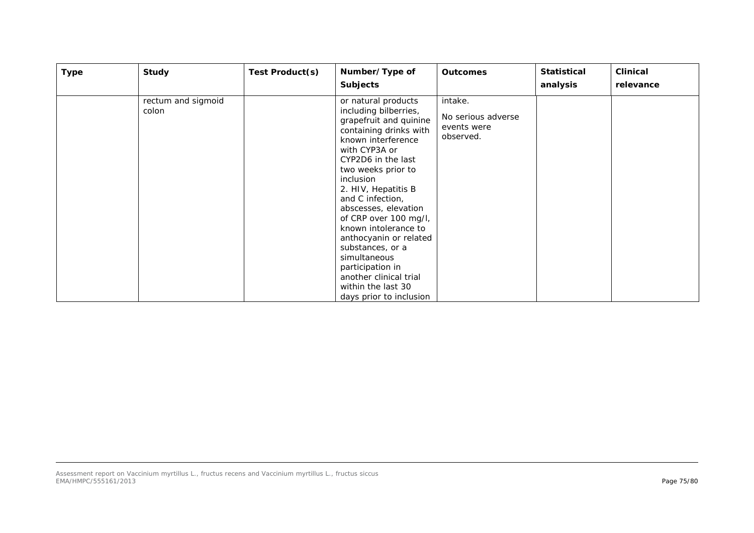| <b>Type</b> | Study                       | Test Product(s) | Number/Type of<br><b>Subjects</b>                                                                                                                                                                                                                                                                                                                                                                                                                                                        | <b>Outcomes</b>                                           | <b>Statistical</b><br>analysis | <b>Clinical</b><br>relevance |
|-------------|-----------------------------|-----------------|------------------------------------------------------------------------------------------------------------------------------------------------------------------------------------------------------------------------------------------------------------------------------------------------------------------------------------------------------------------------------------------------------------------------------------------------------------------------------------------|-----------------------------------------------------------|--------------------------------|------------------------------|
|             | rectum and sigmoid<br>colon |                 | or natural products<br>including bilberries,<br>grapefruit and quinine<br>containing drinks with<br>known interference<br>with CYP3A or<br>CYP2D6 in the last<br>two weeks prior to<br><i>inclusion</i><br>2. HIV, Hepatitis B<br>and C infection,<br>abscesses, elevation<br>of CRP over 100 mg/l,<br>known intolerance to<br>anthocyanin or related<br>substances, or a<br>simultaneous<br>participation in<br>another clinical trial<br>within the last 30<br>days prior to inclusion | intake.<br>No serious adverse<br>events were<br>observed. |                                |                              |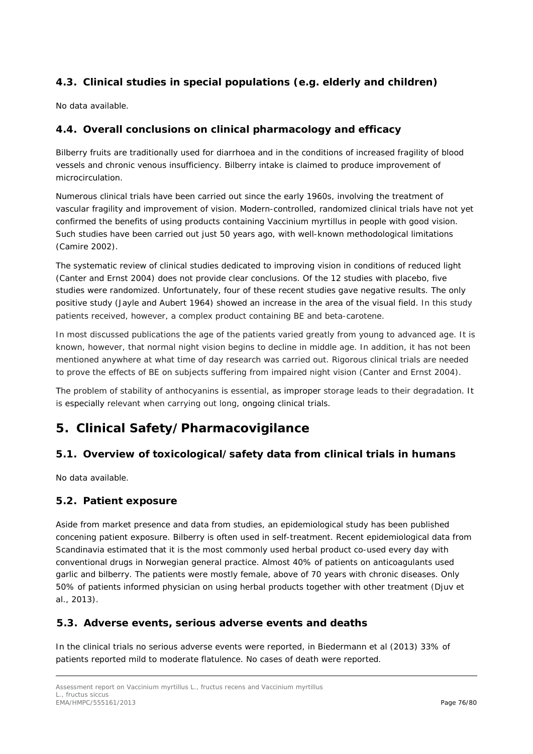# *4.3. Clinical studies in special populations (e.g. elderly and children)*

No data available.

#### *4.4. Overall conclusions on clinical pharmacology and efficacy*

Bilberry fruits are traditionally used for diarrhoea and in the conditions of increased fragility of blood vessels and chronic venous insufficiency. Bilberry intake is claimed to produce improvement of microcirculation.

Numerous clinical trials have been carried out since the early 1960s, involving the treatment of vascular fragility and improvement of vision. Modern-controlled, randomized clinical trials have not yet confirmed the benefits of using products containing *Vaccinium myrtillus* in people with good vision. Such studies have been carried out just 50 years ago, with well-known methodological limitations (Camire 2002).

The systematic review of clinical studies dedicated to improving vision in conditions of reduced light (Canter and Ernst 2004) does not provide clear conclusions. Of the 12 studies with placebo, five studies were randomized. Unfortunately, four of these recent studies gave negative results. The only positive study (Jayle and Aubert 1964) showed an increase in the area of the visual field. In this study patients received, however, a complex product containing BE and beta-carotene.

In most discussed publications the age of the patients varied greatly from young to advanced age. It is known, however, that normal night vision begins to decline in middle age. In addition, it has not been mentioned anywhere at what time of day research was carried out. Rigorous clinical trials are needed to prove the effects of BE on subjects suffering from impaired night vision (Canter and Ernst 2004).

The problem of stability of anthocyanins is essential, as improper storage leads to their degradation. It is especially relevant when carrying out long, ongoing clinical trials.

# **5. Clinical Safety/Pharmacovigilance**

# *5.1. Overview of toxicological/safety data from clinical trials in humans*

No data available.

#### *5.2. Patient exposure*

Aside from market presence and data from studies, an epidemiological study has been published concening patient exposure. Bilberry is often used in self-treatment. Recent epidemiological data from Scandinavia estimated that it is the most commonly used herbal product co-used every day with conventional drugs in Norwegian general practice. Almost 40% of patients on anticoagulants used garlic and bilberry. The patients were mostly female, above of 70 years with chronic diseases. Only 50% of patients informed physician on using herbal products together with other treatment (Djuv *et al.,* 2013).

#### *5.3. Adverse events, serious adverse events and deaths*

In the clinical trials no serious adverse events were reported, in Biedermann et al (2013) 33% of patients reported mild to moderate flatulence. No cases of death were reported.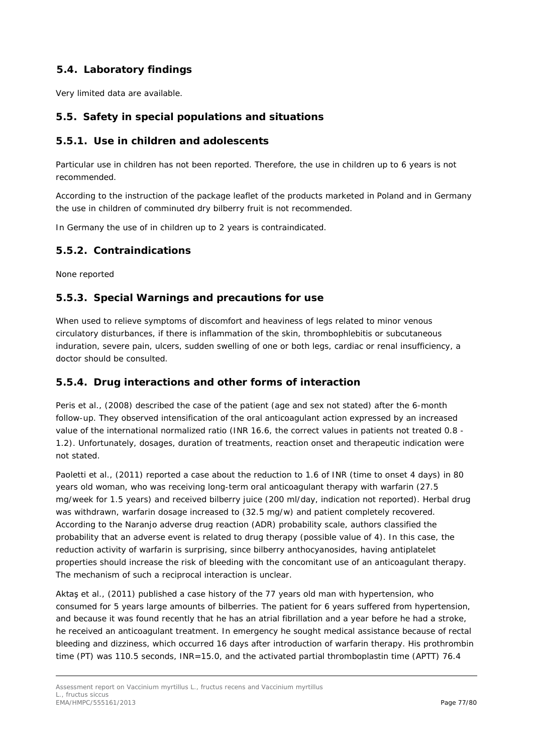# *5.4. Laboratory findings*

Very limited data are available.

#### *5.5. Safety in special populations and situations*

#### **5.5.1. Use in children and adolescents**

Particular use in children has not been reported. Therefore, the use in children up to 6 years is not recommended.

According to the instruction of the package leaflet of the products marketed in Poland and in Germany the use in children of comminuted dry bilberry fruit is not recommended.

In Germany the use of in children up to 2 years is contraindicated.

#### **5.5.2. Contraindications**

None reported

#### **5.5.3. Special Warnings and precautions for use**

When used to relieve symptoms of discomfort and heaviness of legs related to minor venous circulatory disturbances, if there is inflammation of the skin, thrombophlebitis or subcutaneous induration, severe pain, ulcers, sudden swelling of one or both legs, cardiac or renal insufficiency, a doctor should be consulted.

### **5.5.4. Drug interactions and other forms of interaction**

Peris *et al.*, (2008) described the case of the patient (age and sex not stated) after the 6-month follow-up. They observed intensification of the oral anticoagulant action expressed by an increased value of the international normalized ratio (INR 16.6, the correct values in patients not treated 0.8 - 1.2). Unfortunately, dosages, duration of treatments, reaction onset and therapeutic indication were not stated.

Paoletti *et al.*, (2011) reported a case about the reduction to 1.6 of INR (time to onset 4 days) in 80 years old woman, who was receiving long-term oral anticoagulant therapy with warfarin (27.5 mg/week for 1.5 years) and received bilberry juice (200 ml/day, indication not reported). Herbal drug was withdrawn, warfarin dosage increased to (32.5 mg/w) and patient completely recovered. According to the Naranjo adverse drug reaction (ADR) probability scale, authors classified the probability that an adverse event is related to drug therapy (possible value of 4). In this case, the reduction activity of warfarin is surprising, since bilberry anthocyanosides, having antiplatelet properties should increase the risk of bleeding with the concomitant use of an anticoagulant therapy. The mechanism of such a reciprocal interaction is unclear.

Aktaş *et al.,* (2011) published a case history of the 77 years old man with hypertension, who consumed for 5 years large amounts of bilberries. The patient for 6 years suffered from hypertension, and because it was found recently that he has an atrial fibrillation and a year before he had a stroke, he received an anticoagulant treatment. In emergency he sought medical assistance because of rectal bleeding and dizziness, which occurred 16 days after introduction of warfarin therapy. His prothrombin time (PT) was 110.5 seconds, INR=15.0, and the activated partial thromboplastin time (APTT) 76.4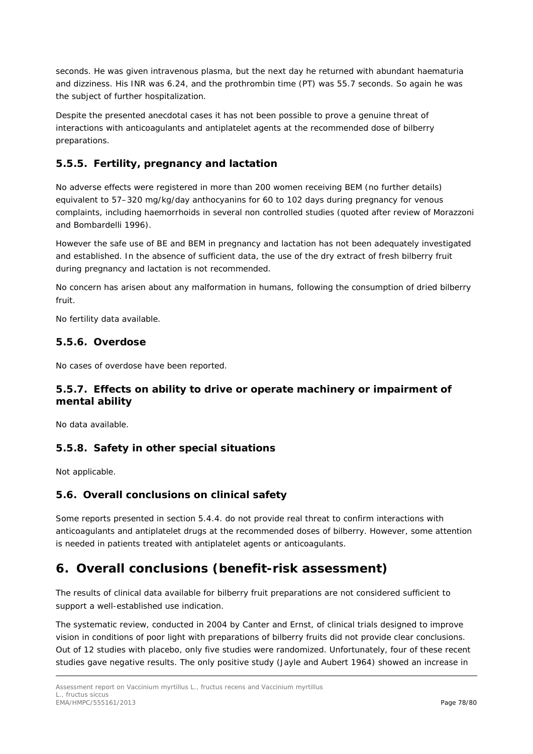seconds. He was given intravenous plasma, but the next day he returned with abundant haematuria and dizziness. His INR was 6.24, and the prothrombin time (PT) was 55.7 seconds. So again he was the subject of further hospitalization.

Despite the presented anecdotal cases it has not been possible to prove a genuine threat of interactions with anticoagulants and antiplatelet agents at the recommended dose of bilberry preparations.

# **5.5.5. Fertility, pregnancy and lactation**

No adverse effects were registered in more than 200 women receiving BEM (no further details) equivalent to 57–320 mg/kg/day anthocyanins for 60 to 102 days during pregnancy for venous complaints, including haemorrhoids in several non controlled studies (quoted after review of Morazzoni and Bombardelli 1996).

However the safe use of BE and BEM in pregnancy and lactation has not been adequately investigated and established. In the absence of sufficient data, the use of the dry extract of fresh bilberry fruit during pregnancy and lactation is not recommended.

No concern has arisen about any malformation in humans, following the consumption of dried bilberry fruit.

No fertility data available.

#### **5.5.6. Overdose**

No cases of overdose have been reported.

#### **5.5.7. Effects on ability to drive or operate machinery or impairment of mental ability**

No data available.

# **5.5.8. Safety in other special situations**

Not applicable.

# *5.6. Overall conclusions on clinical safety*

Some reports presented in section 5.4.4. do not provide real threat to confirm interactions with anticoagulants and antiplatelet drugs at the recommended doses of bilberry. However, some attention is needed in patients treated with antiplatelet agents or anticoagulants.

# **6. Overall conclusions (benefit-risk assessment)**

The results of clinical data available for bilberry fruit preparations are not considered sufficient to support a well-established use indication.

The systematic review, conducted in 2004 by Canter and Ernst, of clinical trials designed to improve vision in conditions of poor light with preparations of bilberry fruits did not provide clear conclusions. Out of 12 studies with placebo, only five studies were randomized. Unfortunately, four of these recent studies gave negative results. The only positive study (Jayle and Aubert 1964) showed an increase in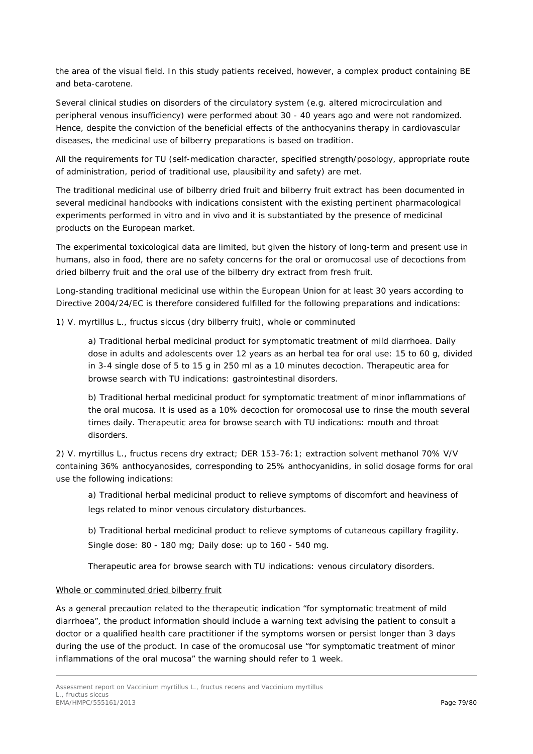the area of the visual field. In this study patients received, however, a complex product containing BE and beta-carotene.

Several clinical studies on disorders of the circulatory system (e.g. altered microcirculation and peripheral venous insufficiency) were performed about 30 - 40 years ago and were not randomized. Hence, despite the conviction of the beneficial effects of the anthocyanins therapy in cardiovascular diseases, the medicinal use of bilberry preparations is based on tradition.

All the requirements for TU (self-medication character, specified strength/posology, appropriate route of administration, period of traditional use, plausibility and safety) are met.

The traditional medicinal use of bilberry dried fruit and bilberry fruit extract has been documented in several medicinal handbooks with indications consistent with the existing pertinent pharmacological experiments performed *in vitro* and *in vivo* and it is substantiated by the presence of medicinal products on the European market.

The experimental toxicological data are limited, but given the history of long-term and present use in humans, also in food, there are no safety concerns for the oral or oromucosal use of decoctions from dried bilberry fruit and the oral use of the bilberry dry extract from fresh fruit.

Long-standing traditional medicinal use within the European Union for at least 30 years according to Directive 2004/24/EC is therefore considered fulfilled for the following preparations and indications:

1) *V. myrtillus* L., fructus siccus (dry bilberry fruit), whole or comminuted

a) Traditional herbal medicinal product for symptomatic treatment of mild diarrhoea. Daily dose in adults and adolescents over 12 years as an herbal tea for oral use: 15 to 60 g, divided in 3-4 single dose of 5 to 15 g in 250 ml as a 10 minutes decoction. Therapeutic area for browse search with TU indications: gastrointestinal disorders.

b) Traditional herbal medicinal product for symptomatic treatment of minor inflammations of the oral mucosa. It is used as a 10% decoction for oromocosal use to rinse the mouth several times daily. Therapeutic area for browse search with TU indications: mouth and throat disorders.

2) *V. myrtillus* L., fructus recens dry extract; DER 153-76:1; extraction solvent methanol 70% V/V containing 36% anthocyanosides, corresponding to 25% anthocyanidins, in solid dosage forms for oral use the following indications:

a) Traditional herbal medicinal product to relieve symptoms of discomfort and heaviness of legs related to minor venous circulatory disturbances.

b) Traditional herbal medicinal product to relieve symptoms of cutaneous capillary fragility. Single dose: 80 - 180 mg; Daily dose: up to 160 - 540 mg.

Therapeutic area for browse search with TU indications: venous circulatory disorders.

#### Whole or comminuted dried bilberry fruit

As a general precaution related to the therapeutic indication "for symptomatic treatment of mild diarrhoea", the product information should include a warning text advising the patient to consult a doctor or a qualified health care practitioner if the symptoms worsen or persist longer than 3 days during the use of the product. In case of the oromucosal use "for symptomatic treatment of minor inflammations of the oral mucosa" the warning should refer to 1 week.